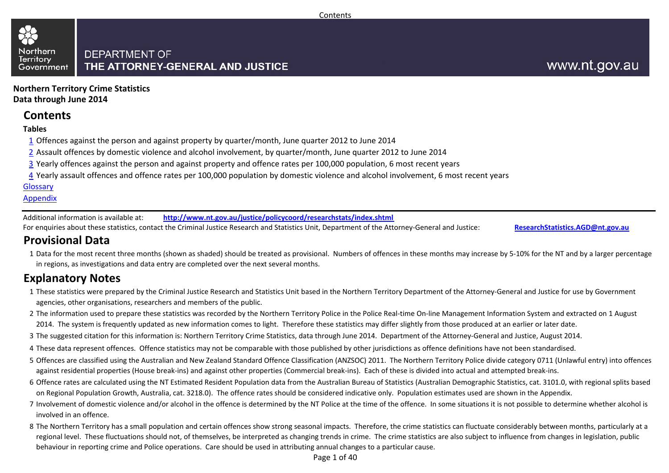#### Northern **DEPARTMENT OF Territory** THE ATTORNEY-GENERAL AND JUSTICE Government

**Northern Territory Crime StatisticsData through June 2014**

### **Contents**

#### **Tables**

- $1\overline{1}$  Offences against the person and against property by quarter/month, June quarter 2012 to June 2014
- 2 Assault offences by domestic violence and alcohol involvement, by quarter/month, June quarter 2012 to June 2014
- <u>3</u> Yearly offences against the person and against property and offence rates per 100,000 population, 6 most recent years
- <u>4</u> Yearly assault offences and offence rates per 100,000 population by domestic violence and alcohol involvement, 6 most recent years

#### Glossary

#### Appendix

Additional information is available at:**http://www.nt.gov.au/justice/policycoord/researchstats/index.shtml**

For enquiries about these statistics, contact the Criminal Justice Research and Statistics Unit, Department of the Attorney-General and Justice:

**ResearchStatistics.AGD@nt.gov.au**

### **Provisional Data**

1 Data for the most recent three months (shown as shaded) should be treated as provisional. Numbers of offences in these months may increase by 5-10% for the NT and by a larger percentage in regions, as investigations and data entry are completed over the next several months.

### **Explanatory Notes**

- 1These statistics were prepared by the Criminal Justice Research and Statistics Unit based in the Northern Territory Department of the Attorney-General and Justice for use by Government agencies, other organisations, researchers and members of the public.
- 2The information used to prepare these statistics was recorded by the Northern Territory Police in the Police Real-time On-line Management Information System and extracted on 1 August 2014. The system is frequently updated as new information comes to light. Therefore these statistics may differ slightly from those produced at an earlier or later date.
- 3The suggested citation for this information is: Northern Territory Crime Statistics, data through June 2014. Department of the Attorney-General and Justice, August 2014.
- 4These data represent offences. Offence statistics may not be comparable with those published by other jurisdictions as offence definitions have not been standardised.
- 5 Offences are classified using the Australian and New Zealand Standard Offence Classification (ANZSOC) 2011. The Northern Territory Police divide category 0711 (Unlawful entry) into offences against residential properties (House break-ins) and against other properties (Commercial break-ins). Each of these is divided into actual and attempted break-ins.
- 6 Offence rates are calculated using the NT Estimated Resident Population data from the Australian Bureau of Statistics (Australian Demographic Statistics, cat. 3101.0, with regional splits based on Regional Population Growth, Australia, cat. 3218.0). The offence rates should be considered indicative only. Population estimates used are shown in the Appendix.
- 7 Involvement of domestic violence and/or alcohol in the offence is determined by the NT Police at the time of the offence. In some situations it is not possible to determine whether alcohol is involved in an offence.
- 8 The Northern Territory has a small population and certain offences show strong seasonal impacts. Therefore, the crime statistics can fluctuate considerably between months, particularly at a regional level. These fluctuations should not, of themselves, be interpreted as changing trends in crime. The crime statistics are also subject to influence from changes in legislation, public behaviour in reporting crime and Police operations. Care should be used in attributing annual changes to a particular cause.

Page 1 of 40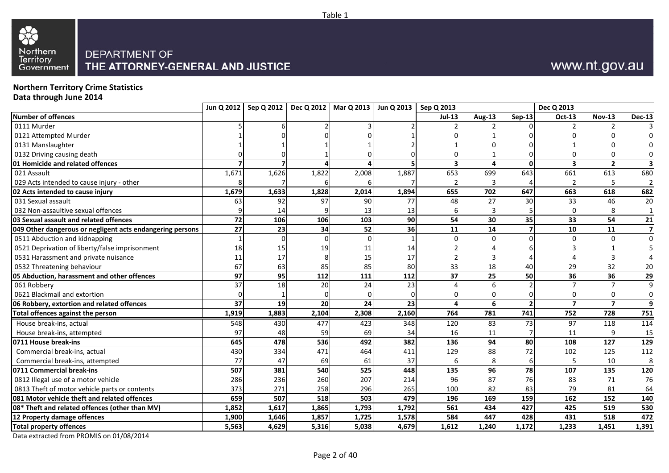

# www.nt.gov.au

# **Northern Territory Crime Statistics Data through June 2014**

|                                                           | Jun Q 2012 |       | Sep Q 2012   Dec Q 2012   Mar Q 2013 |       | Jun Q 2013 | Sep Q 2013              |        |               | Dec Q 2013              |                         |                |
|-----------------------------------------------------------|------------|-------|--------------------------------------|-------|------------|-------------------------|--------|---------------|-------------------------|-------------------------|----------------|
| <b>Number of offences</b>                                 |            |       |                                      |       |            | <b>Jul-13</b>           | Aug-13 | <b>Sep-13</b> | <b>Oct-13</b>           | <b>Nov-13</b>           | <b>Dec-13</b>  |
| 0111 Murder                                               |            |       |                                      |       |            | $\mathcal{P}$           |        |               | $\mathcal{P}$           |                         |                |
| 0121 Attempted Murder                                     |            |       |                                      |       |            |                         |        |               |                         |                         |                |
| 0131 Manslaughter                                         |            |       |                                      |       |            |                         |        |               |                         |                         |                |
| 0132 Driving causing death                                |            |       |                                      |       |            |                         |        |               |                         |                         |                |
| 01 Homicide and related offences                          |            |       |                                      |       |            | $\overline{\mathbf{3}}$ | 4      | $\mathbf{0}$  | $\overline{\mathbf{3}}$ | $\overline{2}$          |                |
| 021 Assault                                               | 1,671      | 1,626 | 1,822                                | 2,008 | 1,887      | 653                     | 699    | 643           | 661                     | 613                     | 680            |
| 029 Acts intended to cause injury - other                 |            |       |                                      |       |            | $\overline{2}$          | 3      |               | $\overline{2}$          |                         | 2              |
| 02 Acts intended to cause injury                          | 1,679      | 1,633 | 1,828                                | 2,014 | 1,894      | 655                     | 702    | 647           | 663                     | 618                     | 682            |
| 031 Sexual assault                                        | 63         | 92    | 97                                   | 90    | 77         | 48                      | 27     | 30            | 33                      | 46                      | 20             |
| 032 Non-assaultive sexual offences                        |            | 14    |                                      | 13    | 13         | 6                       | 3      |               | $\Omega$                | 8                       | $\mathbf{1}$   |
| 03 Sexual assault and related offences                    | 72         | 106   | 106                                  | 103   | 90         | 54                      | 30     | 35            | 33                      | 54                      | ${\bf 21}$     |
| 049 Other dangerous or negligent acts endangering persons | 27         | 23    | 34                                   | 52    | 36         | 11                      | 14     |               | 10                      | 11                      | $\overline{7}$ |
| 0511 Abduction and kidnapping                             |            |       |                                      |       |            | $\Omega$                | 0      |               | $\Omega$                |                         | $\mathbf{0}$   |
| 0521 Deprivation of liberty/false imprisonment            | 18         | 15    | 19                                   | 11    | 14         |                         |        |               |                         |                         |                |
| 0531 Harassment and private nuisance                      | 11         | 17    |                                      | 15    | 17         | $\mathcal{P}$           | 3      |               |                         |                         |                |
| 0532 Threatening behaviour                                | 67         | 63    | 85                                   | 85    | 80         | 33                      | 18     | 40            | 29                      | 32                      | 20             |
| 05 Abduction, harassment and other offences               | 97         | 95    | 112                                  | 111   | 112        | 37                      | 25     | 50            | 36                      | 36                      | 29             |
| 061 Robbery                                               | 37         | 18    | 20                                   | 24    | 23         | $\Delta$                | 6      |               | $\overline{7}$          | $\overline{7}$          | 9              |
| 0621 Blackmail and extortion                              |            |       |                                      |       | $\Omega$   | $\Omega$                | 0      |               | 0                       | 0                       | $\mathbf 0$    |
| 06 Robbery, extortion and related offences                | 37         | 19    | 20                                   | 24    | 23         | 4                       | 6      |               | $\overline{7}$          | $\overline{\mathbf{z}}$ | 9              |
| <b>Total offences against the person</b>                  | 1,919      | 1,883 | 2,104                                | 2,308 | 2,160      | 764                     | 781    | 741           | 752                     | 728                     | 751            |
| House break-ins, actual                                   | 548        | 430   | 477                                  | 423   | 348        | 120                     | 83     | 73            | 97                      | 118                     | 114            |
| House break-ins, attempted                                | 97         | 48    | 59                                   | 69    | 34         | 16                      | 11     |               | 11                      |                         | 15             |
| 0711 House break-ins                                      | 645        | 478   | 536                                  | 492   | 382        | 136                     | 94     | 80            | 108                     | 127                     | 129            |
| Commercial break-ins, actual                              | 430        | 334   | 471                                  | 464   | 411        | 129                     | 88     | 72            | 102                     | 125                     | 112            |
| Commercial break-ins, attempted                           | 77         | 47    | 69                                   | 61    | 37         | 6                       | 8      |               |                         | 10                      | 8              |
| 0711 Commercial break-ins                                 | 507        | 381   | 540                                  | 525   | 448        | 135                     | 96     | 78            | 107                     | 135                     | 120            |
| 0812 Illegal use of a motor vehicle                       | 286        | 236   | 260                                  | 207   | 214        | 96                      | 87     | 76            | 83                      | 71                      | 76             |
| 0813 Theft of motor vehicle parts or contents             | 373        | 271   | 258                                  | 296   | 265        | 100                     | 82     | 83            | 79                      | 81                      | 64             |
| 081 Motor vehicle theft and related offences              | 659        | 507   | 518                                  | 503   | 479        | 196                     | 169    | 159           | 162                     | 152                     | 140            |
| 08* Theft and related offences (other than MV)            | 1,852      | 1,617 | 1,865                                | 1,793 | 1,792      | 561                     | 434    | 427           | 425                     | 519                     | 530            |
| 12 Property damage offences                               | 1,900      | 1,646 | 1,857                                | 1,725 | 1,578      | 584                     | 447    | 428           | 431                     | 518                     | 472            |
| <b>Total property offences</b>                            | 5,563      | 4,629 | 5,316                                | 5,038 | 4,679      | 1,612                   | 1,240  | 1,172         | 1,233                   | 1,451                   | 1,391          |

Table 1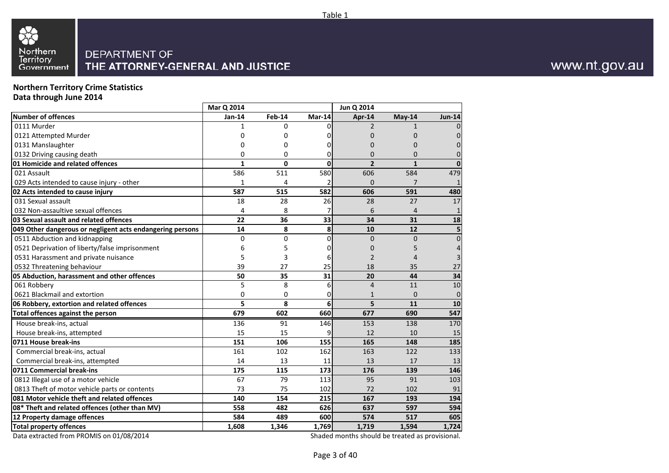

**Northern Territory Crime Statistics Data through June 2014**

|                                                           | Mar Q 2014   |               |        | Jun Q 2014     |                |                |
|-----------------------------------------------------------|--------------|---------------|--------|----------------|----------------|----------------|
| <b>Number of offences</b>                                 | Jan-14       | <b>Feb-14</b> | Mar-14 | Apr-14         | May-14         | <b>Jun-14</b>  |
| 0111 Murder                                               | 1            | 0             | 0      | $\mathcal{P}$  | $\mathbf{1}$   |                |
| 0121 Attempted Murder                                     | 0            | 0             |        | 0              | 0              | $\Omega$       |
| 0131 Manslaughter                                         | 0            | 0             | 0      | $\Omega$       | 0              | 0              |
| 0132 Driving causing death                                | 0            | 0             | 0      | $\Omega$       | $\Omega$       |                |
| 01 Homicide and related offences                          | $\mathbf{1}$ | $\mathbf 0$   | 0      | $\overline{2}$ | $\mathbf{1}$   |                |
| 021 Assault                                               | 586          | 511           | 580    | 606            | 584            | 479            |
| 029 Acts intended to cause injury - other                 | 1            | 4             | 2      | $\Omega$       | 7              |                |
| 02 Acts intended to cause injury                          | 587          | 515           | 582    | 606            | 591            | 480            |
| 031 Sexual assault                                        | 18           | 28            | 26     | 28             | 27             | 17             |
| 032 Non-assaultive sexual offences                        | 4            | 8             |        | 6              | $\overline{4}$ | $\mathbf{1}$   |
| 03 Sexual assault and related offences                    | 22           | 36            | 33     | 34             | 31             | 18             |
| 049 Other dangerous or negligent acts endangering persons | 14           | 8             | 8      | 10             | 12             | 5              |
| 0511 Abduction and kidnapping                             | 0            | 0             | 0      | $\Omega$       | $\Omega$       | $\overline{0}$ |
| 0521 Deprivation of liberty/false imprisonment            | 6            | 5             | 0      | $\mathbf 0$    | 5              | 4              |
| 0531 Harassment and private nuisance                      | 5            | 3             | 6      | $\overline{2}$ | 4              | 3              |
| 0532 Threatening behaviour                                | 39           | 27            | 25     | 18             | 35             | 27             |
| 05 Abduction, harassment and other offences               | 50           | 35            | 31     | 20             | 44             | 34             |
| 061 Robbery                                               | 5            | 8             | 6      | $\overline{4}$ | 11             | 10             |
| 0621 Blackmail and extortion                              | $\mathbf{0}$ | 0             | 0      | 1              | $\Omega$       | $\mathbf 0$    |
| 06 Robbery, extortion and related offences                | 5            | 8             | 6      | 5              | 11             | 10             |
| Total offences against the person                         | 679          | 602           | 660    | 677            | 690            | 547            |
| House break-ins, actual                                   | 136          | 91            | 146    | 153            | 138            | 170            |
| House break-ins, attempted                                | 15           | 15            | 9      | 12             | 10             | 15             |
| 0711 House break-ins                                      | 151          | 106           | 155    | 165            | 148            | 185            |
| Commercial break-ins, actual                              | 161          | 102           | 162    | 163            | 122            | 133            |
| Commercial break-ins, attempted                           | 14           | 13            | 11     | 13             | 17             | 13             |
| 0711 Commercial break-ins                                 | 175          | 115           | 173    | 176            | 139            | 146            |
| 0812 Illegal use of a motor vehicle                       | 67           | 79            | 113    | 95             | 91             | 103            |
| 0813 Theft of motor vehicle parts or contents             | 73           | 75            | 102    | 72             | 102            | 91             |
| 081 Motor vehicle theft and related offences              | 140          | 154           | 215    | 167            | 193            | 194            |
| 08* Theft and related offences (other than MV)            | 558          | 482           | 626    | 637            | 597            | 594            |
| 12 Property damage offences                               | 584          | 489           | 600    | 574            | 517            | 605            |
| <b>Total property offences</b>                            | 1,608        | 1,346         | 1,769  | 1,719          | 1,594          | 1,724          |

Data extracted from PROMIS on 01/08/2014

Shaded months should be treated as provisional.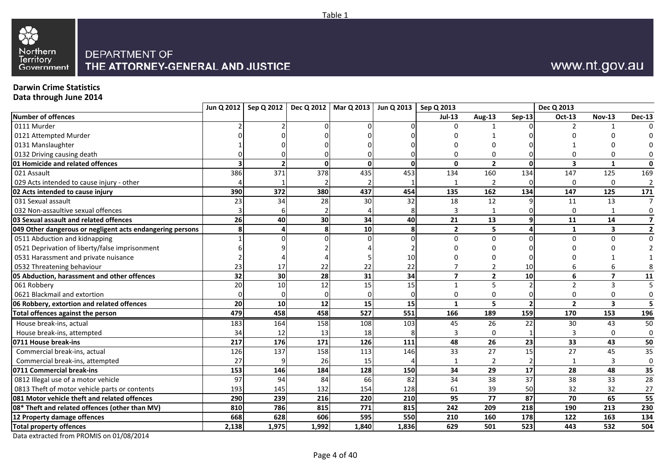

# www.nt.gov.au

### **Darwin Crime Statistics**

**Data through June 2014**

| <b>Number of offences</b><br>$Jul-13$<br>Aug-13<br><b>Sep-13</b><br><b>Oct-13</b><br><b>Nov-13</b><br>0111 Murder<br>$\Omega$<br>0121 Attempted Murder<br>0131 Manslaughter<br>$\Omega$<br>n<br>$\overline{2}$<br>$\mathbf{0}$<br>$\mathbf{0}$<br>3<br>$\Omega$<br>$\Omega$<br>ΩI<br>1<br>371<br>378<br>435<br>134<br>147<br>021 Assault<br>386<br>453<br>134<br>160<br>125<br>029 Acts intended to cause injury - other<br>2<br>$\Omega$<br>$\Omega$<br>162<br>390<br>372<br>380<br>437<br>454<br>135<br>134<br>147<br>125<br>12<br>13<br>23<br>34<br>32<br>18<br>031 Sexual assault<br>28<br>30<br>11<br>032 Non-assaultive sexual offences<br>$\Omega$<br>21<br>13<br>26<br>30<br>40<br>11<br>14<br>40<br>34<br>9<br>5<br>8<br>10<br>$\overline{2}$<br>3<br>049 Other dangerous or negligent acts endangering persons<br>8<br>1<br>0511 Abduction and kidnapping<br>$\Omega$<br>0<br>$\Omega$<br>$\Omega$<br>0521 Deprivation of liberty/false imprisonment<br>0531 Harassment and private nuisance<br>10<br>22<br>$\overline{2}$<br>0532 Threatening behaviour<br>23<br>17<br>22<br>22<br>10<br>$\overline{\mathbf{z}}$<br>32<br>31<br>$\overline{\mathbf{z}}$<br>$\overline{2}$<br>10 <sup>1</sup><br>30<br>28<br>34<br>6<br>061 Robbery<br>20<br>10<br>12<br>15<br>15<br>5<br>$\overline{2}$<br>3<br>0621 Blackmail and extortion<br>$\mathbf 0$<br>$\Omega$<br>$\Omega$<br>0<br>$\Omega$<br>$\Omega$<br>5<br>20<br>12<br>15<br>15<br>$\overline{2}$<br>$\overline{2}$<br>$\overline{\mathbf{3}}$<br>06 Robbery, extortion and related offences<br>10<br>$\mathbf{1}$<br>479<br>458<br>527<br>458<br>551<br>159<br>166<br>189<br>170<br>153<br><b>Total offences against the person</b><br>House break-ins, actual<br>183<br>164<br>158<br>108<br>103<br>22<br>45<br>26<br>30<br>43<br>House break-ins, attempted<br>34<br>12<br>13<br>18<br>$\Omega$<br>$\Omega$<br>217<br>171<br>48<br>26<br>23<br>33<br>43<br>176<br>126<br>111<br>0711 House break-ins<br>15<br>$\overline{27}$<br>137<br>33<br>27<br>45<br>158<br>113<br>Commercial break-ins, actual<br>126<br>146<br>27<br>Commercial break-ins, attempted<br>26<br>$\overline{2}$<br>15<br>3<br>1<br>$\overline{28}$<br>153<br>128<br>34<br>29<br>17<br>48<br>184<br>146<br>150<br>37<br>0812 Illegal use of a motor vehicle<br>97<br>94<br>84<br>66<br>82<br>34<br>38<br>38<br>33<br>0813 Theft of motor vehicle parts or contents<br>193<br>132<br>39<br>50<br>32<br>145<br>128<br>61<br>32<br>154<br>77<br>65<br>220<br>95<br>87<br>70<br>290<br>239<br>216<br>210<br>218<br>786<br>771<br>242<br>209<br>190<br>213<br>810<br>815<br>815<br>163<br>12 Property damage offences<br>668<br>628<br>606<br>595<br>550<br>160<br>178<br>122<br>210<br>501<br>1,975<br>1,992<br>1,840<br>629<br>523<br>532<br><b>Total property offences</b><br>2,138<br>1,836<br>443 |                                                | Jun Q 2012   Sep Q 2012 | Dec Q 2012   Mar Q 2013   Jun Q 2013   Sep Q 2013 |  |  | Dec Q 2013 |                         |
|----------------------------------------------------------------------------------------------------------------------------------------------------------------------------------------------------------------------------------------------------------------------------------------------------------------------------------------------------------------------------------------------------------------------------------------------------------------------------------------------------------------------------------------------------------------------------------------------------------------------------------------------------------------------------------------------------------------------------------------------------------------------------------------------------------------------------------------------------------------------------------------------------------------------------------------------------------------------------------------------------------------------------------------------------------------------------------------------------------------------------------------------------------------------------------------------------------------------------------------------------------------------------------------------------------------------------------------------------------------------------------------------------------------------------------------------------------------------------------------------------------------------------------------------------------------------------------------------------------------------------------------------------------------------------------------------------------------------------------------------------------------------------------------------------------------------------------------------------------------------------------------------------------------------------------------------------------------------------------------------------------------------------------------------------------------------------------------------------------------------------------------------------------------------------------------------------------------------------------------------------------------------------------------------------------------------------------------------------------------------------------------------------------------------------------------------------------------------------------------------------------------------------------------------------------------------------------------------------------------------------------------------------------------------------------------------------------------------------------------------------------------------------------------------------------------------------------|------------------------------------------------|-------------------------|---------------------------------------------------|--|--|------------|-------------------------|
|                                                                                                                                                                                                                                                                                                                                                                                                                                                                                                                                                                                                                                                                                                                                                                                                                                                                                                                                                                                                                                                                                                                                                                                                                                                                                                                                                                                                                                                                                                                                                                                                                                                                                                                                                                                                                                                                                                                                                                                                                                                                                                                                                                                                                                                                                                                                                                                                                                                                                                                                                                                                                                                                                                                                                                                                                                  |                                                |                         |                                                   |  |  |            | <b>Dec-13</b>           |
|                                                                                                                                                                                                                                                                                                                                                                                                                                                                                                                                                                                                                                                                                                                                                                                                                                                                                                                                                                                                                                                                                                                                                                                                                                                                                                                                                                                                                                                                                                                                                                                                                                                                                                                                                                                                                                                                                                                                                                                                                                                                                                                                                                                                                                                                                                                                                                                                                                                                                                                                                                                                                                                                                                                                                                                                                                  |                                                |                         |                                                   |  |  |            |                         |
|                                                                                                                                                                                                                                                                                                                                                                                                                                                                                                                                                                                                                                                                                                                                                                                                                                                                                                                                                                                                                                                                                                                                                                                                                                                                                                                                                                                                                                                                                                                                                                                                                                                                                                                                                                                                                                                                                                                                                                                                                                                                                                                                                                                                                                                                                                                                                                                                                                                                                                                                                                                                                                                                                                                                                                                                                                  |                                                |                         |                                                   |  |  |            |                         |
|                                                                                                                                                                                                                                                                                                                                                                                                                                                                                                                                                                                                                                                                                                                                                                                                                                                                                                                                                                                                                                                                                                                                                                                                                                                                                                                                                                                                                                                                                                                                                                                                                                                                                                                                                                                                                                                                                                                                                                                                                                                                                                                                                                                                                                                                                                                                                                                                                                                                                                                                                                                                                                                                                                                                                                                                                                  |                                                |                         |                                                   |  |  |            |                         |
|                                                                                                                                                                                                                                                                                                                                                                                                                                                                                                                                                                                                                                                                                                                                                                                                                                                                                                                                                                                                                                                                                                                                                                                                                                                                                                                                                                                                                                                                                                                                                                                                                                                                                                                                                                                                                                                                                                                                                                                                                                                                                                                                                                                                                                                                                                                                                                                                                                                                                                                                                                                                                                                                                                                                                                                                                                  | 0132 Driving causing death                     |                         |                                                   |  |  |            | 0                       |
|                                                                                                                                                                                                                                                                                                                                                                                                                                                                                                                                                                                                                                                                                                                                                                                                                                                                                                                                                                                                                                                                                                                                                                                                                                                                                                                                                                                                                                                                                                                                                                                                                                                                                                                                                                                                                                                                                                                                                                                                                                                                                                                                                                                                                                                                                                                                                                                                                                                                                                                                                                                                                                                                                                                                                                                                                                  | 01 Homicide and related offences               |                         |                                                   |  |  |            | $\mathbf 0$             |
|                                                                                                                                                                                                                                                                                                                                                                                                                                                                                                                                                                                                                                                                                                                                                                                                                                                                                                                                                                                                                                                                                                                                                                                                                                                                                                                                                                                                                                                                                                                                                                                                                                                                                                                                                                                                                                                                                                                                                                                                                                                                                                                                                                                                                                                                                                                                                                                                                                                                                                                                                                                                                                                                                                                                                                                                                                  |                                                |                         |                                                   |  |  |            | 169                     |
|                                                                                                                                                                                                                                                                                                                                                                                                                                                                                                                                                                                                                                                                                                                                                                                                                                                                                                                                                                                                                                                                                                                                                                                                                                                                                                                                                                                                                                                                                                                                                                                                                                                                                                                                                                                                                                                                                                                                                                                                                                                                                                                                                                                                                                                                                                                                                                                                                                                                                                                                                                                                                                                                                                                                                                                                                                  |                                                |                         |                                                   |  |  |            | $\overline{2}$          |
|                                                                                                                                                                                                                                                                                                                                                                                                                                                                                                                                                                                                                                                                                                                                                                                                                                                                                                                                                                                                                                                                                                                                                                                                                                                                                                                                                                                                                                                                                                                                                                                                                                                                                                                                                                                                                                                                                                                                                                                                                                                                                                                                                                                                                                                                                                                                                                                                                                                                                                                                                                                                                                                                                                                                                                                                                                  | 02 Acts intended to cause injury               |                         |                                                   |  |  |            | 171                     |
|                                                                                                                                                                                                                                                                                                                                                                                                                                                                                                                                                                                                                                                                                                                                                                                                                                                                                                                                                                                                                                                                                                                                                                                                                                                                                                                                                                                                                                                                                                                                                                                                                                                                                                                                                                                                                                                                                                                                                                                                                                                                                                                                                                                                                                                                                                                                                                                                                                                                                                                                                                                                                                                                                                                                                                                                                                  |                                                |                         |                                                   |  |  |            | $\overline{7}$          |
|                                                                                                                                                                                                                                                                                                                                                                                                                                                                                                                                                                                                                                                                                                                                                                                                                                                                                                                                                                                                                                                                                                                                                                                                                                                                                                                                                                                                                                                                                                                                                                                                                                                                                                                                                                                                                                                                                                                                                                                                                                                                                                                                                                                                                                                                                                                                                                                                                                                                                                                                                                                                                                                                                                                                                                                                                                  |                                                |                         |                                                   |  |  |            | 0                       |
|                                                                                                                                                                                                                                                                                                                                                                                                                                                                                                                                                                                                                                                                                                                                                                                                                                                                                                                                                                                                                                                                                                                                                                                                                                                                                                                                                                                                                                                                                                                                                                                                                                                                                                                                                                                                                                                                                                                                                                                                                                                                                                                                                                                                                                                                                                                                                                                                                                                                                                                                                                                                                                                                                                                                                                                                                                  | 03 Sexual assault and related offences         |                         |                                                   |  |  |            | $\overline{\mathbf{z}}$ |
|                                                                                                                                                                                                                                                                                                                                                                                                                                                                                                                                                                                                                                                                                                                                                                                                                                                                                                                                                                                                                                                                                                                                                                                                                                                                                                                                                                                                                                                                                                                                                                                                                                                                                                                                                                                                                                                                                                                                                                                                                                                                                                                                                                                                                                                                                                                                                                                                                                                                                                                                                                                                                                                                                                                                                                                                                                  |                                                |                         |                                                   |  |  |            | $\overline{\mathbf{2}}$ |
|                                                                                                                                                                                                                                                                                                                                                                                                                                                                                                                                                                                                                                                                                                                                                                                                                                                                                                                                                                                                                                                                                                                                                                                                                                                                                                                                                                                                                                                                                                                                                                                                                                                                                                                                                                                                                                                                                                                                                                                                                                                                                                                                                                                                                                                                                                                                                                                                                                                                                                                                                                                                                                                                                                                                                                                                                                  |                                                |                         |                                                   |  |  |            | $\overline{0}$          |
|                                                                                                                                                                                                                                                                                                                                                                                                                                                                                                                                                                                                                                                                                                                                                                                                                                                                                                                                                                                                                                                                                                                                                                                                                                                                                                                                                                                                                                                                                                                                                                                                                                                                                                                                                                                                                                                                                                                                                                                                                                                                                                                                                                                                                                                                                                                                                                                                                                                                                                                                                                                                                                                                                                                                                                                                                                  |                                                |                         |                                                   |  |  |            |                         |
|                                                                                                                                                                                                                                                                                                                                                                                                                                                                                                                                                                                                                                                                                                                                                                                                                                                                                                                                                                                                                                                                                                                                                                                                                                                                                                                                                                                                                                                                                                                                                                                                                                                                                                                                                                                                                                                                                                                                                                                                                                                                                                                                                                                                                                                                                                                                                                                                                                                                                                                                                                                                                                                                                                                                                                                                                                  |                                                |                         |                                                   |  |  |            |                         |
|                                                                                                                                                                                                                                                                                                                                                                                                                                                                                                                                                                                                                                                                                                                                                                                                                                                                                                                                                                                                                                                                                                                                                                                                                                                                                                                                                                                                                                                                                                                                                                                                                                                                                                                                                                                                                                                                                                                                                                                                                                                                                                                                                                                                                                                                                                                                                                                                                                                                                                                                                                                                                                                                                                                                                                                                                                  |                                                |                         |                                                   |  |  |            | 8                       |
|                                                                                                                                                                                                                                                                                                                                                                                                                                                                                                                                                                                                                                                                                                                                                                                                                                                                                                                                                                                                                                                                                                                                                                                                                                                                                                                                                                                                                                                                                                                                                                                                                                                                                                                                                                                                                                                                                                                                                                                                                                                                                                                                                                                                                                                                                                                                                                                                                                                                                                                                                                                                                                                                                                                                                                                                                                  | 05 Abduction, harassment and other offences    |                         |                                                   |  |  |            | 11                      |
|                                                                                                                                                                                                                                                                                                                                                                                                                                                                                                                                                                                                                                                                                                                                                                                                                                                                                                                                                                                                                                                                                                                                                                                                                                                                                                                                                                                                                                                                                                                                                                                                                                                                                                                                                                                                                                                                                                                                                                                                                                                                                                                                                                                                                                                                                                                                                                                                                                                                                                                                                                                                                                                                                                                                                                                                                                  |                                                |                         |                                                   |  |  |            | 5                       |
|                                                                                                                                                                                                                                                                                                                                                                                                                                                                                                                                                                                                                                                                                                                                                                                                                                                                                                                                                                                                                                                                                                                                                                                                                                                                                                                                                                                                                                                                                                                                                                                                                                                                                                                                                                                                                                                                                                                                                                                                                                                                                                                                                                                                                                                                                                                                                                                                                                                                                                                                                                                                                                                                                                                                                                                                                                  |                                                |                         |                                                   |  |  |            | $\boldsymbol{0}$        |
|                                                                                                                                                                                                                                                                                                                                                                                                                                                                                                                                                                                                                                                                                                                                                                                                                                                                                                                                                                                                                                                                                                                                                                                                                                                                                                                                                                                                                                                                                                                                                                                                                                                                                                                                                                                                                                                                                                                                                                                                                                                                                                                                                                                                                                                                                                                                                                                                                                                                                                                                                                                                                                                                                                                                                                                                                                  |                                                |                         |                                                   |  |  |            | 5                       |
|                                                                                                                                                                                                                                                                                                                                                                                                                                                                                                                                                                                                                                                                                                                                                                                                                                                                                                                                                                                                                                                                                                                                                                                                                                                                                                                                                                                                                                                                                                                                                                                                                                                                                                                                                                                                                                                                                                                                                                                                                                                                                                                                                                                                                                                                                                                                                                                                                                                                                                                                                                                                                                                                                                                                                                                                                                  |                                                |                         |                                                   |  |  |            | 196                     |
|                                                                                                                                                                                                                                                                                                                                                                                                                                                                                                                                                                                                                                                                                                                                                                                                                                                                                                                                                                                                                                                                                                                                                                                                                                                                                                                                                                                                                                                                                                                                                                                                                                                                                                                                                                                                                                                                                                                                                                                                                                                                                                                                                                                                                                                                                                                                                                                                                                                                                                                                                                                                                                                                                                                                                                                                                                  |                                                |                         |                                                   |  |  |            | 50                      |
|                                                                                                                                                                                                                                                                                                                                                                                                                                                                                                                                                                                                                                                                                                                                                                                                                                                                                                                                                                                                                                                                                                                                                                                                                                                                                                                                                                                                                                                                                                                                                                                                                                                                                                                                                                                                                                                                                                                                                                                                                                                                                                                                                                                                                                                                                                                                                                                                                                                                                                                                                                                                                                                                                                                                                                                                                                  |                                                |                         |                                                   |  |  |            | $\mathbf 0$             |
|                                                                                                                                                                                                                                                                                                                                                                                                                                                                                                                                                                                                                                                                                                                                                                                                                                                                                                                                                                                                                                                                                                                                                                                                                                                                                                                                                                                                                                                                                                                                                                                                                                                                                                                                                                                                                                                                                                                                                                                                                                                                                                                                                                                                                                                                                                                                                                                                                                                                                                                                                                                                                                                                                                                                                                                                                                  |                                                |                         |                                                   |  |  |            | 50                      |
|                                                                                                                                                                                                                                                                                                                                                                                                                                                                                                                                                                                                                                                                                                                                                                                                                                                                                                                                                                                                                                                                                                                                                                                                                                                                                                                                                                                                                                                                                                                                                                                                                                                                                                                                                                                                                                                                                                                                                                                                                                                                                                                                                                                                                                                                                                                                                                                                                                                                                                                                                                                                                                                                                                                                                                                                                                  |                                                |                         |                                                   |  |  |            | $\overline{35}$         |
|                                                                                                                                                                                                                                                                                                                                                                                                                                                                                                                                                                                                                                                                                                                                                                                                                                                                                                                                                                                                                                                                                                                                                                                                                                                                                                                                                                                                                                                                                                                                                                                                                                                                                                                                                                                                                                                                                                                                                                                                                                                                                                                                                                                                                                                                                                                                                                                                                                                                                                                                                                                                                                                                                                                                                                                                                                  |                                                |                         |                                                   |  |  |            | $\mathbf 0$             |
|                                                                                                                                                                                                                                                                                                                                                                                                                                                                                                                                                                                                                                                                                                                                                                                                                                                                                                                                                                                                                                                                                                                                                                                                                                                                                                                                                                                                                                                                                                                                                                                                                                                                                                                                                                                                                                                                                                                                                                                                                                                                                                                                                                                                                                                                                                                                                                                                                                                                                                                                                                                                                                                                                                                                                                                                                                  | 0711 Commercial break-ins                      |                         |                                                   |  |  |            | 35                      |
|                                                                                                                                                                                                                                                                                                                                                                                                                                                                                                                                                                                                                                                                                                                                                                                                                                                                                                                                                                                                                                                                                                                                                                                                                                                                                                                                                                                                                                                                                                                                                                                                                                                                                                                                                                                                                                                                                                                                                                                                                                                                                                                                                                                                                                                                                                                                                                                                                                                                                                                                                                                                                                                                                                                                                                                                                                  |                                                |                         |                                                   |  |  |            | 28                      |
|                                                                                                                                                                                                                                                                                                                                                                                                                                                                                                                                                                                                                                                                                                                                                                                                                                                                                                                                                                                                                                                                                                                                                                                                                                                                                                                                                                                                                                                                                                                                                                                                                                                                                                                                                                                                                                                                                                                                                                                                                                                                                                                                                                                                                                                                                                                                                                                                                                                                                                                                                                                                                                                                                                                                                                                                                                  |                                                |                         |                                                   |  |  |            | 27                      |
|                                                                                                                                                                                                                                                                                                                                                                                                                                                                                                                                                                                                                                                                                                                                                                                                                                                                                                                                                                                                                                                                                                                                                                                                                                                                                                                                                                                                                                                                                                                                                                                                                                                                                                                                                                                                                                                                                                                                                                                                                                                                                                                                                                                                                                                                                                                                                                                                                                                                                                                                                                                                                                                                                                                                                                                                                                  | 081 Motor vehicle theft and related offences   |                         |                                                   |  |  |            | 55                      |
|                                                                                                                                                                                                                                                                                                                                                                                                                                                                                                                                                                                                                                                                                                                                                                                                                                                                                                                                                                                                                                                                                                                                                                                                                                                                                                                                                                                                                                                                                                                                                                                                                                                                                                                                                                                                                                                                                                                                                                                                                                                                                                                                                                                                                                                                                                                                                                                                                                                                                                                                                                                                                                                                                                                                                                                                                                  | 08* Theft and related offences (other than MV) |                         |                                                   |  |  |            | 230                     |
|                                                                                                                                                                                                                                                                                                                                                                                                                                                                                                                                                                                                                                                                                                                                                                                                                                                                                                                                                                                                                                                                                                                                                                                                                                                                                                                                                                                                                                                                                                                                                                                                                                                                                                                                                                                                                                                                                                                                                                                                                                                                                                                                                                                                                                                                                                                                                                                                                                                                                                                                                                                                                                                                                                                                                                                                                                  |                                                |                         |                                                   |  |  |            | 134                     |
|                                                                                                                                                                                                                                                                                                                                                                                                                                                                                                                                                                                                                                                                                                                                                                                                                                                                                                                                                                                                                                                                                                                                                                                                                                                                                                                                                                                                                                                                                                                                                                                                                                                                                                                                                                                                                                                                                                                                                                                                                                                                                                                                                                                                                                                                                                                                                                                                                                                                                                                                                                                                                                                                                                                                                                                                                                  |                                                |                         |                                                   |  |  |            | 504                     |

Table 1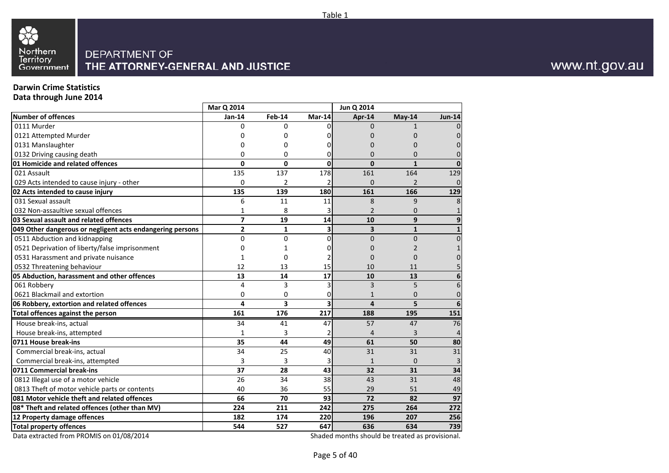

### **Darwin Crime Statistics**

**Data through June 2014**

|                                                           | Mar Q 2014              |                 |              | Jun Q 2014              |                |                 |
|-----------------------------------------------------------|-------------------------|-----------------|--------------|-------------------------|----------------|-----------------|
| <b>Number of offences</b>                                 | Jan-14                  | Feb-14          | Mar-14       | Apr-14                  | May-14         | <b>Jun-14</b>   |
| 0111 Murder                                               | <sup>0</sup>            | $\Omega$        | <sub>0</sub> | $\Omega$                | 1              | $\Omega$        |
| 0121 Attempted Murder                                     |                         | 0               |              | 0                       | 0              | 0               |
| 0131 Manslaughter                                         | 0                       | $\Omega$        |              | $\Omega$                | $\Omega$       | $\Omega$        |
| 0132 Driving causing death                                | 0                       | $\Omega$        | 0            | $\Omega$                | $\Omega$       | $\mathbf{0}$    |
| 01 Homicide and related offences                          | $\mathbf 0$             | $\mathbf 0$     | 0            | $\mathbf{0}$            | $\mathbf{1}$   | $\bf{0}$        |
| 021 Assault                                               | 135                     | 137             | 178          | 161                     | 164            | 129             |
| 029 Acts intended to cause injury - other                 | 0                       | $\overline{2}$  |              | $\Omega$                | $\overline{2}$ | $\overline{0}$  |
| 02 Acts intended to cause injury                          | 135                     | 139             | 180          | 161                     | 166            | 129             |
| 031 Sexual assault                                        | 6                       | 11              | 11           | 8                       | 9              | 8               |
| 032 Non-assaultive sexual offences                        | 1                       | 8               |              | $\overline{2}$          | 0              | $\mathbf{1}$    |
| 03 Sexual assault and related offences                    | $\overline{\mathbf{z}}$ | 19              | 14           | 10                      | 9              | 9               |
| 049 Other dangerous or negligent acts endangering persons | $\overline{2}$          | $\mathbf{1}$    | 3            | $\overline{\mathbf{3}}$ | $\mathbf{1}$   | $\mathbf{1}$    |
| 0511 Abduction and kidnapping                             | $\mathbf{0}$            | $\Omega$        | $\Omega$     | $\overline{0}$          | $\overline{0}$ | $\overline{0}$  |
| 0521 Deprivation of liberty/false imprisonment            | 0                       | 1               |              | 0                       | $\overline{2}$ |                 |
| 0531 Harassment and private nuisance                      | 1                       | $\Omega$        |              | $\Omega$                | $\Omega$       | $\Omega$        |
| 0532 Threatening behaviour                                | 12                      | 13              | 15           | 10                      | 11             |                 |
| 05 Abduction, harassment and other offences               | 13                      | 14              | 17           | 10                      | 13             | 6               |
| 061 Robbery                                               | 4                       | 3               | 3            | $\overline{3}$          | 5              | 6               |
| 0621 Blackmail and extortion                              | 0                       | 0               | 0            | 1                       | 0              | $\pmb{0}$       |
| 06 Robbery, extortion and related offences                | 4                       | 3               | 3            | $\Delta$                | 5              | 6               |
| Total offences against the person                         | 161                     | 176             | 217          | 188                     | 195            | 151             |
| House break-ins, actual                                   | 34                      | 41              | 47           | 57                      | 47             | 76              |
| House break-ins, attempted                                | 1                       | 3               |              | 4                       | 3              | 4               |
| 0711 House break-ins                                      | 35                      | 44              | 49           | 61                      | 50             | 80              |
| Commercial break-ins, actual                              | 34                      | 25              | 40           | 31                      | 31             | 31              |
| Commercial break-ins, attempted                           | 3                       | 3               | 3            | $\mathbf{1}$            | $\Omega$       | 3               |
| 0711 Commercial break-ins                                 | 37                      | 28              | 43           | 32                      | 31             | 34              |
| 0812 Illegal use of a motor vehicle                       | 26                      | 34              | 38           | 43                      | 31             | 48              |
| 0813 Theft of motor vehicle parts or contents             | 40                      | 36              | 55           | 29                      | 51             | 49              |
| 081 Motor vehicle theft and related offences              | 66                      | $\overline{70}$ | 93           | $\overline{72}$         | 82             | $\overline{97}$ |
| 08* Theft and related offences (other than MV)            | 224                     | 211             | 242          | 275                     | 264            | 272             |
| 12 Property damage offences                               | 182                     | 174             | 220          | 196                     | 207            | 256             |
| <b>Total property offences</b>                            | 544                     | 527             | 647          | 636                     | 634            | 739             |

Data extracted from PROMIS on 01/08/2014

Shaded months should be treated as provisional.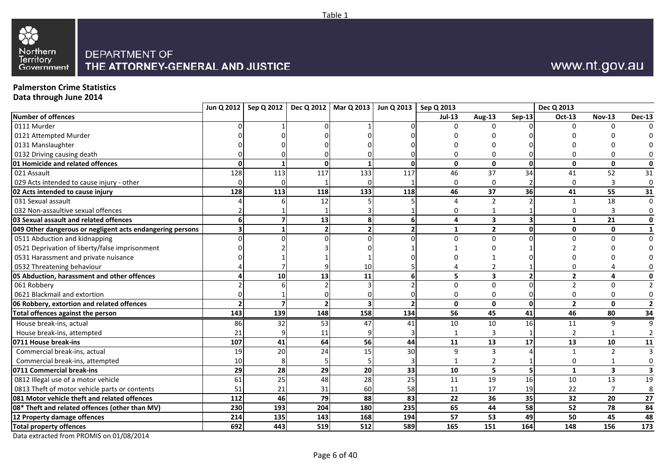

### **Palmerston Crime Statistics**

**Data through June 2014**

| $Jul-13$<br><b>Sep-13</b><br><b>Nov-13</b><br>Aug-13<br>Oct-13<br>$\Omega$<br>$\Omega$<br>$\mathbf{0}$<br>$\mathbf{0}$<br>$\mathbf{0}$<br>$\mathbf{0}$<br>$\Omega$<br>$\mathbf{0}$<br>$\Omega$<br>$\mathbf{0}$<br>128<br>117<br>34<br>113<br>133<br>117<br>46<br>37<br>52<br>41<br>$\Omega$<br>$\Omega$<br>3<br>$\Omega$<br>$\Omega$<br>128<br>37<br>36<br>113<br>118<br>133<br>118<br>55<br>46<br>41<br>$\overline{2}$<br>18<br>12<br>$\mathbf{1}$<br>0<br>$\Omega$<br>13<br>3<br>21<br>6<br>6<br>4<br>1<br>$\mathbf{2}$<br>$\overline{2}$<br>$\overline{2}$<br>$\mathbf{0}$<br>$\mathbf 0$<br>1<br>U<br>$\Omega$<br>$\Omega$<br>0<br>$\Omega$<br>$\overline{2}$<br>10<br>3<br>$\overline{2}$<br>10 <sup>1</sup><br>13<br>11<br>5<br>6<br>4<br>$\Omega$<br>$\overline{2}$<br>$\Omega$<br>$\Omega$<br>0621 Blackmail and extortion<br>$\mathbf 0$<br>$\Omega$<br>0<br>0<br>$\Omega$<br>$\mathbf{0}$<br>$\overline{2}$<br>$\mathbf{0}$<br>$\overline{\phantom{a}}$<br>$\mathbf{0}$<br>$\Omega$<br>158<br>45<br>41<br>46<br>143<br>139<br>148<br>134<br>56<br>80<br>86<br>32<br>53<br>16<br>House break-ins, actual<br>47<br>10<br>41<br>10<br>11<br>9<br>$\mathsf{q}$<br>21<br>House break-ins, attempted<br>11<br>3<br>107<br>41<br>64<br>56<br>44<br>13<br>17<br>13<br>11<br>10<br>20<br>24<br>19<br>15<br>30<br>$\overline{3}$<br>$\mathbf{q}$<br>$\overline{\phantom{a}}$<br>Commercial break-ins, actual<br>$\mathbf{1}$<br>10<br>Commercial break-ins, attempted<br>$\overline{2}$<br>$\Omega$<br>29<br>28<br>5<br>29<br>20<br>33<br>10<br>3<br>1<br>61<br>25<br>48<br>28<br>25<br>19<br>16<br>11<br>10<br>13<br>51<br>21<br>60<br>58<br>11<br>17<br>19<br>22<br>31<br>112<br>46<br>79<br>83<br>36<br>35<br>32<br>20<br>88<br>22<br>193<br>58<br>52<br>204<br>180<br>235<br>65<br>44<br>78<br>230<br>57<br>53<br>214<br>135<br>143<br>168<br>194<br>49<br>50<br>45<br>443<br>512<br>165<br>151<br>164<br>156<br>692<br>519<br>589<br>148 |                                                           | Jun Q 2012   Sep Q 2012   Dec Q 2012   Mar Q 2013   Jun Q 2013   Sep Q 2013 |  |  |  | Dec Q 2013 |                |
|-----------------------------------------------------------------------------------------------------------------------------------------------------------------------------------------------------------------------------------------------------------------------------------------------------------------------------------------------------------------------------------------------------------------------------------------------------------------------------------------------------------------------------------------------------------------------------------------------------------------------------------------------------------------------------------------------------------------------------------------------------------------------------------------------------------------------------------------------------------------------------------------------------------------------------------------------------------------------------------------------------------------------------------------------------------------------------------------------------------------------------------------------------------------------------------------------------------------------------------------------------------------------------------------------------------------------------------------------------------------------------------------------------------------------------------------------------------------------------------------------------------------------------------------------------------------------------------------------------------------------------------------------------------------------------------------------------------------------------------------------------------------------------------------------------------------------------------------------------------------------------------------------------------------------------------------------|-----------------------------------------------------------|-----------------------------------------------------------------------------|--|--|--|------------|----------------|
|                                                                                                                                                                                                                                                                                                                                                                                                                                                                                                                                                                                                                                                                                                                                                                                                                                                                                                                                                                                                                                                                                                                                                                                                                                                                                                                                                                                                                                                                                                                                                                                                                                                                                                                                                                                                                                                                                                                                               | <b>Number of offences</b>                                 |                                                                             |  |  |  |            | <b>Dec-13</b>  |
|                                                                                                                                                                                                                                                                                                                                                                                                                                                                                                                                                                                                                                                                                                                                                                                                                                                                                                                                                                                                                                                                                                                                                                                                                                                                                                                                                                                                                                                                                                                                                                                                                                                                                                                                                                                                                                                                                                                                               | 0111 Murder                                               |                                                                             |  |  |  |            |                |
|                                                                                                                                                                                                                                                                                                                                                                                                                                                                                                                                                                                                                                                                                                                                                                                                                                                                                                                                                                                                                                                                                                                                                                                                                                                                                                                                                                                                                                                                                                                                                                                                                                                                                                                                                                                                                                                                                                                                               | 0121 Attempted Murder                                     |                                                                             |  |  |  |            |                |
|                                                                                                                                                                                                                                                                                                                                                                                                                                                                                                                                                                                                                                                                                                                                                                                                                                                                                                                                                                                                                                                                                                                                                                                                                                                                                                                                                                                                                                                                                                                                                                                                                                                                                                                                                                                                                                                                                                                                               | 0131 Manslaughter                                         |                                                                             |  |  |  |            |                |
|                                                                                                                                                                                                                                                                                                                                                                                                                                                                                                                                                                                                                                                                                                                                                                                                                                                                                                                                                                                                                                                                                                                                                                                                                                                                                                                                                                                                                                                                                                                                                                                                                                                                                                                                                                                                                                                                                                                                               | 0132 Driving causing death                                |                                                                             |  |  |  |            |                |
|                                                                                                                                                                                                                                                                                                                                                                                                                                                                                                                                                                                                                                                                                                                                                                                                                                                                                                                                                                                                                                                                                                                                                                                                                                                                                                                                                                                                                                                                                                                                                                                                                                                                                                                                                                                                                                                                                                                                               | 01 Homicide and related offences                          |                                                                             |  |  |  |            | $\mathbf 0$    |
|                                                                                                                                                                                                                                                                                                                                                                                                                                                                                                                                                                                                                                                                                                                                                                                                                                                                                                                                                                                                                                                                                                                                                                                                                                                                                                                                                                                                                                                                                                                                                                                                                                                                                                                                                                                                                                                                                                                                               | 021 Assault                                               |                                                                             |  |  |  |            | 31             |
|                                                                                                                                                                                                                                                                                                                                                                                                                                                                                                                                                                                                                                                                                                                                                                                                                                                                                                                                                                                                                                                                                                                                                                                                                                                                                                                                                                                                                                                                                                                                                                                                                                                                                                                                                                                                                                                                                                                                               | 029 Acts intended to cause injury - other                 |                                                                             |  |  |  |            | $\mathbf 0$    |
|                                                                                                                                                                                                                                                                                                                                                                                                                                                                                                                                                                                                                                                                                                                                                                                                                                                                                                                                                                                                                                                                                                                                                                                                                                                                                                                                                                                                                                                                                                                                                                                                                                                                                                                                                                                                                                                                                                                                               | 02 Acts intended to cause injury                          |                                                                             |  |  |  |            | 31             |
|                                                                                                                                                                                                                                                                                                                                                                                                                                                                                                                                                                                                                                                                                                                                                                                                                                                                                                                                                                                                                                                                                                                                                                                                                                                                                                                                                                                                                                                                                                                                                                                                                                                                                                                                                                                                                                                                                                                                               | 031 Sexual assault                                        |                                                                             |  |  |  |            | $\Omega$       |
|                                                                                                                                                                                                                                                                                                                                                                                                                                                                                                                                                                                                                                                                                                                                                                                                                                                                                                                                                                                                                                                                                                                                                                                                                                                                                                                                                                                                                                                                                                                                                                                                                                                                                                                                                                                                                                                                                                                                               | 032 Non-assaultive sexual offences                        |                                                                             |  |  |  |            |                |
|                                                                                                                                                                                                                                                                                                                                                                                                                                                                                                                                                                                                                                                                                                                                                                                                                                                                                                                                                                                                                                                                                                                                                                                                                                                                                                                                                                                                                                                                                                                                                                                                                                                                                                                                                                                                                                                                                                                                               | 03 Sexual assault and related offences                    |                                                                             |  |  |  |            | $\mathbf{0}$   |
|                                                                                                                                                                                                                                                                                                                                                                                                                                                                                                                                                                                                                                                                                                                                                                                                                                                                                                                                                                                                                                                                                                                                                                                                                                                                                                                                                                                                                                                                                                                                                                                                                                                                                                                                                                                                                                                                                                                                               | 049 Other dangerous or negligent acts endangering persons |                                                                             |  |  |  |            | 1              |
|                                                                                                                                                                                                                                                                                                                                                                                                                                                                                                                                                                                                                                                                                                                                                                                                                                                                                                                                                                                                                                                                                                                                                                                                                                                                                                                                                                                                                                                                                                                                                                                                                                                                                                                                                                                                                                                                                                                                               | 0511 Abduction and kidnapping                             |                                                                             |  |  |  |            | $\Omega$       |
|                                                                                                                                                                                                                                                                                                                                                                                                                                                                                                                                                                                                                                                                                                                                                                                                                                                                                                                                                                                                                                                                                                                                                                                                                                                                                                                                                                                                                                                                                                                                                                                                                                                                                                                                                                                                                                                                                                                                               | 0521 Deprivation of liberty/false imprisonment            |                                                                             |  |  |  |            |                |
|                                                                                                                                                                                                                                                                                                                                                                                                                                                                                                                                                                                                                                                                                                                                                                                                                                                                                                                                                                                                                                                                                                                                                                                                                                                                                                                                                                                                                                                                                                                                                                                                                                                                                                                                                                                                                                                                                                                                               | 0531 Harassment and private nuisance                      |                                                                             |  |  |  |            |                |
|                                                                                                                                                                                                                                                                                                                                                                                                                                                                                                                                                                                                                                                                                                                                                                                                                                                                                                                                                                                                                                                                                                                                                                                                                                                                                                                                                                                                                                                                                                                                                                                                                                                                                                                                                                                                                                                                                                                                               | 0532 Threatening behaviour                                |                                                                             |  |  |  |            |                |
|                                                                                                                                                                                                                                                                                                                                                                                                                                                                                                                                                                                                                                                                                                                                                                                                                                                                                                                                                                                                                                                                                                                                                                                                                                                                                                                                                                                                                                                                                                                                                                                                                                                                                                                                                                                                                                                                                                                                               | 05 Abduction, harassment and other offences               |                                                                             |  |  |  |            |                |
|                                                                                                                                                                                                                                                                                                                                                                                                                                                                                                                                                                                                                                                                                                                                                                                                                                                                                                                                                                                                                                                                                                                                                                                                                                                                                                                                                                                                                                                                                                                                                                                                                                                                                                                                                                                                                                                                                                                                               | 061 Robbery                                               |                                                                             |  |  |  |            |                |
|                                                                                                                                                                                                                                                                                                                                                                                                                                                                                                                                                                                                                                                                                                                                                                                                                                                                                                                                                                                                                                                                                                                                                                                                                                                                                                                                                                                                                                                                                                                                                                                                                                                                                                                                                                                                                                                                                                                                               |                                                           |                                                                             |  |  |  |            |                |
|                                                                                                                                                                                                                                                                                                                                                                                                                                                                                                                                                                                                                                                                                                                                                                                                                                                                                                                                                                                                                                                                                                                                                                                                                                                                                                                                                                                                                                                                                                                                                                                                                                                                                                                                                                                                                                                                                                                                               | 06 Robbery, extortion and related offences                |                                                                             |  |  |  |            | $\overline{2}$ |
|                                                                                                                                                                                                                                                                                                                                                                                                                                                                                                                                                                                                                                                                                                                                                                                                                                                                                                                                                                                                                                                                                                                                                                                                                                                                                                                                                                                                                                                                                                                                                                                                                                                                                                                                                                                                                                                                                                                                               | Total offences against the person                         |                                                                             |  |  |  |            | 34             |
|                                                                                                                                                                                                                                                                                                                                                                                                                                                                                                                                                                                                                                                                                                                                                                                                                                                                                                                                                                                                                                                                                                                                                                                                                                                                                                                                                                                                                                                                                                                                                                                                                                                                                                                                                                                                                                                                                                                                               |                                                           |                                                                             |  |  |  |            |                |
|                                                                                                                                                                                                                                                                                                                                                                                                                                                                                                                                                                                                                                                                                                                                                                                                                                                                                                                                                                                                                                                                                                                                                                                                                                                                                                                                                                                                                                                                                                                                                                                                                                                                                                                                                                                                                                                                                                                                               |                                                           |                                                                             |  |  |  |            |                |
|                                                                                                                                                                                                                                                                                                                                                                                                                                                                                                                                                                                                                                                                                                                                                                                                                                                                                                                                                                                                                                                                                                                                                                                                                                                                                                                                                                                                                                                                                                                                                                                                                                                                                                                                                                                                                                                                                                                                               | 0711 House break-ins                                      |                                                                             |  |  |  |            | 11             |
|                                                                                                                                                                                                                                                                                                                                                                                                                                                                                                                                                                                                                                                                                                                                                                                                                                                                                                                                                                                                                                                                                                                                                                                                                                                                                                                                                                                                                                                                                                                                                                                                                                                                                                                                                                                                                                                                                                                                               |                                                           |                                                                             |  |  |  |            |                |
|                                                                                                                                                                                                                                                                                                                                                                                                                                                                                                                                                                                                                                                                                                                                                                                                                                                                                                                                                                                                                                                                                                                                                                                                                                                                                                                                                                                                                                                                                                                                                                                                                                                                                                                                                                                                                                                                                                                                               |                                                           |                                                                             |  |  |  |            |                |
|                                                                                                                                                                                                                                                                                                                                                                                                                                                                                                                                                                                                                                                                                                                                                                                                                                                                                                                                                                                                                                                                                                                                                                                                                                                                                                                                                                                                                                                                                                                                                                                                                                                                                                                                                                                                                                                                                                                                               | 0711 Commercial break-ins                                 |                                                                             |  |  |  |            |                |
|                                                                                                                                                                                                                                                                                                                                                                                                                                                                                                                                                                                                                                                                                                                                                                                                                                                                                                                                                                                                                                                                                                                                                                                                                                                                                                                                                                                                                                                                                                                                                                                                                                                                                                                                                                                                                                                                                                                                               | 0812 Illegal use of a motor vehicle                       |                                                                             |  |  |  |            | 19             |
|                                                                                                                                                                                                                                                                                                                                                                                                                                                                                                                                                                                                                                                                                                                                                                                                                                                                                                                                                                                                                                                                                                                                                                                                                                                                                                                                                                                                                                                                                                                                                                                                                                                                                                                                                                                                                                                                                                                                               | 0813 Theft of motor vehicle parts or contents             |                                                                             |  |  |  |            | 8              |
|                                                                                                                                                                                                                                                                                                                                                                                                                                                                                                                                                                                                                                                                                                                                                                                                                                                                                                                                                                                                                                                                                                                                                                                                                                                                                                                                                                                                                                                                                                                                                                                                                                                                                                                                                                                                                                                                                                                                               | 081 Motor vehicle theft and related offences              |                                                                             |  |  |  |            | 27             |
|                                                                                                                                                                                                                                                                                                                                                                                                                                                                                                                                                                                                                                                                                                                                                                                                                                                                                                                                                                                                                                                                                                                                                                                                                                                                                                                                                                                                                                                                                                                                                                                                                                                                                                                                                                                                                                                                                                                                               | 08* Theft and related offences (other than MV)            |                                                                             |  |  |  |            | 84             |
|                                                                                                                                                                                                                                                                                                                                                                                                                                                                                                                                                                                                                                                                                                                                                                                                                                                                                                                                                                                                                                                                                                                                                                                                                                                                                                                                                                                                                                                                                                                                                                                                                                                                                                                                                                                                                                                                                                                                               | 12 Property damage offences                               |                                                                             |  |  |  |            | 48             |
|                                                                                                                                                                                                                                                                                                                                                                                                                                                                                                                                                                                                                                                                                                                                                                                                                                                                                                                                                                                                                                                                                                                                                                                                                                                                                                                                                                                                                                                                                                                                                                                                                                                                                                                                                                                                                                                                                                                                               | <b>Total property offences</b>                            |                                                                             |  |  |  |            | 173            |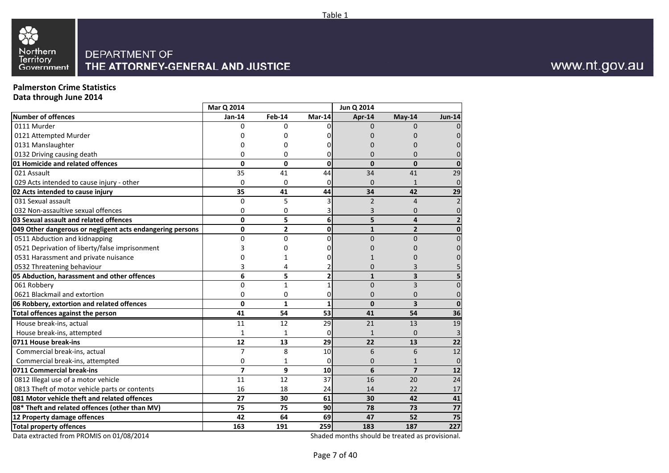

### **Palmerston Crime Statistics**

**Data through June 2014**

|                                                           | Mar Q 2014     |                |                | Jun Q 2014     |                         |                         |
|-----------------------------------------------------------|----------------|----------------|----------------|----------------|-------------------------|-------------------------|
| <b>Number of offences</b>                                 | Jan-14         | <b>Feb-14</b>  | $Mar-14$       | Apr-14         | May-14                  | <b>Jun-14</b>           |
| 0111 Murder                                               | O              | 0              | ΩI             | <sup>0</sup>   | O                       | $\Omega$                |
| 0121 Attempted Murder                                     | O              | 0              | 0              | 0              | N                       | 0                       |
| 0131 Manslaughter                                         | 0              | 0              | U              | 0              | ŋ                       | $\Omega$                |
| 0132 Driving causing death                                | 0              | 0              | 0              | 0              | $\Omega$                | $\Omega$                |
| 01 Homicide and related offences                          | $\mathbf 0$    | 0              | 0              | $\mathbf{0}$   | $\Omega$                | $\mathbf{0}$            |
| 021 Assault                                               | 35             | 41             | 44             | 34             | 41                      | 29                      |
| 029 Acts intended to cause injury - other                 | $\mathbf 0$    | 0              | $\overline{0}$ | $\mathbf{0}$   | $\mathbf{1}$            | $\overline{0}$          |
| 02 Acts intended to cause injury                          | 35             | 41             | 44             | 34             | 42                      | 29                      |
| 031 Sexual assault                                        | $\Omega$       | 5              | 3              | $\overline{2}$ | 4                       | $\overline{2}$          |
| 032 Non-assaultive sexual offences                        | 0              | 0              | 3              | 3              | 0                       | 0                       |
| 03 Sexual assault and related offences                    | $\mathbf 0$    | 5              | 6              | 5              | 4                       | $\overline{\mathbf{2}}$ |
| 049 Other dangerous or negligent acts endangering persons | 0              | $\overline{2}$ | $\mathbf{0}$   | $\mathbf{1}$   | $\overline{2}$          | 0                       |
| 0511 Abduction and kidnapping                             | 0              | $\overline{0}$ | ΩI             | $\overline{0}$ | $\Omega$                | $\overline{0}$          |
| 0521 Deprivation of liberty/false imprisonment            | 3              | 0              | ΩI             | 0              |                         | $\Omega$                |
| 0531 Harassment and private nuisance                      | O              | 1              | 0              |                |                         | 0                       |
| 0532 Threatening behaviour                                | 3              | 4              |                | $\overline{0}$ | 3                       |                         |
| 05 Abduction, harassment and other offences               | 6              | 5              | $\overline{2}$ | $\mathbf{1}$   | 3                       | 5                       |
| 061 Robbery                                               | $\mathbf 0$    | $\mathbf{1}$   | 1              | $\overline{0}$ | 3                       | $\overline{0}$          |
| 0621 Blackmail and extortion                              | $\Omega$       | 0              | 0              | $\Omega$       | $\Omega$                | 0                       |
| 06 Robbery, extortion and related offences                | $\mathbf 0$    | $\mathbf{1}$   | 1              | $\mathbf{0}$   | 3                       | $\mathbf 0$             |
| Total offences against the person                         | 41             | 54             | 53             | 41             | 54                      | 36                      |
| House break-ins, actual                                   | 11             | 12             | 29             | 21             | 13                      | 19                      |
| House break-ins, attempted                                | 1              | 1              | 0              | $\mathbf{1}$   | 0                       | 3                       |
| 0711 House break-ins                                      | 12             | 13             | 29             | 22             | 13                      | 22                      |
| Commercial break-ins, actual                              | $\overline{7}$ | 8              | 10             | 6              | 6                       | 12                      |
| Commercial break-ins, attempted                           | 0              | 1              | $\mathbf{0}$   | $\overline{0}$ | $\mathbf{1}$            | $\pmb{0}$               |
| 0711 Commercial break-ins                                 | $\overline{7}$ | 9              | 10             | 6              | $\overline{\mathbf{z}}$ | 12                      |
| 0812 Illegal use of a motor vehicle                       | 11             | 12             | 37             | 16             | 20                      | 24                      |
| 0813 Theft of motor vehicle parts or contents             | 16             | 18             | 24             | 14             | 22                      | 17                      |
| 081 Motor vehicle theft and related offences              | 27             | 30             | 61             | 30             | 42                      | 41                      |
| 08* Theft and related offences (other than MV)            | 75             | 75             | 90             | 78             | 73                      | 77                      |
| 12 Property damage offences                               | 42             | 64             | 69             | 47             | 52                      | 75                      |
| <b>Total property offences</b>                            | 163            | 191            | 259            | 183            | 187                     | 227                     |

Data extracted from PROMIS on 01/08/2014

Shaded months should be treated as provisional.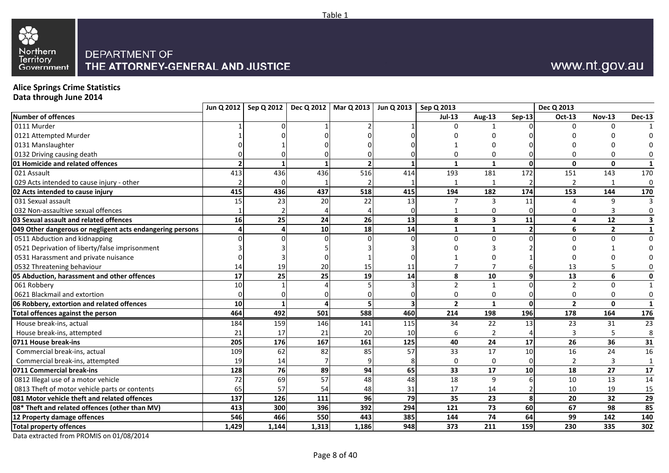

# www.nt.gov.au

# **Alice Springs Crime Statistics Data through June 2014**

|                                                           |                | Jun Q 2012   Sep Q 2012 |       | Dec Q 2012   Mar Q 2013   Jun Q 2013   Sep Q 2013 |     |                 |                         |                 | Dec Q 2013      |                |                         |
|-----------------------------------------------------------|----------------|-------------------------|-------|---------------------------------------------------|-----|-----------------|-------------------------|-----------------|-----------------|----------------|-------------------------|
| <b>Number of offences</b>                                 |                |                         |       |                                                   |     | <b>Jul-13</b>   | Aug-13                  | <b>Sep-13</b>   | Oct-13          | <b>Nov-13</b>  | <b>Dec-13</b>           |
| 0111 Murder                                               |                |                         |       |                                                   |     | <sup>0</sup>    |                         |                 | $\Omega$        |                |                         |
| 0121 Attempted Murder                                     |                |                         |       |                                                   |     |                 |                         |                 |                 |                |                         |
| 0131 Manslaughter                                         |                |                         |       |                                                   |     |                 |                         |                 |                 |                |                         |
| 0132 Driving causing death                                |                |                         |       |                                                   |     |                 | 0                       |                 | <sup>0</sup>    | O              | 0                       |
| 01 Homicide and related offences                          | $\overline{2}$ |                         |       |                                                   |     | $\mathbf{1}$    | $\mathbf{1}$            | $\mathbf{0}$    | $\mathbf{0}$    | $\mathbf{0}$   | $\mathbf{1}$            |
| 021 Assault                                               | 413            | 436                     | 436   | 516                                               | 414 | 193             | 181                     | 172             | 151             | 143            | 170                     |
| 029 Acts intended to cause injury - other                 |                |                         |       |                                                   |     |                 | $\mathbf{1}$            |                 | $\overline{2}$  |                | $\mathbf 0$             |
| 02 Acts intended to cause injury                          | 415            | 436                     | 437   | 518                                               | 415 | 194             | 182                     | 174             | 153             | 144            | 170                     |
| 031 Sexual assault                                        | 15             | 23                      | 20    | 22                                                | 13  | $\overline{7}$  | 3                       | 11              | 4               | 9              | 3                       |
| 032 Non-assaultive sexual offences                        |                |                         |       |                                                   |     |                 | 0                       |                 | 0               | 3              | 0                       |
| 03 Sexual assault and related offences                    | 16             | 25                      | 24    | 26                                                | 13  | 8               | $\overline{\mathbf{3}}$ | 11              | 4               | 12             | $\overline{\mathbf{3}}$ |
| 049 Other dangerous or negligent acts endangering persons |                |                         | 10    | 18                                                | 14  | 1               | $\mathbf{1}$            | $\overline{2}$  | 6               | $\overline{2}$ | $\mathbf{1}$            |
| 0511 Abduction and kidnapping                             |                |                         |       |                                                   |     | $\Omega$        | $\mathbf 0$             | O               | $\Omega$        | $\Omega$       | $\mathbf 0$             |
| 0521 Deprivation of liberty/false imprisonment            |                |                         |       |                                                   |     |                 |                         |                 |                 |                | $\Omega$                |
| 0531 Harassment and private nuisance                      |                |                         |       |                                                   |     |                 |                         |                 |                 |                |                         |
| 0532 Threatening behaviour                                | 14             | 19                      | 20    | 15                                                | 11  |                 | $\overline{7}$          |                 | 13              |                | 0                       |
| 05 Abduction, harassment and other offences               | 17             | 25                      | 25    | 19                                                | 14  | 8               | 10                      | 9               | 13              | 6              | 0                       |
| 061 Robbery                                               | 10             |                         |       |                                                   |     |                 | $\mathbf{1}$            |                 | $\overline{2}$  | $\mathbf 0$    | $\mathbf{1}$            |
| 0621 Blackmail and extortion                              | $\Omega$       |                         |       |                                                   |     | $\Omega$        | $\mathbf 0$             |                 | $\Omega$        | $\Omega$       | 0                       |
| 06 Robbery, extortion and related offences                | 10             |                         |       |                                                   | 3   | $\overline{2}$  | $\mathbf{1}$            | $\mathbf{0}$    | $\overline{2}$  | $\mathbf{0}$   | $\mathbf{1}$            |
| Total offences against the person                         | 464            | 492                     | 501   | 588                                               | 460 | 214             | 198                     | 196             | 178             | 164            | 176                     |
| House break-ins, actual                                   | 184            | 159                     | 146   | 141                                               | 115 | 34              | 22                      | 13              | 23              | 31             | $\overline{23}$         |
| House break-ins, attempted                                | 21             | 17                      | 21    | 20                                                | 10  |                 | $\overline{2}$          |                 |                 |                | 8                       |
| 0711 House break-ins                                      | 205            | 176                     | 167   | 161                                               | 125 | 40              | 24                      | 17              | 26              | 36             | 31                      |
| Commercial break-ins, actual                              | 109            | 62                      | 82    | 85                                                | 57  | $\overline{33}$ | $\overline{17}$         | 10              | $\overline{16}$ | 24             | 16                      |
| Commercial break-ins, attempted                           | 19             | 14                      |       |                                                   |     | $\Omega$        | 0                       |                 | $\overline{2}$  | 3              | $\mathbf{1}$            |
| 0711 Commercial break-ins                                 | 128            | $\overline{76}$         | 89    | 94                                                | 65  | 33              | 17                      | 10 <sup>1</sup> | $\overline{18}$ | 27             | 17                      |
| 0812 Illegal use of a motor vehicle                       | $72\,$         | 69                      | 57    | 48                                                | 48  | 18              | 9                       |                 | 10              | 13             | 14                      |
| 0813 Theft of motor vehicle parts or contents             | 65             | 57                      | 54    | 48                                                | 31  | 17              | 14                      |                 | 10              | 19             | 15                      |
| 081 Motor vehicle theft and related offences              | 137            | 126                     | 111   | 96                                                | 79  | 35              | 23                      | 8               | 20              | 32             | $\overline{29}$         |
| 08* Theft and related offences (other than MV)            | 413            | 300                     | 396   | 392                                               | 294 | 121             | 73                      | 60              | 67              | 98             | 85                      |
| 12 Property damage offences                               | 546            | 466                     | 550   | 443                                               | 385 | 144             | 74                      | 64              | 99              | 142            | 140                     |
| <b>Total property offences</b>                            | 1,429          | 1,144                   | 1,313 | 1,186                                             | 948 | 373             | 211                     | 159             | 230             | 335            | 302                     |
|                                                           |                |                         |       |                                                   |     |                 |                         |                 |                 |                |                         |

Data extracted from PROMIS on 01/08/2014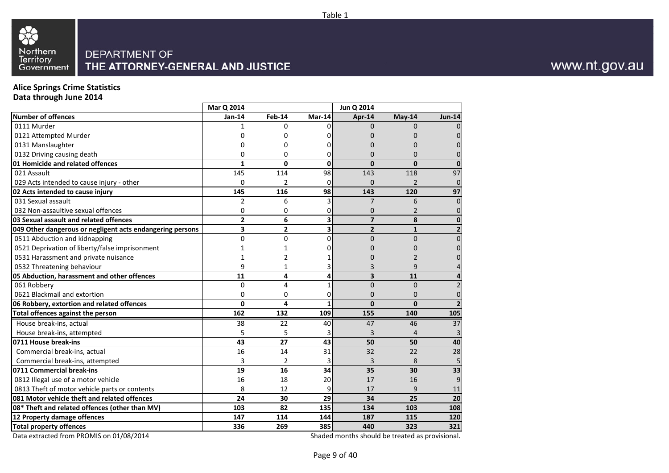

### **Alice Springs Crime Statistics**

**Data through June 2014**

|                                                           | Mar Q 2014     |                |        | Jun Q 2014              |                |                         |
|-----------------------------------------------------------|----------------|----------------|--------|-------------------------|----------------|-------------------------|
| <b>Number of offences</b>                                 | $Jan-14$       | <b>Feb-14</b>  | Mar-14 | Apr-14                  | May-14         | <b>Jun-14</b>           |
| 0111 Murder                                               | 1              | <sup>0</sup>   |        | $\Omega$                | $\Omega$       | $\overline{0}$          |
| 0121 Attempted Murder                                     | 0              | 0              |        | 0                       | 0              | $\overline{0}$          |
| 0131 Manslaughter                                         | 0              | $\Omega$       |        | $\Omega$                | $\Omega$       | $\pmb{0}$               |
| 0132 Driving causing death                                | 0              | $\Omega$       |        | $\Omega$                | $\Omega$       | $\overline{0}$          |
| 01 Homicide and related offences                          | $\mathbf{1}$   | $\mathbf 0$    | 0      | $\mathbf{0}$            | $\Omega$       | $\mathbf 0$             |
| 021 Assault                                               | 145            | 114            | 98     | 143                     | 118            | 97                      |
| 029 Acts intended to cause injury - other                 | 0              | 2              | 0      | $\Omega$                | $\overline{2}$ | $\mathbf 0$             |
| 02 Acts intended to cause injury                          | 145            | 116            | 98     | 143                     | 120            | 97                      |
| 031 Sexual assault                                        | $\overline{2}$ | 6              | 3      | $\overline{7}$          | 6              | $\overline{0}$          |
| 032 Non-assaultive sexual offences                        | 0              | 0              | 0      | 0                       | $\overline{2}$ | $\pmb{0}$               |
| 03 Sexual assault and related offences                    | $\overline{2}$ | 6              | 3      | $\overline{7}$          | 8              | $\pmb{0}$               |
| 049 Other dangerous or negligent acts endangering persons | 3              | $\overline{2}$ | 3      | $\overline{2}$          | $\mathbf{1}$   | $\overline{\mathbf{c}}$ |
| 0511 Abduction and kidnapping                             | $\overline{0}$ | $\Omega$       | 0      | $\overline{0}$          | $\Omega$       | $\pmb{0}$               |
| 0521 Deprivation of liberty/false imprisonment            |                | 1              |        | 0                       | 0              | $\pmb{0}$               |
| 0531 Harassment and private nuisance                      | 1              | $\overline{2}$ |        | 0                       | 2              | $\overline{0}$          |
| 0532 Threatening behaviour                                | 9              | 1              |        | 3                       | 9              | $\overline{4}$          |
| 05 Abduction, harassment and other offences               | 11             | 4              | 4      | $\overline{\mathbf{3}}$ | 11             | $\overline{\mathbf{4}}$ |
| 061 Robbery                                               | 0              | 4              |        | $\overline{0}$          | $\Omega$       | $\overline{2}$          |
| 0621 Blackmail and extortion                              | 0              | $\Omega$       | 0      | $\Omega$                | $\Omega$       | $\pmb{0}$               |
| 06 Robbery, extortion and related offences                | 0              | 4              |        | $\Omega$                | $\mathbf{0}$   | $\overline{2}$          |
| Total offences against the person                         | 162            | 132            | 109    | 155                     | 140            | 105                     |
| House break-ins, actual                                   | 38             | 22             | 40     | 47                      | 46             | 37                      |
| House break-ins, attempted                                | 5              | 5              |        | 3                       | 4              | 3                       |
| 0711 House break-ins                                      | 43             | 27             | 43     | 50                      | 50             | 40                      |
| Commercial break-ins, actual                              | 16             | 14             | 31     | 32                      | 22             | 28                      |
| Commercial break-ins, attempted                           | 3              | $\overline{2}$ |        | 3                       | 8              | $\overline{5}$          |
| 0711 Commercial break-ins                                 | 19             | 16             | 34     | 35                      | 30             | 33                      |
| 0812 Illegal use of a motor vehicle                       | 16             | 18             | 20     | 17                      | 16             | 9                       |
| 0813 Theft of motor vehicle parts or contents             | 8              | 12             | 9      | 17                      | 9              | $11\,$                  |
| 081 Motor vehicle theft and related offences              | 24             | 30             | 29     | 34                      | 25             | 20                      |
| 08* Theft and related offences (other than MV)            | 103            | 82             | 135    | 134                     | 103            | 108                     |
| 12 Property damage offences                               | 147            | 114            | 144    | 187                     | 115            | 120                     |
| <b>Total property offences</b>                            | 336            | 269            | 385    | 440                     | 323            | 321                     |

Data extracted from PROMIS on 01/08/2014

Shaded months should be treated as provisional.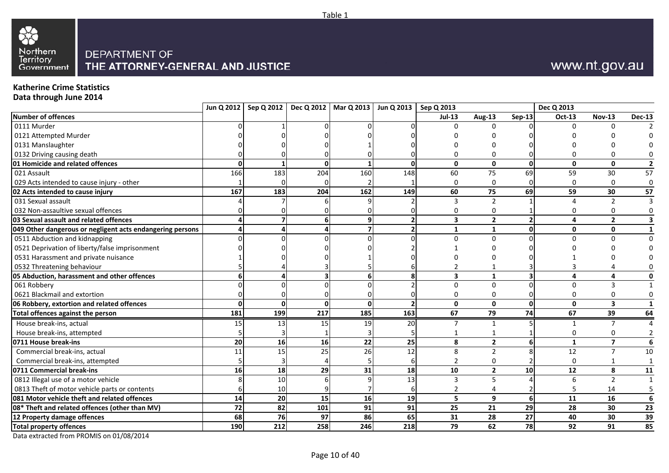

### **Katherine Crime Statistics**

**Data through June 2014**

| <b>Number of offences</b><br><b>Aug-13</b><br><b>Nov-13</b><br>$Jul-13$<br>$Sen-13$<br>Oct-13<br><b>Dec-13</b><br>0111 Murder<br>$\Omega$<br>$\Omega$<br>0121 Attempted Murder<br>0131 Manslaughter<br>0132 Driving causing death<br>01 Homicide and related offences<br>$\mathbf{0}$<br>$\Omega$<br>$\Omega$<br>$\Omega$<br>$\mathbf{0}$<br>$\mathbf{0}$<br>$\mathbf{0}$<br>$\mathbf{0}$<br>$\overline{2}$<br>166<br>183<br>204<br>160<br>148<br>69<br>59<br>021 Assault<br>60<br>75<br>30<br>029 Acts intended to cause injury - other<br>$\Omega$<br>$\Omega$<br>$\Omega$<br>57<br>167<br>$\frac{162}{162}$<br>69<br>183<br>204<br>149<br>60<br>75<br>59<br>30<br>031 Sexual assault<br>$\overline{2}$<br>₹<br>$\overline{2}$<br>032 Non-assaultive sexual offences<br>0<br>$\mathbf{2}$<br>03 Sexual assault and related offences<br>$\overline{\mathbf{3}}$<br>$\overline{2}$<br>6<br>$\mathbf{0}$<br>049 Other dangerous or negligent acts endangering persons<br>$\mathbf{1}$<br>1<br>$\mathbf{0}$<br>0511 Abduction and kidnapping<br>$\Omega$<br>∩<br>0521 Deprivation of liberty/false imprisonment<br>0531 Harassment and private nuisance<br>0532 Threatening behaviour<br>$\overline{\mathbf{3}}$<br>$\mathbf{1}$<br>4<br>061 Robbery<br>$\Omega$<br>$\Omega$<br>3<br>0621 Blackmail and extortion<br>$\Omega$<br>n<br>$\Omega$<br>06 Robbery, extortion and related offences<br>$\Omega$<br>$\mathbf{0}$<br>$\mathbf{0}$<br>$\mathbf{0}$<br>$\mathbf 0$<br>$\overline{\mathbf{3}}$<br>$\Omega$<br>$\mathbf{1}$<br>199<br>67<br>74<br>67<br>64<br>181<br>217<br>185<br>163<br>79<br>39<br>Total offences against the person<br>House break-ins, actual<br>15<br>13<br>15<br>19<br>20<br>7<br>1<br>1<br>House break-ins, attempted<br>$\mathbf{2}$<br>0711 House break-ins<br>20<br>16<br>16<br>22<br>25<br>8<br>$\mathbf{1}$<br>$\overline{\mathbf{z}}$<br>6 <sup>1</sup><br>$\overline{25}$<br>26<br>12<br>$\overline{12}$<br>11<br>15<br>8<br>$\overline{2}$<br>$\overline{7}$<br>Commercial break-ins, actual<br>Commercial break-ins, attempted<br>$\Omega$<br>18<br>29<br>31<br>18<br>$\overline{2}$<br>0711 Commercial break-ins<br>16<br>10<br>10<br>12<br>8<br>0812 Illegal use of a motor vehicle<br>10<br>13<br>5<br>$\overline{2}$<br>6<br>$\mathbf{a}$<br>$\overline{1}$<br>0813 Theft of motor vehicle parts or contents<br>10<br>14<br>9<br>14<br>20<br>15<br>16<br>19<br>5<br>11<br>16<br>6 <sup>1</sup><br>6<br>29<br>72<br>82<br>91<br>91<br>101<br>25<br>21<br>28<br>30<br>23<br>86<br>65<br>28<br>27<br>30<br>39<br>12 Property damage offences<br>68<br>76<br>97<br>31<br>40<br>246<br>78<br>190<br>212<br>258<br>218<br>79<br>62<br>91<br>92<br><b>Total property offences</b> |                                                |  | Jun Q 2012   Sep Q 2012   Dec Q 2012   Mar Q 2013   Jun Q 2013   Sep Q 2013 |  |  | Dec Q 2013 |             |
|------------------------------------------------------------------------------------------------------------------------------------------------------------------------------------------------------------------------------------------------------------------------------------------------------------------------------------------------------------------------------------------------------------------------------------------------------------------------------------------------------------------------------------------------------------------------------------------------------------------------------------------------------------------------------------------------------------------------------------------------------------------------------------------------------------------------------------------------------------------------------------------------------------------------------------------------------------------------------------------------------------------------------------------------------------------------------------------------------------------------------------------------------------------------------------------------------------------------------------------------------------------------------------------------------------------------------------------------------------------------------------------------------------------------------------------------------------------------------------------------------------------------------------------------------------------------------------------------------------------------------------------------------------------------------------------------------------------------------------------------------------------------------------------------------------------------------------------------------------------------------------------------------------------------------------------------------------------------------------------------------------------------------------------------------------------------------------------------------------------------------------------------------------------------------------------------------------------------------------------------------------------------------------------------------------------------------------------------------------------------------------------------------------------------------------------------------------------------------------------------------------------------------------------------------------------------------------------------------------------------------------------------------------------------------------------------------------------|------------------------------------------------|--|-----------------------------------------------------------------------------|--|--|------------|-------------|
|                                                                                                                                                                                                                                                                                                                                                                                                                                                                                                                                                                                                                                                                                                                                                                                                                                                                                                                                                                                                                                                                                                                                                                                                                                                                                                                                                                                                                                                                                                                                                                                                                                                                                                                                                                                                                                                                                                                                                                                                                                                                                                                                                                                                                                                                                                                                                                                                                                                                                                                                                                                                                                                                                                                  |                                                |  |                                                                             |  |  |            |             |
|                                                                                                                                                                                                                                                                                                                                                                                                                                                                                                                                                                                                                                                                                                                                                                                                                                                                                                                                                                                                                                                                                                                                                                                                                                                                                                                                                                                                                                                                                                                                                                                                                                                                                                                                                                                                                                                                                                                                                                                                                                                                                                                                                                                                                                                                                                                                                                                                                                                                                                                                                                                                                                                                                                                  |                                                |  |                                                                             |  |  |            |             |
|                                                                                                                                                                                                                                                                                                                                                                                                                                                                                                                                                                                                                                                                                                                                                                                                                                                                                                                                                                                                                                                                                                                                                                                                                                                                                                                                                                                                                                                                                                                                                                                                                                                                                                                                                                                                                                                                                                                                                                                                                                                                                                                                                                                                                                                                                                                                                                                                                                                                                                                                                                                                                                                                                                                  |                                                |  |                                                                             |  |  |            |             |
|                                                                                                                                                                                                                                                                                                                                                                                                                                                                                                                                                                                                                                                                                                                                                                                                                                                                                                                                                                                                                                                                                                                                                                                                                                                                                                                                                                                                                                                                                                                                                                                                                                                                                                                                                                                                                                                                                                                                                                                                                                                                                                                                                                                                                                                                                                                                                                                                                                                                                                                                                                                                                                                                                                                  |                                                |  |                                                                             |  |  |            |             |
|                                                                                                                                                                                                                                                                                                                                                                                                                                                                                                                                                                                                                                                                                                                                                                                                                                                                                                                                                                                                                                                                                                                                                                                                                                                                                                                                                                                                                                                                                                                                                                                                                                                                                                                                                                                                                                                                                                                                                                                                                                                                                                                                                                                                                                                                                                                                                                                                                                                                                                                                                                                                                                                                                                                  |                                                |  |                                                                             |  |  |            |             |
|                                                                                                                                                                                                                                                                                                                                                                                                                                                                                                                                                                                                                                                                                                                                                                                                                                                                                                                                                                                                                                                                                                                                                                                                                                                                                                                                                                                                                                                                                                                                                                                                                                                                                                                                                                                                                                                                                                                                                                                                                                                                                                                                                                                                                                                                                                                                                                                                                                                                                                                                                                                                                                                                                                                  |                                                |  |                                                                             |  |  |            |             |
|                                                                                                                                                                                                                                                                                                                                                                                                                                                                                                                                                                                                                                                                                                                                                                                                                                                                                                                                                                                                                                                                                                                                                                                                                                                                                                                                                                                                                                                                                                                                                                                                                                                                                                                                                                                                                                                                                                                                                                                                                                                                                                                                                                                                                                                                                                                                                                                                                                                                                                                                                                                                                                                                                                                  |                                                |  |                                                                             |  |  |            | 57          |
|                                                                                                                                                                                                                                                                                                                                                                                                                                                                                                                                                                                                                                                                                                                                                                                                                                                                                                                                                                                                                                                                                                                                                                                                                                                                                                                                                                                                                                                                                                                                                                                                                                                                                                                                                                                                                                                                                                                                                                                                                                                                                                                                                                                                                                                                                                                                                                                                                                                                                                                                                                                                                                                                                                                  |                                                |  |                                                                             |  |  |            | $\mathbf 0$ |
|                                                                                                                                                                                                                                                                                                                                                                                                                                                                                                                                                                                                                                                                                                                                                                                                                                                                                                                                                                                                                                                                                                                                                                                                                                                                                                                                                                                                                                                                                                                                                                                                                                                                                                                                                                                                                                                                                                                                                                                                                                                                                                                                                                                                                                                                                                                                                                                                                                                                                                                                                                                                                                                                                                                  | 02 Acts intended to cause injury               |  |                                                                             |  |  |            |             |
|                                                                                                                                                                                                                                                                                                                                                                                                                                                                                                                                                                                                                                                                                                                                                                                                                                                                                                                                                                                                                                                                                                                                                                                                                                                                                                                                                                                                                                                                                                                                                                                                                                                                                                                                                                                                                                                                                                                                                                                                                                                                                                                                                                                                                                                                                                                                                                                                                                                                                                                                                                                                                                                                                                                  |                                                |  |                                                                             |  |  |            |             |
|                                                                                                                                                                                                                                                                                                                                                                                                                                                                                                                                                                                                                                                                                                                                                                                                                                                                                                                                                                                                                                                                                                                                                                                                                                                                                                                                                                                                                                                                                                                                                                                                                                                                                                                                                                                                                                                                                                                                                                                                                                                                                                                                                                                                                                                                                                                                                                                                                                                                                                                                                                                                                                                                                                                  |                                                |  |                                                                             |  |  |            |             |
|                                                                                                                                                                                                                                                                                                                                                                                                                                                                                                                                                                                                                                                                                                                                                                                                                                                                                                                                                                                                                                                                                                                                                                                                                                                                                                                                                                                                                                                                                                                                                                                                                                                                                                                                                                                                                                                                                                                                                                                                                                                                                                                                                                                                                                                                                                                                                                                                                                                                                                                                                                                                                                                                                                                  |                                                |  |                                                                             |  |  |            |             |
|                                                                                                                                                                                                                                                                                                                                                                                                                                                                                                                                                                                                                                                                                                                                                                                                                                                                                                                                                                                                                                                                                                                                                                                                                                                                                                                                                                                                                                                                                                                                                                                                                                                                                                                                                                                                                                                                                                                                                                                                                                                                                                                                                                                                                                                                                                                                                                                                                                                                                                                                                                                                                                                                                                                  |                                                |  |                                                                             |  |  |            |             |
|                                                                                                                                                                                                                                                                                                                                                                                                                                                                                                                                                                                                                                                                                                                                                                                                                                                                                                                                                                                                                                                                                                                                                                                                                                                                                                                                                                                                                                                                                                                                                                                                                                                                                                                                                                                                                                                                                                                                                                                                                                                                                                                                                                                                                                                                                                                                                                                                                                                                                                                                                                                                                                                                                                                  |                                                |  |                                                                             |  |  |            | $\Omega$    |
|                                                                                                                                                                                                                                                                                                                                                                                                                                                                                                                                                                                                                                                                                                                                                                                                                                                                                                                                                                                                                                                                                                                                                                                                                                                                                                                                                                                                                                                                                                                                                                                                                                                                                                                                                                                                                                                                                                                                                                                                                                                                                                                                                                                                                                                                                                                                                                                                                                                                                                                                                                                                                                                                                                                  |                                                |  |                                                                             |  |  |            |             |
|                                                                                                                                                                                                                                                                                                                                                                                                                                                                                                                                                                                                                                                                                                                                                                                                                                                                                                                                                                                                                                                                                                                                                                                                                                                                                                                                                                                                                                                                                                                                                                                                                                                                                                                                                                                                                                                                                                                                                                                                                                                                                                                                                                                                                                                                                                                                                                                                                                                                                                                                                                                                                                                                                                                  |                                                |  |                                                                             |  |  |            |             |
|                                                                                                                                                                                                                                                                                                                                                                                                                                                                                                                                                                                                                                                                                                                                                                                                                                                                                                                                                                                                                                                                                                                                                                                                                                                                                                                                                                                                                                                                                                                                                                                                                                                                                                                                                                                                                                                                                                                                                                                                                                                                                                                                                                                                                                                                                                                                                                                                                                                                                                                                                                                                                                                                                                                  |                                                |  |                                                                             |  |  |            |             |
|                                                                                                                                                                                                                                                                                                                                                                                                                                                                                                                                                                                                                                                                                                                                                                                                                                                                                                                                                                                                                                                                                                                                                                                                                                                                                                                                                                                                                                                                                                                                                                                                                                                                                                                                                                                                                                                                                                                                                                                                                                                                                                                                                                                                                                                                                                                                                                                                                                                                                                                                                                                                                                                                                                                  | 05 Abduction, harassment and other offences    |  |                                                                             |  |  |            |             |
|                                                                                                                                                                                                                                                                                                                                                                                                                                                                                                                                                                                                                                                                                                                                                                                                                                                                                                                                                                                                                                                                                                                                                                                                                                                                                                                                                                                                                                                                                                                                                                                                                                                                                                                                                                                                                                                                                                                                                                                                                                                                                                                                                                                                                                                                                                                                                                                                                                                                                                                                                                                                                                                                                                                  |                                                |  |                                                                             |  |  |            |             |
|                                                                                                                                                                                                                                                                                                                                                                                                                                                                                                                                                                                                                                                                                                                                                                                                                                                                                                                                                                                                                                                                                                                                                                                                                                                                                                                                                                                                                                                                                                                                                                                                                                                                                                                                                                                                                                                                                                                                                                                                                                                                                                                                                                                                                                                                                                                                                                                                                                                                                                                                                                                                                                                                                                                  |                                                |  |                                                                             |  |  |            |             |
|                                                                                                                                                                                                                                                                                                                                                                                                                                                                                                                                                                                                                                                                                                                                                                                                                                                                                                                                                                                                                                                                                                                                                                                                                                                                                                                                                                                                                                                                                                                                                                                                                                                                                                                                                                                                                                                                                                                                                                                                                                                                                                                                                                                                                                                                                                                                                                                                                                                                                                                                                                                                                                                                                                                  |                                                |  |                                                                             |  |  |            |             |
|                                                                                                                                                                                                                                                                                                                                                                                                                                                                                                                                                                                                                                                                                                                                                                                                                                                                                                                                                                                                                                                                                                                                                                                                                                                                                                                                                                                                                                                                                                                                                                                                                                                                                                                                                                                                                                                                                                                                                                                                                                                                                                                                                                                                                                                                                                                                                                                                                                                                                                                                                                                                                                                                                                                  |                                                |  |                                                                             |  |  |            |             |
|                                                                                                                                                                                                                                                                                                                                                                                                                                                                                                                                                                                                                                                                                                                                                                                                                                                                                                                                                                                                                                                                                                                                                                                                                                                                                                                                                                                                                                                                                                                                                                                                                                                                                                                                                                                                                                                                                                                                                                                                                                                                                                                                                                                                                                                                                                                                                                                                                                                                                                                                                                                                                                                                                                                  |                                                |  |                                                                             |  |  |            |             |
|                                                                                                                                                                                                                                                                                                                                                                                                                                                                                                                                                                                                                                                                                                                                                                                                                                                                                                                                                                                                                                                                                                                                                                                                                                                                                                                                                                                                                                                                                                                                                                                                                                                                                                                                                                                                                                                                                                                                                                                                                                                                                                                                                                                                                                                                                                                                                                                                                                                                                                                                                                                                                                                                                                                  |                                                |  |                                                                             |  |  |            |             |
|                                                                                                                                                                                                                                                                                                                                                                                                                                                                                                                                                                                                                                                                                                                                                                                                                                                                                                                                                                                                                                                                                                                                                                                                                                                                                                                                                                                                                                                                                                                                                                                                                                                                                                                                                                                                                                                                                                                                                                                                                                                                                                                                                                                                                                                                                                                                                                                                                                                                                                                                                                                                                                                                                                                  |                                                |  |                                                                             |  |  |            |             |
|                                                                                                                                                                                                                                                                                                                                                                                                                                                                                                                                                                                                                                                                                                                                                                                                                                                                                                                                                                                                                                                                                                                                                                                                                                                                                                                                                                                                                                                                                                                                                                                                                                                                                                                                                                                                                                                                                                                                                                                                                                                                                                                                                                                                                                                                                                                                                                                                                                                                                                                                                                                                                                                                                                                  |                                                |  |                                                                             |  |  |            | 10          |
|                                                                                                                                                                                                                                                                                                                                                                                                                                                                                                                                                                                                                                                                                                                                                                                                                                                                                                                                                                                                                                                                                                                                                                                                                                                                                                                                                                                                                                                                                                                                                                                                                                                                                                                                                                                                                                                                                                                                                                                                                                                                                                                                                                                                                                                                                                                                                                                                                                                                                                                                                                                                                                                                                                                  |                                                |  |                                                                             |  |  |            |             |
|                                                                                                                                                                                                                                                                                                                                                                                                                                                                                                                                                                                                                                                                                                                                                                                                                                                                                                                                                                                                                                                                                                                                                                                                                                                                                                                                                                                                                                                                                                                                                                                                                                                                                                                                                                                                                                                                                                                                                                                                                                                                                                                                                                                                                                                                                                                                                                                                                                                                                                                                                                                                                                                                                                                  |                                                |  |                                                                             |  |  |            | 11          |
|                                                                                                                                                                                                                                                                                                                                                                                                                                                                                                                                                                                                                                                                                                                                                                                                                                                                                                                                                                                                                                                                                                                                                                                                                                                                                                                                                                                                                                                                                                                                                                                                                                                                                                                                                                                                                                                                                                                                                                                                                                                                                                                                                                                                                                                                                                                                                                                                                                                                                                                                                                                                                                                                                                                  |                                                |  |                                                                             |  |  |            |             |
|                                                                                                                                                                                                                                                                                                                                                                                                                                                                                                                                                                                                                                                                                                                                                                                                                                                                                                                                                                                                                                                                                                                                                                                                                                                                                                                                                                                                                                                                                                                                                                                                                                                                                                                                                                                                                                                                                                                                                                                                                                                                                                                                                                                                                                                                                                                                                                                                                                                                                                                                                                                                                                                                                                                  |                                                |  |                                                                             |  |  |            |             |
|                                                                                                                                                                                                                                                                                                                                                                                                                                                                                                                                                                                                                                                                                                                                                                                                                                                                                                                                                                                                                                                                                                                                                                                                                                                                                                                                                                                                                                                                                                                                                                                                                                                                                                                                                                                                                                                                                                                                                                                                                                                                                                                                                                                                                                                                                                                                                                                                                                                                                                                                                                                                                                                                                                                  | 081 Motor vehicle theft and related offences   |  |                                                                             |  |  |            |             |
|                                                                                                                                                                                                                                                                                                                                                                                                                                                                                                                                                                                                                                                                                                                                                                                                                                                                                                                                                                                                                                                                                                                                                                                                                                                                                                                                                                                                                                                                                                                                                                                                                                                                                                                                                                                                                                                                                                                                                                                                                                                                                                                                                                                                                                                                                                                                                                                                                                                                                                                                                                                                                                                                                                                  | 08* Theft and related offences (other than MV) |  |                                                                             |  |  |            |             |
|                                                                                                                                                                                                                                                                                                                                                                                                                                                                                                                                                                                                                                                                                                                                                                                                                                                                                                                                                                                                                                                                                                                                                                                                                                                                                                                                                                                                                                                                                                                                                                                                                                                                                                                                                                                                                                                                                                                                                                                                                                                                                                                                                                                                                                                                                                                                                                                                                                                                                                                                                                                                                                                                                                                  |                                                |  |                                                                             |  |  |            |             |
|                                                                                                                                                                                                                                                                                                                                                                                                                                                                                                                                                                                                                                                                                                                                                                                                                                                                                                                                                                                                                                                                                                                                                                                                                                                                                                                                                                                                                                                                                                                                                                                                                                                                                                                                                                                                                                                                                                                                                                                                                                                                                                                                                                                                                                                                                                                                                                                                                                                                                                                                                                                                                                                                                                                  |                                                |  |                                                                             |  |  |            | 85          |

Table 1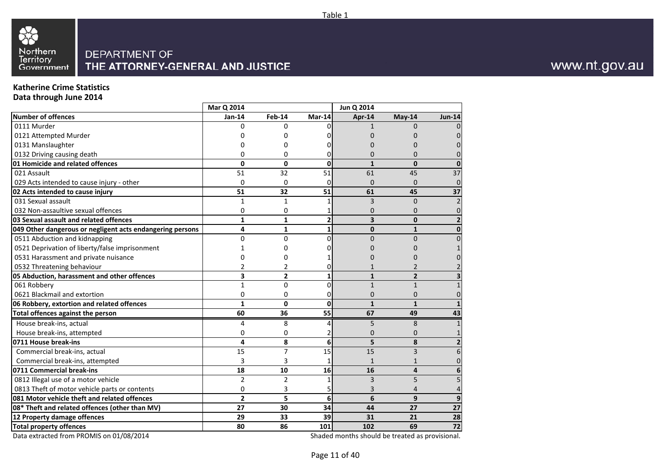

### **Katherine Crime Statistics**

**Data through June 2014**

|                                                           | Mar Q 2014              |                |                | Jun Q 2014              |                |               |
|-----------------------------------------------------------|-------------------------|----------------|----------------|-------------------------|----------------|---------------|
| <b>Number of offences</b>                                 | Jan-14                  | <b>Feb-14</b>  | Mar-14         | Apr-14                  | $May-14$       | <b>Jun-14</b> |
| 0111 Murder                                               | $\Omega$                | 0              | U              | 1                       | $\Omega$       |               |
| 0121 Attempted Murder                                     |                         | 0              |                | O                       | 0              |               |
| 0131 Manslaughter                                         |                         | 0              |                |                         | <sup>0</sup>   |               |
| 0132 Driving causing death                                | 0                       | 0              |                | $\Omega$                | $\Omega$       |               |
| 01 Homicide and related offences                          | $\Omega$                | $\mathbf{0}$   | $\Omega$       | $\mathbf{1}$            | $\Omega$       |               |
| 021 Assault                                               | 51                      | 32             | 51             | 61                      | 45             | 37            |
| 029 Acts intended to cause injury - other                 | $\Omega$                | 0              | 0              | $\Omega$                | $\Omega$       | 0             |
| 02 Acts intended to cause injury                          | 51                      | 32             | 51             | 61                      | 45             | 37            |
| 031 Sexual assault                                        | $\mathbf{1}$            | $\mathbf{1}$   |                | 3                       | $\Omega$       |               |
| 032 Non-assaultive sexual offences                        | $\mathbf 0$             | 0              |                | $\mathbf{0}$            | $\Omega$       | 0             |
| 03 Sexual assault and related offences                    | $\mathbf{1}$            | $\mathbf{1}$   | $\overline{2}$ | $\overline{\mathbf{3}}$ | $\Omega$       |               |
| 049 Other dangerous or negligent acts endangering persons | 4                       | $\mathbf{1}$   | $\mathbf{1}$   | 0                       | $\mathbf{1}$   | 0             |
| 0511 Abduction and kidnapping                             | $\mathbf{0}$            | $\Omega$       | $\Omega$       | $\Omega$                | $\Omega$       |               |
| 0521 Deprivation of liberty/false imprisonment            |                         | 0              |                |                         | n              |               |
| 0531 Harassment and private nuisance                      |                         | 0              |                |                         | Ω              |               |
| 0532 Threatening behaviour                                | 2                       | 2              |                |                         |                |               |
| 05 Abduction, harassment and other offences               | 3                       | $\overline{2}$ | 1              | $\mathbf{1}$            | $\overline{2}$ |               |
| 061 Robbery                                               | $\mathbf{1}$            | $\Omega$       | $\Omega$       | $\mathbf{1}$            | $\mathbf{1}$   |               |
| 0621 Blackmail and extortion                              | 0                       | 0              | 0              | $\mathbf{0}$            | $\Omega$       |               |
| 06 Robbery, extortion and related offences                | $\mathbf{1}$            | 0              | $\Omega$       | $\mathbf{1}$            | $\mathbf{1}$   |               |
| Total offences against the person                         | 60                      | 36             | 55             | 67                      | 49             | 43            |
| House break-ins, actual                                   | 4                       | 8              | 4              | 5                       | 8              |               |
| House break-ins, attempted                                | 0                       | 0              | 2              | $\mathbf{0}$            | $\Omega$       |               |
| 0711 House break-ins                                      | 4                       | 8              | 6              | 5                       | 8              |               |
| Commercial break-ins, actual                              | 15                      | $\overline{7}$ | 15             | 15                      | $\overline{3}$ | 6             |
| Commercial break-ins, attempted                           | 3                       | 3              | 1              | $\mathbf{1}$            | $\mathbf{1}$   |               |
| 0711 Commercial break-ins                                 | 18                      | 10             | 16             | 16                      | 4              |               |
| 0812 Illegal use of a motor vehicle                       | $\overline{2}$          | $\overline{2}$ |                | 3                       | 5              | 5             |
| 0813 Theft of motor vehicle parts or contents             | $\mathbf 0$             | 3              |                |                         | 4              |               |
| 081 Motor vehicle theft and related offences              | $\overline{\mathbf{2}}$ | 5              | 6              | 6                       | 9              | 9             |
| 08* Theft and related offences (other than MV)            | 27                      | 30             | 34             | 44                      | 27             | 27            |
| 12 Property damage offences                               | 29                      | 33             | 39             | 31                      | 21             | 28            |
| <b>Total property offences</b>                            | 80                      | 86             | 101            | 102                     | 69             | 72            |

Data extracted from PROMIS on 01/08/2014

Shaded months should be treated as provisional.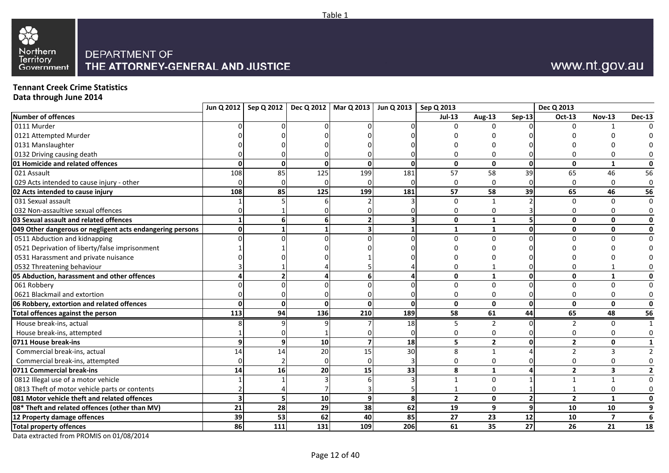

# www.nt.gov.au

### **Tennant Creek Crime Statistics**

**Data through June 2014**

| $Jul-13$<br><b>Sep-13</b><br><b>Nov-13</b><br><b>Aug-13</b><br>Oct-13<br>U<br>O<br>$\mathbf{0}$<br>$\Omega$<br>$\Omega$<br>$\mathbf{0}$<br>$\Omega$<br>$\mathbf{0}$<br>$\mathbf{0}$<br>$\Omega$<br>$\Omega$<br>1<br>108<br>85<br>125<br>199<br>181<br>57<br>58<br>39<br>65<br>46<br>$\Omega$<br>$\Omega$<br>$\Omega$<br>U<br>108<br>125<br>57<br>58<br>39<br>65<br>85<br>199<br>181<br>46<br>$\Omega$<br>$\Omega$<br>$\Omega$<br>$\Omega$<br>$\mathbf{0}$<br>6<br>$\mathbf{0}$<br>$\mathbf{0}$<br>1<br>O<br>$\mathbf{1}$<br>$\mathbf{0}$<br>0<br>1<br>U<br>$\Omega$<br>$\Omega$<br>U<br>U<br>$\mathbf{0}$<br>$\mathbf{1}$<br>O<br>$\mathbf{0}$<br>$\mathbf{1}$<br>$\mathbf 0$<br>$\Omega$<br>$\Omega$<br>$\Omega$<br>$\Omega$<br>$\mathbf{0}$<br>$\Omega$<br>$\Omega$<br>$\mathbf{0}$<br>$\Omega$<br>$\mathbf{0}$<br>$\mathbf{0}$<br>O<br>$\mathbf{0}$<br>$\mathbf{0}$<br>65<br>113<br>94<br>136<br>210<br>189<br>58<br>61<br>44<br>48<br>House break-ins, actual<br>18<br>$\overline{2}$<br>2<br>$\Omega$<br>5<br>House break-ins, attempted<br>0<br>0<br>$\overline{2}$<br>10<br>18<br>5<br>$\overline{2}$<br>$\mathbf 0$<br>q<br>U<br>20<br>14<br>15<br>30<br>Commercial break-ins, actual<br>14<br>$\overline{2}$<br>8<br>$\mathbf{1}$<br>Commercial break-ins, attempted<br>0<br>n<br>0<br>0<br>0<br>33<br>$\overline{2}$<br>14<br>16<br>20<br>15<br>8<br>3<br>1<br>$\Omega$<br>$\mathbf{1}$<br>$\mathbf 0$<br>$\mathbf{1}$<br>0<br>$\overline{\mathbf{3}}$<br>10<br>$\mathbf{0}$<br>9<br>8<br>$\overline{2}$<br>$\overline{2}$<br>$\mathbf{1}$<br>9<br>21<br>28<br>29<br>38<br>62<br>10<br>19<br>9<br>10<br>39<br>53<br>62<br>40<br>85<br>27<br>23<br>12<br>10<br>$\overline{\mathbf{z}}$<br>$\overline{27}$<br>86<br>111<br>206<br>131<br>109<br>61<br>26<br>35<br>21 |                                                           | Jun Q 2012   Sep Q 2012   Dec Q 2012   Mar Q 2013   Jun Q 2013   Sep Q 2013 |  |  |  | Dec Q 2013 |                |
|------------------------------------------------------------------------------------------------------------------------------------------------------------------------------------------------------------------------------------------------------------------------------------------------------------------------------------------------------------------------------------------------------------------------------------------------------------------------------------------------------------------------------------------------------------------------------------------------------------------------------------------------------------------------------------------------------------------------------------------------------------------------------------------------------------------------------------------------------------------------------------------------------------------------------------------------------------------------------------------------------------------------------------------------------------------------------------------------------------------------------------------------------------------------------------------------------------------------------------------------------------------------------------------------------------------------------------------------------------------------------------------------------------------------------------------------------------------------------------------------------------------------------------------------------------------------------------------------------------------------------------------------------------------------------------------------------------------------------------------------------------------------------|-----------------------------------------------------------|-----------------------------------------------------------------------------|--|--|--|------------|----------------|
|                                                                                                                                                                                                                                                                                                                                                                                                                                                                                                                                                                                                                                                                                                                                                                                                                                                                                                                                                                                                                                                                                                                                                                                                                                                                                                                                                                                                                                                                                                                                                                                                                                                                                                                                                                              | Number of offences                                        |                                                                             |  |  |  |            | <b>Dec-13</b>  |
|                                                                                                                                                                                                                                                                                                                                                                                                                                                                                                                                                                                                                                                                                                                                                                                                                                                                                                                                                                                                                                                                                                                                                                                                                                                                                                                                                                                                                                                                                                                                                                                                                                                                                                                                                                              | 0111 Murder                                               |                                                                             |  |  |  |            |                |
|                                                                                                                                                                                                                                                                                                                                                                                                                                                                                                                                                                                                                                                                                                                                                                                                                                                                                                                                                                                                                                                                                                                                                                                                                                                                                                                                                                                                                                                                                                                                                                                                                                                                                                                                                                              | 0121 Attempted Murder                                     |                                                                             |  |  |  |            |                |
|                                                                                                                                                                                                                                                                                                                                                                                                                                                                                                                                                                                                                                                                                                                                                                                                                                                                                                                                                                                                                                                                                                                                                                                                                                                                                                                                                                                                                                                                                                                                                                                                                                                                                                                                                                              | 0131 Manslaughter                                         |                                                                             |  |  |  |            |                |
|                                                                                                                                                                                                                                                                                                                                                                                                                                                                                                                                                                                                                                                                                                                                                                                                                                                                                                                                                                                                                                                                                                                                                                                                                                                                                                                                                                                                                                                                                                                                                                                                                                                                                                                                                                              | 0132 Driving causing death                                |                                                                             |  |  |  |            |                |
|                                                                                                                                                                                                                                                                                                                                                                                                                                                                                                                                                                                                                                                                                                                                                                                                                                                                                                                                                                                                                                                                                                                                                                                                                                                                                                                                                                                                                                                                                                                                                                                                                                                                                                                                                                              | 01 Homicide and related offences                          |                                                                             |  |  |  |            | O              |
|                                                                                                                                                                                                                                                                                                                                                                                                                                                                                                                                                                                                                                                                                                                                                                                                                                                                                                                                                                                                                                                                                                                                                                                                                                                                                                                                                                                                                                                                                                                                                                                                                                                                                                                                                                              | 021 Assault                                               |                                                                             |  |  |  |            | 56             |
|                                                                                                                                                                                                                                                                                                                                                                                                                                                                                                                                                                                                                                                                                                                                                                                                                                                                                                                                                                                                                                                                                                                                                                                                                                                                                                                                                                                                                                                                                                                                                                                                                                                                                                                                                                              | 029 Acts intended to cause injury - other                 |                                                                             |  |  |  |            | $\Omega$       |
|                                                                                                                                                                                                                                                                                                                                                                                                                                                                                                                                                                                                                                                                                                                                                                                                                                                                                                                                                                                                                                                                                                                                                                                                                                                                                                                                                                                                                                                                                                                                                                                                                                                                                                                                                                              | 02 Acts intended to cause injury                          |                                                                             |  |  |  |            | 56             |
|                                                                                                                                                                                                                                                                                                                                                                                                                                                                                                                                                                                                                                                                                                                                                                                                                                                                                                                                                                                                                                                                                                                                                                                                                                                                                                                                                                                                                                                                                                                                                                                                                                                                                                                                                                              | 031 Sexual assault                                        |                                                                             |  |  |  |            | $\Omega$       |
|                                                                                                                                                                                                                                                                                                                                                                                                                                                                                                                                                                                                                                                                                                                                                                                                                                                                                                                                                                                                                                                                                                                                                                                                                                                                                                                                                                                                                                                                                                                                                                                                                                                                                                                                                                              | 032 Non-assaultive sexual offences                        |                                                                             |  |  |  |            |                |
|                                                                                                                                                                                                                                                                                                                                                                                                                                                                                                                                                                                                                                                                                                                                                                                                                                                                                                                                                                                                                                                                                                                                                                                                                                                                                                                                                                                                                                                                                                                                                                                                                                                                                                                                                                              | 03 Sexual assault and related offences                    |                                                                             |  |  |  |            |                |
|                                                                                                                                                                                                                                                                                                                                                                                                                                                                                                                                                                                                                                                                                                                                                                                                                                                                                                                                                                                                                                                                                                                                                                                                                                                                                                                                                                                                                                                                                                                                                                                                                                                                                                                                                                              | 049 Other dangerous or negligent acts endangering persons |                                                                             |  |  |  |            | 0              |
|                                                                                                                                                                                                                                                                                                                                                                                                                                                                                                                                                                                                                                                                                                                                                                                                                                                                                                                                                                                                                                                                                                                                                                                                                                                                                                                                                                                                                                                                                                                                                                                                                                                                                                                                                                              | 0511 Abduction and kidnapping                             |                                                                             |  |  |  |            |                |
|                                                                                                                                                                                                                                                                                                                                                                                                                                                                                                                                                                                                                                                                                                                                                                                                                                                                                                                                                                                                                                                                                                                                                                                                                                                                                                                                                                                                                                                                                                                                                                                                                                                                                                                                                                              | 0521 Deprivation of liberty/false imprisonment            |                                                                             |  |  |  |            |                |
|                                                                                                                                                                                                                                                                                                                                                                                                                                                                                                                                                                                                                                                                                                                                                                                                                                                                                                                                                                                                                                                                                                                                                                                                                                                                                                                                                                                                                                                                                                                                                                                                                                                                                                                                                                              | 0531 Harassment and private nuisance                      |                                                                             |  |  |  |            |                |
|                                                                                                                                                                                                                                                                                                                                                                                                                                                                                                                                                                                                                                                                                                                                                                                                                                                                                                                                                                                                                                                                                                                                                                                                                                                                                                                                                                                                                                                                                                                                                                                                                                                                                                                                                                              | 0532 Threatening behaviour                                |                                                                             |  |  |  |            |                |
|                                                                                                                                                                                                                                                                                                                                                                                                                                                                                                                                                                                                                                                                                                                                                                                                                                                                                                                                                                                                                                                                                                                                                                                                                                                                                                                                                                                                                                                                                                                                                                                                                                                                                                                                                                              | 05 Abduction, harassment and other offences               |                                                                             |  |  |  |            |                |
|                                                                                                                                                                                                                                                                                                                                                                                                                                                                                                                                                                                                                                                                                                                                                                                                                                                                                                                                                                                                                                                                                                                                                                                                                                                                                                                                                                                                                                                                                                                                                                                                                                                                                                                                                                              | 061 Robbery                                               |                                                                             |  |  |  |            |                |
|                                                                                                                                                                                                                                                                                                                                                                                                                                                                                                                                                                                                                                                                                                                                                                                                                                                                                                                                                                                                                                                                                                                                                                                                                                                                                                                                                                                                                                                                                                                                                                                                                                                                                                                                                                              | 0621 Blackmail and extortion                              |                                                                             |  |  |  |            |                |
|                                                                                                                                                                                                                                                                                                                                                                                                                                                                                                                                                                                                                                                                                                                                                                                                                                                                                                                                                                                                                                                                                                                                                                                                                                                                                                                                                                                                                                                                                                                                                                                                                                                                                                                                                                              | 06 Robbery, extortion and related offences                |                                                                             |  |  |  |            | $\mathbf{0}$   |
|                                                                                                                                                                                                                                                                                                                                                                                                                                                                                                                                                                                                                                                                                                                                                                                                                                                                                                                                                                                                                                                                                                                                                                                                                                                                                                                                                                                                                                                                                                                                                                                                                                                                                                                                                                              | Total offences against the person                         |                                                                             |  |  |  |            | 56             |
|                                                                                                                                                                                                                                                                                                                                                                                                                                                                                                                                                                                                                                                                                                                                                                                                                                                                                                                                                                                                                                                                                                                                                                                                                                                                                                                                                                                                                                                                                                                                                                                                                                                                                                                                                                              |                                                           |                                                                             |  |  |  |            |                |
|                                                                                                                                                                                                                                                                                                                                                                                                                                                                                                                                                                                                                                                                                                                                                                                                                                                                                                                                                                                                                                                                                                                                                                                                                                                                                                                                                                                                                                                                                                                                                                                                                                                                                                                                                                              |                                                           |                                                                             |  |  |  |            |                |
|                                                                                                                                                                                                                                                                                                                                                                                                                                                                                                                                                                                                                                                                                                                                                                                                                                                                                                                                                                                                                                                                                                                                                                                                                                                                                                                                                                                                                                                                                                                                                                                                                                                                                                                                                                              | 0711 House break-ins                                      |                                                                             |  |  |  |            |                |
|                                                                                                                                                                                                                                                                                                                                                                                                                                                                                                                                                                                                                                                                                                                                                                                                                                                                                                                                                                                                                                                                                                                                                                                                                                                                                                                                                                                                                                                                                                                                                                                                                                                                                                                                                                              |                                                           |                                                                             |  |  |  |            |                |
|                                                                                                                                                                                                                                                                                                                                                                                                                                                                                                                                                                                                                                                                                                                                                                                                                                                                                                                                                                                                                                                                                                                                                                                                                                                                                                                                                                                                                                                                                                                                                                                                                                                                                                                                                                              |                                                           |                                                                             |  |  |  |            |                |
|                                                                                                                                                                                                                                                                                                                                                                                                                                                                                                                                                                                                                                                                                                                                                                                                                                                                                                                                                                                                                                                                                                                                                                                                                                                                                                                                                                                                                                                                                                                                                                                                                                                                                                                                                                              | 0711 Commercial break-ins                                 |                                                                             |  |  |  |            | $\overline{2}$ |
|                                                                                                                                                                                                                                                                                                                                                                                                                                                                                                                                                                                                                                                                                                                                                                                                                                                                                                                                                                                                                                                                                                                                                                                                                                                                                                                                                                                                                                                                                                                                                                                                                                                                                                                                                                              | 0812 Illegal use of a motor vehicle                       |                                                                             |  |  |  |            | $\Omega$       |
|                                                                                                                                                                                                                                                                                                                                                                                                                                                                                                                                                                                                                                                                                                                                                                                                                                                                                                                                                                                                                                                                                                                                                                                                                                                                                                                                                                                                                                                                                                                                                                                                                                                                                                                                                                              | 0813 Theft of motor vehicle parts or contents             |                                                                             |  |  |  |            | $\Omega$       |
|                                                                                                                                                                                                                                                                                                                                                                                                                                                                                                                                                                                                                                                                                                                                                                                                                                                                                                                                                                                                                                                                                                                                                                                                                                                                                                                                                                                                                                                                                                                                                                                                                                                                                                                                                                              | 081 Motor vehicle theft and related offences              |                                                                             |  |  |  |            |                |
|                                                                                                                                                                                                                                                                                                                                                                                                                                                                                                                                                                                                                                                                                                                                                                                                                                                                                                                                                                                                                                                                                                                                                                                                                                                                                                                                                                                                                                                                                                                                                                                                                                                                                                                                                                              | 08* Theft and related offences (other than MV)            |                                                                             |  |  |  |            | 9              |
|                                                                                                                                                                                                                                                                                                                                                                                                                                                                                                                                                                                                                                                                                                                                                                                                                                                                                                                                                                                                                                                                                                                                                                                                                                                                                                                                                                                                                                                                                                                                                                                                                                                                                                                                                                              | 12 Property damage offences                               |                                                                             |  |  |  |            | 6              |
|                                                                                                                                                                                                                                                                                                                                                                                                                                                                                                                                                                                                                                                                                                                                                                                                                                                                                                                                                                                                                                                                                                                                                                                                                                                                                                                                                                                                                                                                                                                                                                                                                                                                                                                                                                              | <b>Total property offences</b>                            |                                                                             |  |  |  |            | 18             |

Table 1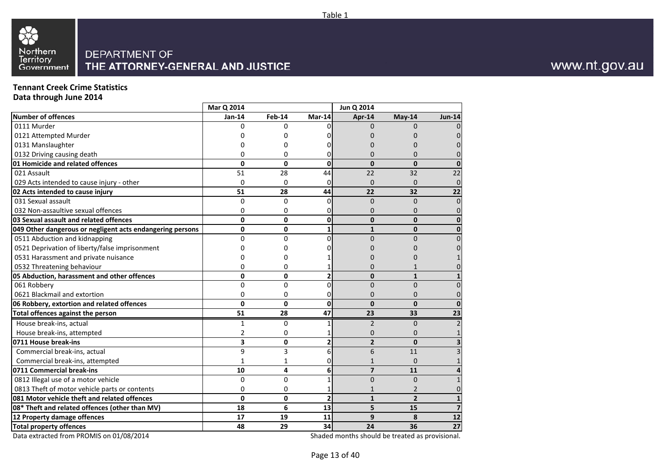

### **Tennant Creek Crime Statistics**

**Data through June 2014**

|                                                           | Mar Q 2014   |              |                | Jun Q 2014     |                |                         |
|-----------------------------------------------------------|--------------|--------------|----------------|----------------|----------------|-------------------------|
| <b>Number of offences</b>                                 | Jan-14       | Feb-14       | $Mar-14$       | Apr-14         | May-14         | <b>Jun-14</b>           |
| 0111 Murder                                               | $\Omega$     | $\Omega$     | n              | $\Omega$       | 0              |                         |
| 0121 Attempted Murder                                     |              | 0            |                |                |                |                         |
| 0131 Manslaughter                                         |              | $\Omega$     |                |                |                |                         |
| 0132 Driving causing death                                |              | 0            | 0              | 0              | 0              |                         |
| 01 Homicide and related offences                          | $\Omega$     | $\Omega$     | $\Omega$       | $\mathbf{0}$   | $\mathbf{0}$   |                         |
| 021 Assault                                               | 51           | 28           | 44             | 22             | 32             | 22                      |
| 029 Acts intended to cause injury - other                 | $\mathbf 0$  | $\mathbf 0$  | 0              | $\Omega$       | 0              | 0                       |
| 02 Acts intended to cause injury                          | 51           | 28           | 44             | 22             | 32             | 22                      |
| 031 Sexual assault                                        | 0            | $\Omega$     | $\Omega$       | $\overline{0}$ | $\Omega$       | 0                       |
| 032 Non-assaultive sexual offences                        | 0            | 0            | 0              | $\mathbf{0}$   | 0              | 0                       |
| 03 Sexual assault and related offences                    | 0            | 0            | 0              | $\mathbf{0}$   | $\mathbf{0}$   | $\Omega$                |
| 049 Other dangerous or negligent acts endangering persons | 0            | 0            | 1              | $\mathbf{1}$   | $\mathbf{0}$   |                         |
| 0511 Abduction and kidnapping                             | $\Omega$     | 0            | $\Omega$       | $\Omega$       | 0              |                         |
| 0521 Deprivation of liberty/false imprisonment            |              | 0            |                |                |                |                         |
| 0531 Harassment and private nuisance                      |              | 0            |                |                | O              |                         |
| 0532 Threatening behaviour                                | 0            | 0            |                | 0              | 1              |                         |
| 05 Abduction, harassment and other offences               | $\mathbf{0}$ | 0            | $\overline{2}$ | $\mathbf{0}$   | $\mathbf{1}$   |                         |
| 061 Robbery                                               | $\Omega$     | $\Omega$     | $\Omega$       | $\Omega$       | $\Omega$       | 0                       |
| 0621 Blackmail and extortion                              | 0            | 0            | 0              | $\mathbf{0}$   | 0              | 0                       |
| 06 Robbery, extortion and related offences                | $\mathbf 0$  | 0            | $\Omega$       | $\mathbf{0}$   | $\mathbf{0}$   | ŋ                       |
| Total offences against the person                         | 51           | 28           | 47             | 23             | 33             | 23                      |
| House break-ins, actual                                   | $\mathbf{1}$ | 0            |                | $\overline{2}$ | $\Omega$       |                         |
| House break-ins, attempted                                | 2            | 0            |                | 0              | $\Omega$       |                         |
| 0711 House break-ins                                      | 3            | 0            | 2              | $\overline{2}$ | $\mathbf{0}$   | 3                       |
| Commercial break-ins, actual                              | 9            | 3            | 6              | 6              | 11             |                         |
| Commercial break-ins, attempted                           | $\mathbf{1}$ | $\mathbf{1}$ | 0              | $\mathbf{1}$   | $\Omega$       |                         |
| 0711 Commercial break-ins                                 | 10           | 4            | 6              | $\overline{7}$ | 11             |                         |
| 0812 Illegal use of a motor vehicle                       | $\mathbf 0$  | $\Omega$     |                | $\overline{0}$ | $\overline{0}$ |                         |
| 0813 Theft of motor vehicle parts or contents             | 0            | 0            |                |                | $\overline{2}$ |                         |
| 081 Motor vehicle theft and related offences              | $\mathbf{0}$ | 0            | $\overline{2}$ | $\mathbf{1}$   | $\overline{2}$ | $\mathbf{1}$            |
| 08* Theft and related offences (other than MV)            | 18           | 6            | 13             | 5              | 15             | $\overline{\mathbf{z}}$ |
| 12 Property damage offences                               | 17           | 19           | 11             | 9              | 8              | 12                      |
| <b>Total property offences</b>                            | 48           | 29           | 34             | 24             | 36             | 27                      |

Data extracted from PROMIS on 01/08/2014

Shaded months should be treated as provisional.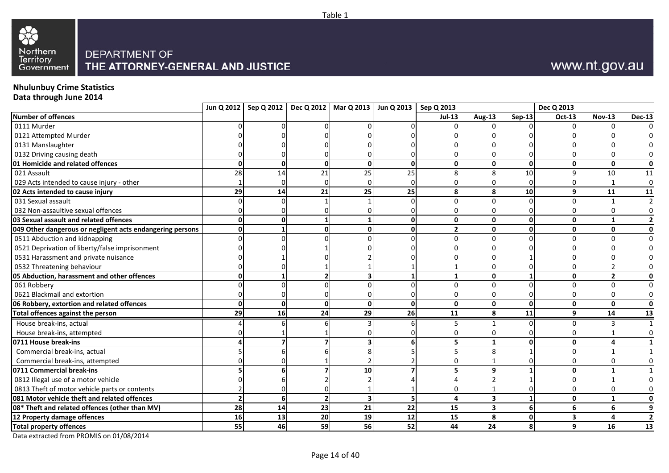

# **Nhulunbuy Crime Statistics Data through June 2014**

|                                                           |                |                 |                | Jun Q 2012   Sep Q 2012   Dec Q 2012   Mar Q 2013   Jun Q 2013   Sep Q 2013 |             |                         |                         |                | Dec Q 2013              |                |                |
|-----------------------------------------------------------|----------------|-----------------|----------------|-----------------------------------------------------------------------------|-------------|-------------------------|-------------------------|----------------|-------------------------|----------------|----------------|
| Number of offences                                        |                |                 |                |                                                                             |             | $Jul-13$                | <b>Aug-13</b>           | $Sep-13$       | Oct-13                  | <b>Nov-13</b>  | <b>Dec-13</b>  |
| 0111 Murder                                               |                |                 |                |                                                                             |             |                         |                         |                |                         |                |                |
| 0121 Attempted Murder                                     |                |                 |                |                                                                             |             |                         |                         |                |                         |                |                |
| 0131 Manslaughter                                         |                |                 |                |                                                                             |             |                         |                         |                |                         |                |                |
| 0132 Driving causing death                                |                |                 |                |                                                                             |             |                         |                         |                |                         |                |                |
| 01 Homicide and related offences                          | ŋ              | $\Omega$        | $\mathbf 0$    | $\mathbf 0$                                                                 | $\mathbf 0$ | $\mathbf 0$             | $\mathbf{0}$            | $\mathbf{0}$   | $\mathbf{0}$            | $\mathbf{0}$   | 0              |
| 021 Assault                                               | 28             | 14              | 21             | 25                                                                          | 25          | $\mathsf{\overline{8}}$ | 8                       | 10             | $\mathsf{q}$            | 10             | $11\,$         |
| 029 Acts intended to cause injury - other                 |                |                 | O              |                                                                             |             | n                       | 0                       |                |                         |                | $\mathbf 0$    |
| 02 Acts intended to cause injury                          | 29             | 14              | 21             | 25                                                                          | 25          | 8                       | 8                       | 10             | 9                       | 11             | 11             |
| 031 Sexual assault                                        |                |                 |                |                                                                             |             | $\Omega$                | $\Omega$                |                | $\Omega$                |                |                |
| 032 Non-assaultive sexual offences                        |                |                 |                |                                                                             |             |                         | 0                       |                |                         |                |                |
| 03 Sexual assault and related offences                    |                |                 |                |                                                                             | 0           | $\mathbf{0}$            | 0                       |                | $\mathbf{0}$            | 1              |                |
| 049 Other dangerous or negligent acts endangering persons |                |                 | $\mathbf{0}$   | O                                                                           | O           | $\overline{2}$          | 0                       | U              | 0                       | $\mathbf 0$    | 0              |
| 0511 Abduction and kidnapping                             |                |                 |                |                                                                             |             | $\Omega$                | $\Omega$                |                |                         |                | $\Omega$       |
| 0521 Deprivation of liberty/false imprisonment            |                |                 |                |                                                                             |             |                         |                         |                |                         |                |                |
| 0531 Harassment and private nuisance                      |                |                 |                |                                                                             |             |                         |                         |                |                         |                |                |
| 0532 Threatening behaviour                                |                |                 |                |                                                                             |             |                         | 0                       |                |                         |                |                |
| 05 Abduction, harassment and other offences               |                |                 |                |                                                                             |             | $\mathbf{1}$            | $\mathbf{0}$            |                | $\mathbf{0}$            | $\overline{2}$ |                |
| 061 Robbery                                               |                |                 |                |                                                                             |             | $\Omega$                | $\Omega$                |                | $\Omega$                | $\Omega$       |                |
| 0621 Blackmail and extortion                              |                |                 |                |                                                                             |             | -0                      | 0                       |                | 0                       |                |                |
| 06 Robbery, extortion and related offences                | $\mathbf{0}$   |                 | $\Omega$       | $\Omega$                                                                    | $\Omega$    | $\mathbf 0$             | $\mathbf{0}$            | $\Omega$       | $\mathbf{0}$            | $\mathbf{0}$   | 0              |
| Total offences against the person                         | 29             | $\overline{16}$ | 24             | 29                                                                          | 26          | 11                      | 8                       | 11             | 9                       | 14             | 13             |
| House break-ins, actual                                   |                |                 |                |                                                                             |             |                         | 1                       |                |                         |                |                |
| House break-ins, attempted                                |                |                 |                |                                                                             |             |                         | 0                       |                |                         |                |                |
| 0711 House break-ins                                      |                |                 |                |                                                                             | 6           | 5                       | $\mathbf{1}$            | O              | $\mathbf{0}$            |                |                |
| Commercial break-ins, actual                              |                |                 |                |                                                                             |             | 5                       | 8                       |                | $\Omega$                |                |                |
| Commercial break-ins, attempted                           |                |                 |                |                                                                             |             |                         |                         |                |                         |                |                |
| 0711 Commercial break-ins                                 |                |                 |                | 10                                                                          |             | 5                       | 9                       |                | $\mathbf{0}$            | 1              |                |
| 0812 Illegal use of a motor vehicle                       |                |                 |                |                                                                             |             |                         | $\overline{2}$          |                | $\Omega$                | $\mathbf{1}$   |                |
| 0813 Theft of motor vehicle parts or contents             |                |                 |                |                                                                             |             | n                       |                         |                |                         |                |                |
| 081 Motor vehicle theft and related offences              | $\overline{2}$ | 6               | $\overline{2}$ | $\overline{\mathbf{3}}$                                                     | 5           | 4                       | 3                       |                | $\mathbf{0}$            | $\mathbf{1}$   |                |
| 08* Theft and related offences (other than MV)            | 28             | 14              | 23             | 21                                                                          | 22          | 15                      | $\overline{\mathbf{3}}$ | 6 <sup>1</sup> | 6                       | 6              |                |
| 12 Property damage offences                               | 16             | 13              | 20             | 19                                                                          | 12          | 15                      | 8                       | 0              | $\overline{\mathbf{3}}$ |                | $\overline{2}$ |
| <b>Total property offences</b>                            | 55             | 46              | 59             | 56                                                                          | 52          | 44                      | 24                      | 8              | 9                       | 16             | 13             |

Table 1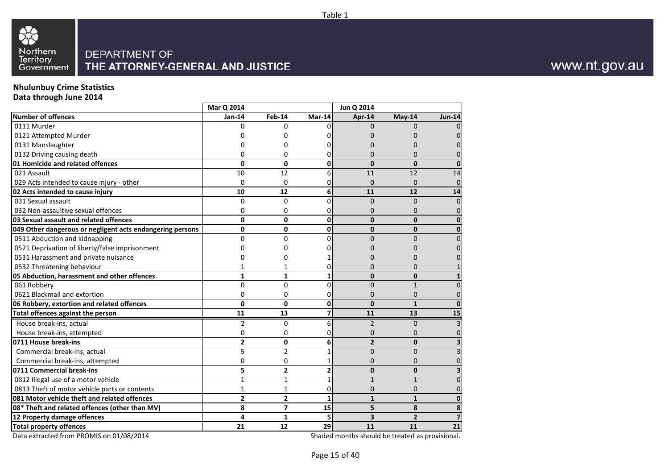

### **Nhulunbuy Crime Statistics**

**Data through June 2014**

|                                                           | Mar Q 2014              |                |          | Jun Q 2014     |                |               |
|-----------------------------------------------------------|-------------------------|----------------|----------|----------------|----------------|---------------|
| <b>Number of offences</b>                                 | Jan-14                  | Feb-14         | Mar-14   | Apr-14         | May-14         | <b>Jun-14</b> |
| 0111 Murder                                               | U                       | U              |          | n              | <sup>0</sup>   |               |
| 0121 Attempted Murder                                     |                         | O              |          |                | O              |               |
| 0131 Manslaughter                                         |                         | 0              |          |                |                |               |
| 0132 Driving causing death                                | 0                       | 0              |          |                | ŋ              |               |
| 01 Homicide and related offences                          | $\mathbf{0}$            | 0              | 0        | $\mathbf{0}$   | $\Omega$       |               |
| 021 Assault                                               | 10                      | 12             | հ        | 11             | 12             | 14            |
| 029 Acts intended to cause injury - other                 | $\mathbf 0$             | 0              |          | $\Omega$       | 0              | 0             |
| 02 Acts intended to cause injury                          | 10                      | 12             | 6        | 11             | 12             | 14            |
| 031 Sexual assault                                        | $\Omega$                | $\Omega$       |          | $\Omega$       | $\Omega$       |               |
| 032 Non-assaultive sexual offences                        | 0                       | 0              |          | 0              | 0              |               |
| 03 Sexual assault and related offences                    | 0                       | 0              | $\Omega$ | $\Omega$       | $\Omega$       |               |
| 049 Other dangerous or negligent acts endangering persons | 0                       | 0              | 0        | $\mathbf 0$    | $\mathbf{0}$   | ŋ             |
| 0511 Abduction and kidnapping                             | $\mathbf{0}$            | $\overline{0}$ |          | $\Omega$       | $\Omega$       |               |
| 0521 Deprivation of liberty/false imprisonment            |                         | 0              |          |                |                |               |
| 0531 Harassment and private nuisance                      |                         | O              |          |                |                |               |
| 0532 Threatening behaviour                                |                         |                |          | 0              | ŋ              |               |
| 05 Abduction, harassment and other offences               | $\mathbf{1}$            | $\mathbf{1}$   |          | $\mathbf{0}$   | $\mathbf{0}$   |               |
| 061 Robbery                                               | $\mathbf 0$             | $\Omega$       | $\Omega$ | $\Omega$       | $\mathbf{1}$   |               |
| 0621 Blackmail and extortion                              | 0                       | 0              |          | $\Omega$       | $\Omega$       |               |
| 06 Robbery, extortion and related offences                | 0                       | 0              | $\Omega$ | $\mathbf{0}$   | $\mathbf{1}$   | ŋ             |
| <b>Total offences against the person</b>                  | 11                      | 13             |          | 11             | 13             | 15            |
| House break-ins, actual                                   | 2                       | 0              | հ        | 2              | 0              |               |
| House break-ins, attempted                                | 0                       | 0              | 0        | 0              | 0              |               |
| 0711 House break-ins                                      | $\overline{2}$          | 0              | 6        | $\overline{2}$ | $\mathbf{0}$   |               |
| Commercial break-ins, actual                              | 5                       | $\overline{2}$ |          | $\Omega$       | $\Omega$       |               |
| Commercial break-ins, attempted                           | 0                       | 0              |          | 0              | 0              |               |
| 0711 Commercial break-ins                                 | 5                       | $\overline{2}$ | 2        | $\mathbf{0}$   | $\Omega$       |               |
| 0812 Illegal use of a motor vehicle                       | $\mathbf{1}$            | $\mathbf{1}$   |          | $\mathbf{1}$   | $\mathbf{1}$   |               |
| 0813 Theft of motor vehicle parts or contents             | 1                       | 1              |          | 0              | 0              |               |
| 081 Motor vehicle theft and related offences              | $\overline{\mathbf{2}}$ | $\overline{2}$ | 1        | $\mathbf{1}$   | $\mathbf{1}$   |               |
| 08* Theft and related offences (other than MV)            | 8                       | $\overline{7}$ | 15       | 5              | 8              | 8             |
| 12 Property damage offences                               | 4                       | 1              | 5        | 3              | $\overline{2}$ | 7             |
| <b>Total property offences</b>                            | 21                      | 12             | 29       | 11             | 11             | 21            |

Data extracted from PROMIS on 01/08/2014

Shaded months should be treated as provisional.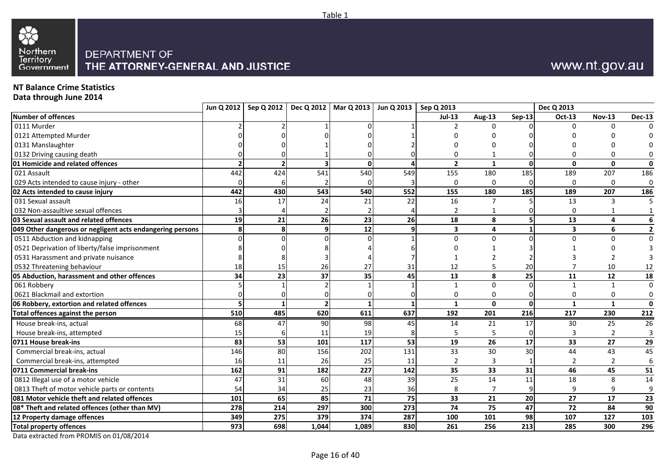

### **NT Balance Crime Statistics**

**Data through June 2014**

|                                                           |          | Jun Q 2012   Sep Q 2012   Dec Q 2012   Mar Q 2013   Jun Q 2013   Sep Q 2013 |       |          |     |                |                |          | Dec Q 2013              |                |                         |
|-----------------------------------------------------------|----------|-----------------------------------------------------------------------------|-------|----------|-----|----------------|----------------|----------|-------------------------|----------------|-------------------------|
| Number of offences                                        |          |                                                                             |       |          |     | $Jul-13$       | Aug-13         | $Sep-13$ | Oct-13                  | <b>Nov-13</b>  | <b>Dec-13</b>           |
| 0111 Murder                                               |          |                                                                             |       |          |     |                | ŋ              |          | $\Omega$                |                |                         |
| 0121 Attempted Murder                                     |          |                                                                             |       |          |     |                |                |          |                         |                |                         |
| 0131 Manslaughter                                         |          |                                                                             |       |          |     |                |                |          |                         |                |                         |
| 0132 Driving causing death                                |          |                                                                             |       |          |     |                |                |          |                         |                | 0                       |
| 01 Homicide and related offences                          |          |                                                                             |       | $\Omega$ |     | $\overline{2}$ | $\mathbf{1}$   | $\Omega$ | $\mathbf{0}$            | $\mathbf{0}$   | $\mathbf 0$             |
| 021 Assault                                               | 442      | 424                                                                         | 541   | 540      | 549 | 155            | 180            | 185      | 189                     | 207            | 186                     |
| 029 Acts intended to cause injury - other                 | $\Omega$ |                                                                             |       |          |     | $\Omega$       | $\Omega$       |          | $\Omega$                | $\Omega$       | $\mathbf 0$             |
| 02 Acts intended to cause injury                          | 442      | 430                                                                         | 543   | 540      | 552 | 155            | 180            | 185      | 189                     | 207            | 186                     |
| 031 Sexual assault                                        | 16       | 17                                                                          | 24    | 21       | 22  | 16             | 7              |          | 13                      | 3              | 5                       |
| 032 Non-assaultive sexual offences                        |          |                                                                             |       |          |     |                |                |          | 0                       |                |                         |
| 03 Sexual assault and related offences                    | 19       | 21                                                                          | 26    | 23       | 26  | 18             | 8              | 5        | 13                      | 4              | 6                       |
| 049 Other dangerous or negligent acts endangering persons | 8        |                                                                             | q     | 12       |     | 3              | 4              |          | $\overline{\mathbf{3}}$ | 6              | $\overline{\mathbf{2}}$ |
| 0511 Abduction and kidnapping                             |          |                                                                             |       |          |     | $\Omega$       | $\Omega$       |          | $\Omega$                | $\Omega$       | $\mathbf 0$             |
| 0521 Deprivation of liberty/false imprisonment            |          |                                                                             |       |          |     |                |                |          |                         |                |                         |
| 0531 Harassment and private nuisance                      |          |                                                                             |       |          |     |                |                |          |                         |                |                         |
| 0532 Threatening behaviour                                | 18       | 15                                                                          | 26    | 27       | 31  | 12             | 5              | 20       |                         | 10             | 12                      |
| 05 Abduction, harassment and other offences               | 34       | 23                                                                          | 37    | 35       | 45  | 13             | 8              | 25       | 11                      | 12             | 18                      |
| 061 Robbery                                               |          |                                                                             |       |          |     |                | $\mathbf 0$    |          | $\mathbf{1}$            |                | $\mathbf 0$             |
| 0621 Blackmail and extortion                              |          |                                                                             |       |          |     | $\Omega$       | 0              |          | 0                       | $\Omega$       | $\boldsymbol{0}$        |
| 06 Robbery, extortion and related offences                |          |                                                                             | 2     |          |     | $\mathbf{1}$   | $\mathbf 0$    | 0        | $\mathbf{1}$            | $\mathbf{1}$   | $\mathbf 0$             |
| <b>Total offences against the person</b>                  | 510      | 485                                                                         | 620   | 611      | 637 | 192            | 201            | 216      | 217                     | 230            | 212                     |
| House break-ins, actual                                   | 68       | 47                                                                          | 90    | 98       | 45  | 14             | 21             | 17       | 30                      | 25             | 26                      |
| House break-ins, attempted                                | 15       |                                                                             | 11    | 19       |     |                | 5              |          |                         | $\overline{2}$ | 3                       |
| 0711 House break-ins                                      | 83       | 53                                                                          | 101   | 117      | 53  | 19             | 26             | 17       | 33                      | 27             | 29                      |
| Commercial break-ins, actual                              | 146      | 80                                                                          | 156   | 202      | 131 | 33             | 30             | 30       | 44                      | 43             | 45                      |
| Commercial break-ins, attempted                           | 16       | 11                                                                          | 26    | 25       | 11  | 2              | 3              |          | 2                       | 2              | $6\phantom{1}6$         |
| 0711 Commercial break-ins                                 | 162      | 91                                                                          | 182   | 227      | 142 | 35             | 33             | 31       | 46                      | 45             | 51                      |
| 0812 Illegal use of a motor vehicle                       | 47       | 31                                                                          | 60    | 48       | 39  | 25             | 14             | 11       | 18                      | 8              | 14                      |
| 0813 Theft of motor vehicle parts or contents             | 54       | 34                                                                          | 25    | 23       | 36  | 8              | $\overline{7}$ |          | 9                       | 9              | 9                       |
| 081 Motor vehicle theft and related offences              | 101      | 65                                                                          | 85    | 71       | 75  | 33             | 21             | 20       | 27                      | 17             | 23                      |
| 08* Theft and related offences (other than MV)            | 278      | 214                                                                         | 297   | 300      | 273 | 74             | 75             | 47       | 72                      | 84             | 90                      |
| 12 Property damage offences                               | 349      | 275                                                                         | 379   | 374      | 287 | 100            | 101            | 98       | 107                     | 127            | 103                     |
| <b>Total property offences</b>                            | 973      | 698                                                                         | 1,044 | 1,089    | 830 | 261            | 256            | 213      | 285                     | 300            | 296                     |

Page 16 of 40

Table 1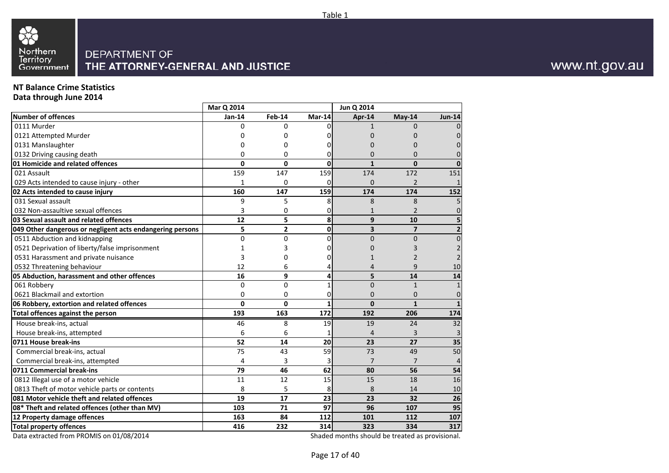

### **NT Balance Crime Statistics**

**Data through June 2014**

|                                                           | Mar Q 2014  |                 |              | Jun Q 2014     |                |                         |
|-----------------------------------------------------------|-------------|-----------------|--------------|----------------|----------------|-------------------------|
| <b>Number of offences</b>                                 | Jan-14      | Feb-14          | Mar-14       | Apr-14         | May-14         | <b>Jun-14</b>           |
| 0111 Murder                                               | U           | <sup>0</sup>    | ΩI           | 1              | O              | $\Omega$                |
| 0121 Attempted Murder                                     | Ω           | 0               | Ω            | 0              | 0              | $\overline{0}$          |
| 0131 Manslaughter                                         | በ           | $\Omega$        | U            | 0              | $\Omega$       | $\Omega$                |
| 0132 Driving causing death                                | 0           | 0               | 0            | $\Omega$       | O              | $\Omega$                |
| 01 Homicide and related offences                          | $\mathbf 0$ | $\mathbf{0}$    | $\Omega$     | $\mathbf{1}$   | $\Omega$       | $\mathbf{0}$            |
| 021 Assault                                               | 159         | 147             | 159          | 174            | 172            | 151                     |
| 029 Acts intended to cause injury - other                 | 1           | 0               | $\Omega$     | 0              | $\overline{2}$ | $\mathbf{1}$            |
| 02 Acts intended to cause injury                          | 160         | 147             | 159          | 174            | 174            | 152                     |
| 031 Sexual assault                                        | 9           | 5               | 8            | 8              | 8              | 5                       |
| 032 Non-assaultive sexual offences                        | 3           | 0               | 0            |                | $\overline{2}$ | 0                       |
| 03 Sexual assault and related offences                    | 12          | 5               | 8            | 9              | 10             | 5                       |
| 049 Other dangerous or negligent acts endangering persons | 5           | $\overline{2}$  | $\mathbf{0}$ | 3              | $\overline{7}$ | $\overline{\mathbf{2}}$ |
| 0511 Abduction and kidnapping                             | $\mathbf 0$ | $\mathbf{0}$    | ΩI           | $\mathbf 0$    | $\Omega$       | $\mathbf 0$             |
| 0521 Deprivation of liberty/false imprisonment            | 1           | 3               | 0            | 0              | 3              | $\overline{2}$          |
| 0531 Harassment and private nuisance                      | 3           | 0               | O            |                | 2              | $\overline{2}$          |
| 0532 Threatening behaviour                                | 12          | 6               |              | 4              | 9              | 10                      |
| 05 Abduction, harassment and other offences               | 16          | 9               | 4            | 5              | 14             | 14                      |
| 061 Robbery                                               | $\mathbf 0$ | $\Omega$        |              | $\overline{0}$ | $\mathbf{1}$   | $\mathbf{1}$            |
| 0621 Blackmail and extortion                              | 0           | 0               | 0            | $\Omega$       | $\Omega$       | 0                       |
| 06 Robbery, extortion and related offences                | $\mathbf 0$ | 0               | 1            | $\mathbf{0}$   | $\mathbf{1}$   | $\mathbf{1}$            |
| Total offences against the person                         | 193         | 163             | 172          | 192            | 206            | 174                     |
| House break-ins, actual                                   | 46          | 8               | 19           | 19             | 24             | 32                      |
| House break-ins, attempted                                | 6           | 6               |              | 4              | 3              | 3                       |
| 0711 House break-ins                                      | 52          | 14              | 20           | 23             | 27             | 35                      |
| Commercial break-ins, actual                              | 75          | 43              | 59           | 73             | 49             | 50                      |
| Commercial break-ins, attempted                           | 4           | 3               | 3            | $\overline{7}$ | $\overline{7}$ | 4                       |
| 0711 Commercial break-ins                                 | 79          | 46              | 62           | 80             | 56             | 54                      |
| 0812 Illegal use of a motor vehicle                       | 11          | 12              | 15           | 15             | 18             | 16                      |
| 0813 Theft of motor vehicle parts or contents             | 8           | 5               | 8            | 8              | 14             | 10                      |
| 081 Motor vehicle theft and related offences              | 19          | $\overline{17}$ | 23           | 23             | 32             | 26                      |
| 08* Theft and related offences (other than MV)            | 103         | 71              | 97           | 96             | 107            | 95                      |
| 12 Property damage offences                               | 163         | 84              | 112          | 101            | 112            | 107                     |
| <b>Total property offences</b>                            | 416         | 232             | 314          | 323            | 334            | 317                     |

Data extracted from PROMIS on 01/08/2014

Shaded months should be treated as provisional.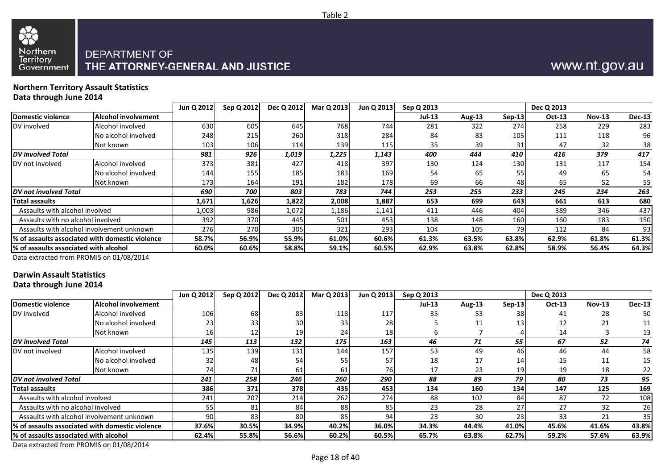

#### **Northern Territory Assault StatisticsData through June 2014**

|                                                 |                     | Jun Q 2012   | Sep Q 2012 | Dec Q 2012 | Mar Q 2013 | Jun Q 2013 | Sep Q 2013 |        |          | Dec Q 2013    |               |               |
|-------------------------------------------------|---------------------|--------------|------------|------------|------------|------------|------------|--------|----------|---------------|---------------|---------------|
| Domestic violence                               | Alcohol involvement |              |            |            |            |            | Jul-13     | Aug-13 | $Sep-13$ | <b>Oct-13</b> | <b>Nov-13</b> | <b>Dec-13</b> |
| DV involved                                     | Alcohol involved    | 630          | 605        | 645        | 768        | 744        | 281        | 322    | 274      | 258           | 229           | 283           |
|                                                 | No alcohol involved | 248          | 215        | 260        | 318        | 284        | 84         | 83     | 105      | 111           | 118           | 96            |
|                                                 | Not known           | 103          | 106        | 114        | 139        | 115.       | 35         | 39     | 31       | 47            | 32            | 38            |
| <b>DV</b> involved Total                        |                     | 981          | 926        | 1,019      | 1,225      | 1,143      | 400        | 444    | 410      | 416           | 379           | 417           |
| DV not involved                                 | Alcohol involved    | 373          | 381        | 427        | 418        | 397        | 130        | 124    | 130      | 131           | 117           | 154           |
|                                                 | No alcohol involved | 144l         | <b>155</b> | 185        | 183        | 169        | 54         | 65     | 55       | 49            | 65            | 54            |
|                                                 | Not known           | 173 <b>I</b> | 164        | 191        | 182        | 178        | 69         | 66     | 48       | 65            | 52            | 55            |
| IDV not involved Total                          |                     | 690          | 700        | 803        | 783        | 744        | 253        | 255    | 233      | 245           | 234           | 263           |
| Total assaults                                  |                     | 1,671        | 1,626      | 1,822      | 2,008      | 1,887      | 653        | 699    | 643      | 661           | 613           | 680           |
| Assaults with alcohol involved                  |                     | 1,003        | 986        | 1,072      | 1,186      | 1,141      | 411        | 446    | 404      | 389           | 346           | 437           |
| Assaults with no alcohol involved               |                     | 392          | 370        | 445        | 501        | 453        | 138        | 148    | 160      | 160           | 183           | 150           |
| Assaults with alcohol involvement unknown       |                     | 276          | 270        | 305        | 321        | 293        | 104        | 105    | 79       | 112           | 84            | 93            |
| % of assaults associated with domestic violence |                     | 58.7%        | 56.9%      | 55.9%      | 61.0%      | 60.6%      | 61.3%      | 63.5%  | 63.8%    | 62.9%         | 61.8%         | 61.3%         |
| l% of assaults associated with alcohol          |                     | 60.0%        | 60.6%      | 58.8%      | 59.1%      | 60.5%      | 62.9%      | 63.8%  | 62.8%    | 58.9%         | 56.4%         | 64.3%         |

Table 2

Data extracted from PROMIS on 01/08/2014

### **Darwin Assault Statistics**

**Data through June 2014**

|                                        |                                                 | Jun Q 2012 | Sep Q 2012 | Dec Q 2012 | Mar Q 2013 | Jun Q 2013 | Sep Q 2013    |        |          | Dec Q 2013    |          |                 |
|----------------------------------------|-------------------------------------------------|------------|------------|------------|------------|------------|---------------|--------|----------|---------------|----------|-----------------|
| Domestic violence                      | Alcohol involvement                             |            |            |            |            |            | <b>Jul-13</b> | Aug-13 | $Sep-13$ | <b>Oct-13</b> | $Nov-13$ | <b>Dec-13</b>   |
| DV involved                            | Alcohol involved                                | 106        | 68         | 83         | 118        | 117        | 35            | 53     | 38       | 41            | 28       | 50              |
|                                        | No alcohol involved                             | 23         | 33         | 30         | 33         | 28         |               | 11     | 13       | 12            | 21       | 11              |
|                                        | Not known                                       | 161        | 12         |            | 241        | 18         |               |        |          | 14            |          | 13              |
| <b>DV</b> involved Total               |                                                 | 145        | 113        | 132        | 175        | 163        | 46            | 71     | 55       | 67            | 52       | 74              |
| DV not involved                        | Alcohol involved                                | 135        | 139        | 131        | 144        | 157        | 53            | 49     | 46       | 46            | 44       | 58              |
|                                        | No alcohol involved                             | 32         | 48         | 54         | 55         | 57         | 18            | 17     | 14       | 15            | 11       | 15              |
|                                        | Not known                                       | 74         | 71         |            | 61         | 76I        | 17            | 23     | 19       | 19            | 18       | 22              |
| <b>DV</b> not involved Total           |                                                 | 241        | 258        | 246        | 260        | 290        | 88            | 89     | 79       | 80            | 73       | 95              |
| <b>Total assaults</b>                  |                                                 | <b>386</b> | 371        | 378        | 435        | 453        | 134           | 160    | 134      | 147           | 125      | 169             |
| Assaults with alcohol involved         |                                                 | 241        | 207        | 214        | 262        | 274        | 88            | 102    | 84       | 87            | 72       | 108             |
| Assaults with no alcohol involved      |                                                 | 55         | 81         | 84         | 88         | 85         | 23            | 28     | 27       | 27            | 32       | 26              |
|                                        | Assaults with alcohol involvement unknown       | 90         | 83         | 80         | 85         | 94         | 23            | 30     | 23       | 33            | 21       | 35 <sub>l</sub> |
|                                        | % of assaults associated with domestic violence | 37.6%      | 30.5%      | 34.9%      | 40.2%      | 36.0%      | 34.3%         | 44.4%  | 41.0%    | 45.6%         | 41.6%    | 43.8%           |
| l% of assaults associated with alcohol |                                                 | 62.4%      | 55.8%      | 56.6%      | 60.2%      | 60.5%      | 65.7%         | 63.8%  | 62.7%    | 59.2%         | 57.6%    | 63.9%           |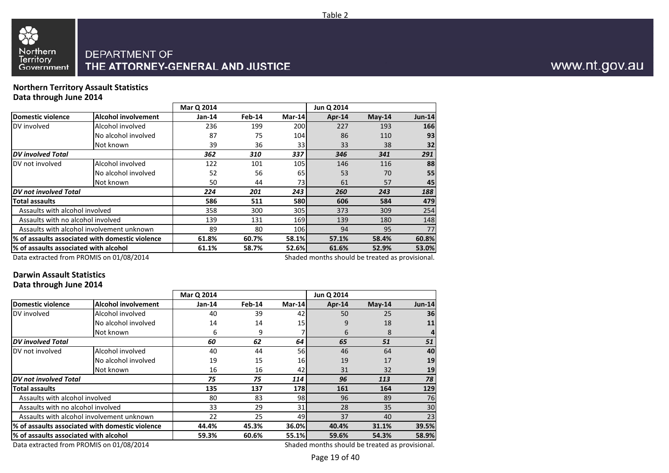

88

Northern<br>Territory

Government

### DEPARTMENT OF THE ATTORNEY-GENERAL AND JUSTICE

#### **Northern Territory Assault StatisticsData through June 2014**

|                                       |                                                 | Mar Q 2014 |        |            | Jun Q 2014                                      |          |               |
|---------------------------------------|-------------------------------------------------|------------|--------|------------|-------------------------------------------------|----------|---------------|
| Domestic violence                     | <b>Alcohol involvement</b>                      | Jan-14     | Feb-14 | Mar-14     | Apr-14                                          | $May-14$ | <b>Jun-14</b> |
| DV involved                           | Alcohol involved                                | 236        | 199    | <b>200</b> | 227                                             | 193      | 166           |
|                                       | No alcohol involved                             | 87         | 75     | 104        | 86                                              | 110      | 93            |
|                                       | Not known                                       | 39         | 36     | 33I        | 33                                              | 38       | 32            |
| <b>DV</b> involved Total              |                                                 | 362        | 310    | 337        | 346                                             | 341      | 291           |
| DV not involved                       | Alcohol involved                                | 122        | 101    | 105        | 146                                             | 116      | 88            |
|                                       | No alcohol involved                             | 52         | 56     | 65         | 53                                              | 70       | 55            |
|                                       | Not known                                       | 50         | 44     | 73         | 61                                              | 57       | 45            |
| DV not involved Total                 |                                                 | 224        | 201    | 243        | 260                                             | 243      | 188           |
| <b>Total assaults</b>                 |                                                 | 586        | 511    | <b>580</b> | 606                                             | 584      | 479           |
| Assaults with alcohol involved        |                                                 | 358        | 300    | 305        | 373                                             | 309      | 254           |
| Assaults with no alcohol involved     |                                                 | 139        | 131    | 169        | 139                                             | 180      | 148           |
|                                       | Assaults with alcohol involvement unknown       | 89         | 80     | 106        | 94                                              | 95       | 77            |
|                                       | % of assaults associated with domestic violence | 61.8%      | 60.7%  | 58.1%      | 57.1%                                           | 58.4%    | 60.8%         |
| % of assaults associated with alcohol |                                                 | 61.1%      | 58.7%  | 52.6%      | 61.6%                                           | 52.9%    | 53.0%         |
|                                       | Data extracted from PROMIS on 01/08/2014        |            |        |            | Shaded months should be treated as provisional. |          |               |

Data extracted from PROMIS on 01/08/2014

Table 2

### **Darwin Assault Statistics**

**Data through June 2014**

|                                           |                                                 | Mar Q 2014 |        |           | Jun Q 2014                                     |          |                 |
|-------------------------------------------|-------------------------------------------------|------------|--------|-----------|------------------------------------------------|----------|-----------------|
| Domestic violence                         | <b>Alcohol involvement</b>                      | $Jan-14$   | Feb-14 | Mar-14    | Apr-14                                         | $May-14$ | <b>Jun-14</b>   |
| DV involved                               | Alcohol involved                                | 40         | 39     | 42        | 50                                             | 25       | 36 <sup>l</sup> |
|                                           | No alcohol involved                             | 14         | 14     | 15        | 9                                              | 18       | 11              |
|                                           | Not known                                       | 6          | 9      |           | 6                                              | 8        | 4               |
| <b>DV</b> involved Total                  |                                                 | 60         | 62     | 64        | 65                                             | 51       | 51              |
| DV not involved                           | Alcohol involved                                | 40         | 44     | <b>56</b> | 46                                             | 64       | 40              |
|                                           | No alcohol involved                             | 19         | 15     | <b>16</b> | 19                                             | 17       | 19              |
|                                           | Not known                                       | 16         | 16     | 42        | 31                                             | 32       | 19              |
| DV not involved Total                     |                                                 | 75         | 75     | 114       | 96                                             | 113      | 78              |
| Total assaults                            |                                                 | 135        | 137    | 178I      | 161                                            | 164      | 129             |
| Assaults with alcohol involved            |                                                 | 80         | 83     | 98I       | 96                                             | 89       | 76              |
| Assaults with no alcohol involved         |                                                 | 33         | 29     | 31        | 28                                             | 35       | 30              |
|                                           | Assaults with alcohol involvement unknown       | 22         | 25     | 49        | 37                                             | 40       | 23              |
|                                           | % of assaults associated with domestic violence | 44.4%      | 45.3%  | 36.0%     | 40.4%                                          | 31.1%    | 39.5%           |
| l% of assaults associated with alcohol    |                                                 | 59.3%      | 60.6%  | 55.1%     | 59.6%                                          | 54.3%    | 58.9%           |
| $Data$ situated from BBOMIC an 01/00/3014 |                                                 |            |        |           | Chadad mantha shauld ha tusatad as nusuisianal |          |                 |

Data extracted from PROMIS on 01/08/2014

Shaded months should be treated as provisional.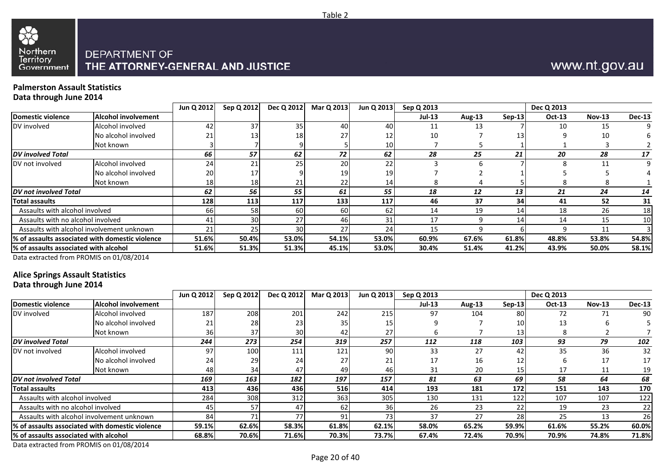

# www.nt.gov.au

#### **Palmerston Assault StatisticsData through June 2014**

|                                        |                                                 | Jun Q 2012 | Sep Q 2012 | Dec Q 2012 | Mar Q 2013      | Jun Q 2013      | Sep Q 2013    |        |          | Dec Q 2013 |               |               |
|----------------------------------------|-------------------------------------------------|------------|------------|------------|-----------------|-----------------|---------------|--------|----------|------------|---------------|---------------|
| Domestic violence                      | <b>Alcohol involvement</b>                      |            |            |            |                 |                 | <b>Jul-13</b> | Aug-13 | $Sep-13$ | Oct-13     | <b>Nov-13</b> | <b>Dec-13</b> |
| DV involved                            | Alcohol involved                                | 42         | 37         | 35         | 40              | 40              | 11            | 13     |          | 10         | 15            | 9             |
|                                        | No alcohol involved                             |            | 13         |            | 27              | 12              | 10            |        | 131      |            | 10            |               |
|                                        | Not known                                       |            |            |            |                 | 10 <sub>l</sub> |               |        |          |            |               |               |
| <b>DV</b> involved Total               |                                                 | 66         | 57         | 62         | 72              | 62              | 28            | 25     | 21       | 20         | 28            | 17            |
| DV not involved                        | Alcohol involved                                | 24         | 21         | 25         | 20              | 22              |               |        |          | ጸ          |               | 9             |
|                                        | No alcohol involved                             | 20         |            |            | 19 <sup>1</sup> | 19 <sup>1</sup> |               |        |          |            |               |               |
|                                        | Not known                                       | 18         | 18         |            | 22              | 14              |               |        |          |            |               |               |
| <b>DV</b> not involved Total           |                                                 | 62         | 56         | 55         | 61              | 55              | 18            | 12     | 13       | 21         | 24            | 14            |
| <b>Total assaults</b>                  |                                                 | 128        | 113        | 117        | 133             | 117             | 46            | 37     | 34       | 41         | 52            | 31            |
| Assaults with alcohol involved         |                                                 | 66         | 58         | 60         | 60              | 62              | 14            | 19     | 14       | 18         | 26            | 18            |
| Assaults with no alcohol involved      |                                                 | 41         | 30         |            | 46              |                 |               |        | 14       | 14         | 15            | 10            |
|                                        | Assaults with alcohol involvement unknown       | 21         | 25         | 30         | 27              | 24              | 15            |        |          |            | 11            |               |
|                                        | % of assaults associated with domestic violence | 51.6%      | 50.4%      | 53.0%      | 54.1%           | 53.0%           | 60.9%         | 67.6%  | 61.8%    | 48.8%      | 53.8%         | 54.8%         |
| 1% of assaults associated with alcohol |                                                 | 51.6%      | 51.3%      | 51.3%      | 45.1%           | 53.0%           | 30.4%         | 51.4%  | 41.2%    | 43.9%      | 50.0%         | 58.1%         |

Data extracted from PROMIS on 01/08/2014

## **Alice Springs Assault Statistics**

### **Data through June 2014**

|                                        |                                                  | Jun Q 2012 | Sep Q 2012 | Dec Q 2012 | Mar Q 2013 | Jun Q 2013       | Sep Q 2013    |        |                 | Dec Q 2013    |               |               |
|----------------------------------------|--------------------------------------------------|------------|------------|------------|------------|------------------|---------------|--------|-----------------|---------------|---------------|---------------|
| Domestic violence                      | <b>Alcohol involvement</b>                       |            |            |            |            |                  | <b>Jul-13</b> | Aug-13 | $Sep-13$        | <b>Oct-13</b> | <b>Nov-13</b> | <b>Dec-13</b> |
| DV involved                            | Alcohol involved                                 | 187        | 208        | 201        | 242        | 215              | 97            | 104    | 80I             | 72            |               | 90            |
|                                        | No alcohol involved                              |            | 28         |            | 35         | 15               |               |        | <b>10</b>       | 13            |               |               |
|                                        | Not known                                        | 36         | 37         |            | 42         | 27               |               |        | 13.             |               |               |               |
| <b>DV</b> involved Total               |                                                  | 244        | 273        | 254        | 319        | 257              | 112           | 118    | 103             | 93            | 79            | 102           |
| DV not involved                        | Alcohol involved                                 | 97         | 100        | 111        | 121        | 90I              | 33            | 27     | 42              | 35            | 36            | 32            |
|                                        | No alcohol involved                              | 24         | 29         | 24         | 27         | 21               | 17            | 16     | 12              |               | 17            | 17            |
|                                        | Not known                                        | 48         | 34         | 47         | 49         | 46               | 31            | 20     |                 | 17            | 11            | 19            |
| DV not involved Total                  |                                                  | 169        | 163        | 182        | 197        | 157              | 81            | 63     | 69              | 58            | 64            | 68            |
| Total assaults                         |                                                  | 413        | 436        | 436        | 516        | 414              | 193           | 181    | 172             | 151           | 143           | 170           |
| Assaults with alcohol involved         |                                                  | 284        | 308        | 312        | 363        | 305 <sub>1</sub> | 130           | 131    | 122             | 107           | 107           | 122           |
| Assaults with no alcohol involved      |                                                  | 45         | 57         | 47         | 62         | 36               | 26            | 23     | 22              | 19            | 23            | 22            |
|                                        | Assaults with alcohol involvement unknown        | 84         |            |            | 91         | 73               | 37            | 27     | 28 <sub>1</sub> | 25            | 13            | 26            |
|                                        | 1% of assaults associated with domestic violence | 59.1%      | 62.6%      | 58.3%      | 61.8%      | 62.1%            | 58.0%         | 65.2%  | 59.9%           | 61.6%         | 55.2%         | 60.0%         |
| l% of assaults associated with alcohol |                                                  | 68.8%      | 70.6%      | 71.6%      | 70.3%      | 73.7%            | 67.4%         | 72.4%  | 70.9%           | 70.9%         | 74.8%         | 71.8%         |

Data extracted from PROMIS on 01/08/2014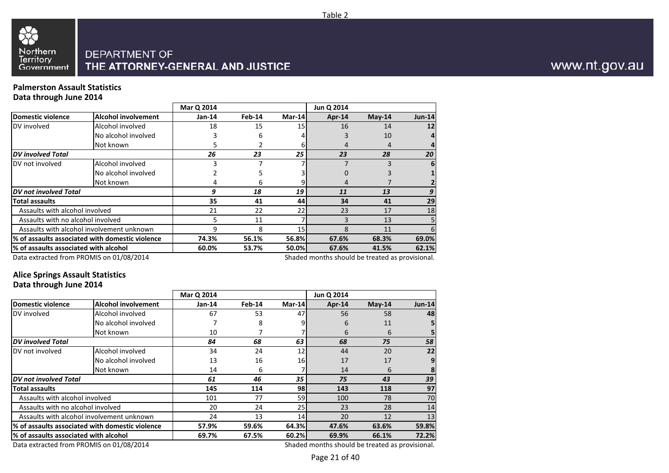

#### **Palmerston Assault StatisticsData through June 2014**

|                                       |                                                 | Mar Q 2014 |        |        | Jun Q 2014                                      |          |               |
|---------------------------------------|-------------------------------------------------|------------|--------|--------|-------------------------------------------------|----------|---------------|
| Domestic violence                     | <b>Alcohol involvement</b>                      | Jan-14     | Feb-14 | Mar-14 | Apr-14                                          | $May-14$ | <b>Jun-14</b> |
| DV involved                           | Alcohol involved                                | 18         | 15     | 15     | 16                                              | 14       | 12            |
|                                       | No alcohol involved                             | 3          | 6      |        |                                                 | 10       | 4             |
|                                       | Not known                                       | 5          |        |        |                                                 | 4        |               |
| <b>DV</b> involved Total              |                                                 | 26         | 23     | 25     | 23                                              | 28       | 20            |
| DV not involved                       | Alcohol involved                                |            |        |        |                                                 |          | 6             |
|                                       | No alcohol involved                             |            | כ      |        |                                                 |          |               |
|                                       | Not known                                       | 4          | 6      |        | 4                                               |          |               |
| <b>DV</b> not involved Total          |                                                 | 9          | 18     | 19     | 11                                              | 13       | 9             |
| <b>Total assaults</b>                 |                                                 | 35         | 41     | 44     | 34                                              | 41       | 29            |
| Assaults with alcohol involved        |                                                 | 21         | 22     | 22     | 23                                              | 17       | 18            |
| Assaults with no alcohol involved     |                                                 | 5.         | 11     |        |                                                 | 13       |               |
|                                       | Assaults with alcohol involvement unknown       | 9          | 8      | 15     | 8                                               | 11       | 6             |
|                                       | % of assaults associated with domestic violence | 74.3%      | 56.1%  | 56.8%  | 67.6%                                           | 68.3%    | 69.0%         |
| % of assaults associated with alcohol |                                                 | 60.0%      | 53.7%  | 50.0%  | 67.6%                                           | 41.5%    | 62.1%         |
|                                       | Data extracted from PROMIS on 01/08/2014        |            |        |        | Shaded months should be treated as provisional. |          |               |

Table 2

#### **Alice Springs Assault StatisticsData through June 2014**

|                                       |                                                                                                                                                                         | Mar Q 2014 |        |        | Jun Q 2014                                                       |          |                               |
|---------------------------------------|-------------------------------------------------------------------------------------------------------------------------------------------------------------------------|------------|--------|--------|------------------------------------------------------------------|----------|-------------------------------|
| <b>Domestic violence</b>              | <b>Alcohol involvement</b>                                                                                                                                              | $Jan-14$   | Feb-14 | Mar-14 | Apr-14                                                           | $May-14$ | <b>Jun-14</b>                 |
| DV involved                           | Alcohol involved                                                                                                                                                        | 67         | 53     | 47     | 56                                                               | 58       | 48                            |
|                                       | No alcohol involved                                                                                                                                                     |            | 8      |        | 6                                                                | 11       |                               |
|                                       | Not known                                                                                                                                                               | 10         |        |        | 6                                                                | 6        | 5                             |
| <b>DV</b> involved Total              |                                                                                                                                                                         | 84         | 68     | 63     | 68                                                               | 75       | 58                            |
| DV not involved                       | Alcohol involved                                                                                                                                                        | 34         | 24     | 12     | 44                                                               | 20       | 22                            |
|                                       | No alcohol involved                                                                                                                                                     | 13         | 16     | 16     | 17                                                               | 17       | 9                             |
|                                       | Not known                                                                                                                                                               | 14         | 6      |        | 14                                                               | 6        | 8                             |
| DV not involved Total                 |                                                                                                                                                                         | 61         | 46     | 35     | 75                                                               | 43       | 39 <sup>°</sup>               |
| <b>Total assaults</b>                 |                                                                                                                                                                         | 145        | 114    | 98     | 143                                                              | 118      | 97                            |
| Assaults with alcohol involved        |                                                                                                                                                                         | 101        | 77     | 59     | 100                                                              | 78       | 70                            |
| Assaults with no alcohol involved     |                                                                                                                                                                         | 20         | 24     | 25     | 23                                                               | 28       | 14                            |
|                                       | Assaults with alcohol involvement unknown                                                                                                                               | 24         | 13     | 14     | 20                                                               | 12       | 13                            |
|                                       | l% of assaults associated with domestic violence                                                                                                                        | 57.9%      | 59.6%  | 64.3%  | 47.6%                                                            | 63.6%    | 59.8%                         |
| % of assaults associated with alcohol |                                                                                                                                                                         | 69.7%      | 67.5%  | 60.2%  | 69.9%                                                            | 66.1%    | 72.2%                         |
|                                       | $P_{1}$ , $P_{2}$ , $P_{3}$ , $P_{4}$ , $P_{5}$ , $P_{6}$ , $P_{7}$ , $P_{8}$ , $P_{9}$ , $P_{1}$ , $P_{1}$ , $P_{1}$ , $P_{1}$ , $P_{2}$ , $P_{3}$ , $P_{4}$ , $P_{5}$ |            |        |        | All control to a control of the field to a margin of the control |          | the company of the company of |

Data extracted from PROMIS on 01/08/2014

Shaded months should be treated as provisional.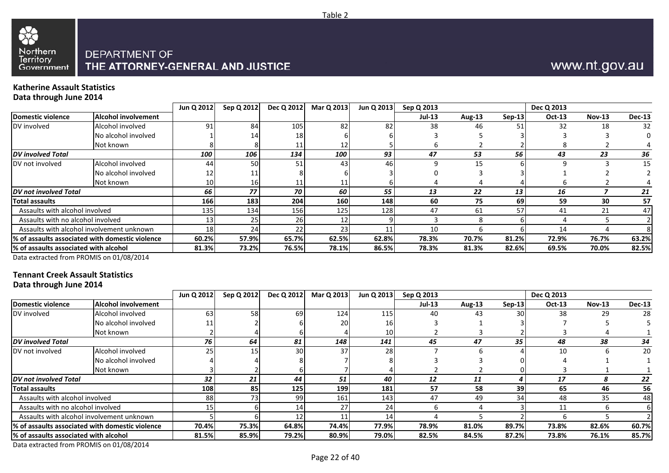

# www.nt.gov.au

#### **Katherine Assault StatisticsData through June 2014**

|                                        |                                                  | Jun Q 2012       | Sep Q 2012 | Dec Q 2012 | Mar Q 2013 | Jun Q 2013 | Sep Q 2013    |        |          | Dec Q 2013    |          |               |
|----------------------------------------|--------------------------------------------------|------------------|------------|------------|------------|------------|---------------|--------|----------|---------------|----------|---------------|
| Domestic violence                      | Alcohol involvement                              |                  |            |            |            |            | <b>Jul-13</b> | Aug-13 | $Sep-13$ | <b>Oct-13</b> | $Nov-13$ | <b>Dec-13</b> |
| DV involved                            | Alcohol involved                                 | 91               | 84         | 105        | 82         | 82         | 38            | 46     |          | 32            | 18       | 32            |
|                                        | No alcohol involved                              |                  | 14         |            |            |            |               |        |          |               |          |               |
|                                        | Not known                                        |                  |            |            |            |            |               |        |          |               |          |               |
| <b>DV</b> involved Total               |                                                  | 100              | 106        | 134        | 100        | 93         | 47            | 53     | 56       | 43            | 23       | 36            |
| DV not involved                        | Alcohol involved                                 | 44               | 50         | 51         | 43         | 46         |               | 15     |          |               |          | 15            |
|                                        | No alcohol involved                              |                  |            |            |            |            |               |        |          |               |          |               |
|                                        | Not known                                        | 10               | 16         |            |            |            |               |        |          |               |          |               |
| DV not involved Total                  |                                                  | 66               | 77         | 70         | 60         | 55         | 13            | 22     | 13       | 16            |          | 21            |
| <b>Total assaults</b>                  |                                                  | <b>166</b>       | 183        | 204        | 160        | <b>148</b> | -60           | 75     | 69       | 59            | 30       | 57            |
| Assaults with alcohol involved         |                                                  | 135 <sub>1</sub> | 134        | 156        | 125        | 128        | 47            | 61     | 57       | 41            | 21       | 47            |
| Assaults with no alcohol involved      |                                                  |                  | 25         |            |            |            |               |        |          |               |          |               |
|                                        | Assaults with alcohol involvement unknown        | 18               | 24         |            | 23         |            | 10            |        |          | 14            |          |               |
|                                        | 1% of assaults associated with domestic violence | 60.2%            | 57.9%      | 65.7%      | 62.5%      | 62.8%      | 78.3%         | 70.7%  | 81.2%    | 72.9%         | 76.7%    | 63.2%         |
| 1% of assaults associated with alcohol |                                                  | 81.3%            | 73.2%      | 76.5%      | 78.1%      | 86.5%      | 78.3%         | 81.3%  | 82.6%    | 69.5%         | 70.0%    | 82.5%         |
|                                        |                                                  |                  |            |            |            |            |               |        |          |               |          |               |

Data extracted from PROMIS on 01/08/2014

#### **Tennant Creek Assault StatisticsData through June 2014**

|                                                  |                     | Jun Q 2012 | Sep Q 2012 | Dec Q 2012 | Mar Q 2013 | Jun Q 2013       | Sep Q 2013    |               |          | Dec Q 2013    |               |               |
|--------------------------------------------------|---------------------|------------|------------|------------|------------|------------------|---------------|---------------|----------|---------------|---------------|---------------|
| Domestic violence                                | Alcohol involvement |            |            |            |            |                  | <b>Jul-13</b> | <b>Aug-13</b> | $Sep-13$ | <b>Oct-13</b> | <b>Nov-13</b> | <b>Dec-13</b> |
| DV involved                                      | Alcohol involved    | 63         | 58         | 69         | 124        | 115              | 40            | 43            | 30       | 38            | 29            | 28            |
|                                                  | No alcohol involved |            |            |            | <b>20</b>  | 16               |               |               |          |               |               |               |
|                                                  | Not known           |            |            |            |            | 10 <sub>1</sub>  |               |               |          |               |               |               |
| <b>IDV</b> involved Total                        |                     | 76         | 64         | 81         | 148        | 141              | 45            | 47            | 35       | 48            | 38            | 34            |
| DV not involved                                  | Alcohol involved    | 25         | 15         | 30         | 37         | 28 <sub>1</sub>  |               |               |          | 10            |               | 20            |
|                                                  | No alcohol involved |            |            |            |            |                  |               |               |          |               |               |               |
|                                                  | Not known           |            |            |            |            |                  |               |               |          |               |               |               |
| <b>DV</b> not involved Total                     |                     | 32         | 21         | 44         | 51         | 40               | 12            | 11            |          | 17            |               | 22            |
| <b>Total assaults</b>                            |                     | 108        | 85         | 125        | 199        | 181              | 57            | 58            | 39       | 65            | 46            | 56            |
| Assaults with alcohol involved                   |                     | 88         | 73         | 99         | 161        | 143 <sub>1</sub> | 47            | 49            | 34       | 48            | 35            | 48            |
| Assaults with no alcohol involved                |                     |            |            |            | 27         | 24 <sub>1</sub>  |               |               |          | 11            |               |               |
| Assaults with alcohol involvement unknown        |                     |            |            |            | 11         | 14               |               |               |          |               |               |               |
| 1% of assaults associated with domestic violence |                     | 70.4%      | 75.3%      | 64.8%      | 74.4%      | 77.9%            | 78.9%         | 81.0%         | 89.7%    | 73.8%         | 82.6%         | 60.7%         |
| 1% of assaults associated with alcohol           |                     | 81.5%      | 85.9%      | 79.2%      | 80.9%      | 79.0%            | 82.5%         | 84.5%         | 87.2%    | 73.8%         | 76.1%         | 85.7%         |

Data extracted from PROMIS on 01/08/2014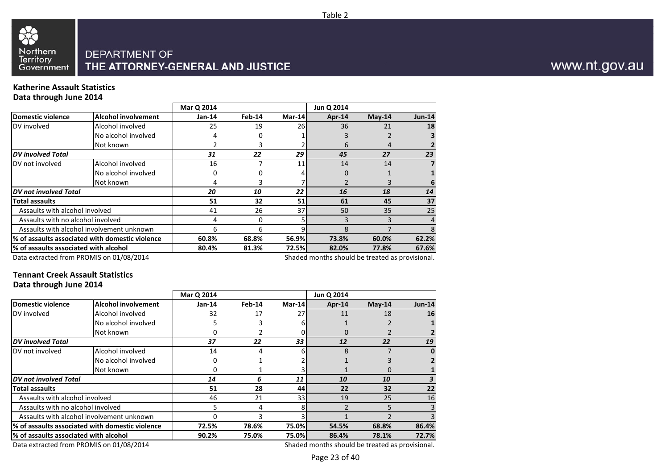

#### **Katherine Assault StatisticsData through June 2014**

|                                       |                                                 | Mar Q 2014 |        |        | Jun Q 2014                                      |          |                |
|---------------------------------------|-------------------------------------------------|------------|--------|--------|-------------------------------------------------|----------|----------------|
| <b>Domestic violence</b>              | <b>Alcohol involvement</b>                      | Jan-14     | Feb-14 | Mar-14 | Apr-14                                          | $May-14$ | <b>Jun-14</b>  |
| DV involved                           | Alcohol involved                                | 25         | 19     | 261    | 36                                              | 21       | 18             |
|                                       | No alcohol involved                             | 4          | 0      |        |                                                 |          |                |
|                                       | Not known                                       |            | 3.     |        | 6                                               | 4        |                |
| <b>DV</b> involved Total              |                                                 | 31         | 22     | 29     | 45                                              | 27       | 23             |
| DV not involved                       | Alcohol involved                                | 16         |        | 11     | 14                                              | 14       | $\overline{7}$ |
|                                       | No alcohol involved                             | 0          | 0      |        | 0                                               |          |                |
|                                       | Not known                                       | 4          | 3      |        |                                                 |          | 6              |
| <b>DV</b> not involved Total          |                                                 | 20         | 10     | 22     | 16                                              | 18       | 14             |
| <b>Total assaults</b>                 |                                                 | 51         | 32     | 51     | 61                                              | 45       | 37             |
| Assaults with alcohol involved        |                                                 | 41         | 26     | 37     | 50                                              | 35       | 25             |
| Assaults with no alcohol involved     |                                                 | 4          | 0      |        |                                                 |          | 4              |
|                                       | Assaults with alcohol involvement unknown       | 6          | 6      |        | 8                                               |          | 8              |
|                                       | % of assaults associated with domestic violence | 60.8%      | 68.8%  | 56.9%  | 73.8%                                           | 60.0%    | 62.2%          |
| % of assaults associated with alcohol |                                                 | 80.4%      | 81.3%  | 72.5%  | 82.0%                                           | 77.8%    | 67.6%          |
|                                       | Data extracted from PROMIS on 01/08/2014        |            |        |        | Shaded months should be treated as provisional. |          |                |

Data extracted from PROMIS on 01/08/2014

#### **Tennant Creek Assault StatisticsData through June 2014**

|                                       |                                                 | Mar Q 2014 |        |        | Jun Q 2014                                     |          |          |
|---------------------------------------|-------------------------------------------------|------------|--------|--------|------------------------------------------------|----------|----------|
| <b>Domestic violence</b>              | <b>Alcohol involvement</b>                      | $Jan-14$   | Feb-14 | Mar-14 | Apr-14                                         | $May-14$ | $Jun-14$ |
| DV involved                           | Alcohol involved                                | 32         | 17     | 27     | 11                                             | 18       | 16       |
|                                       | No alcohol involved                             |            |        |        |                                                |          |          |
|                                       | Not known                                       |            |        |        | 0                                              |          |          |
| <b>DV</b> involved Total              |                                                 | 37         | 22     | 33     | 12                                             | 22       | 19       |
| DV not involved                       | Alcohol involved                                | 14         | 4      |        | 8                                              |          |          |
|                                       | No alcohol involved                             |            |        |        |                                                |          |          |
|                                       | Not known                                       | Ω          |        |        |                                                |          |          |
| DV not involved Total                 |                                                 | 14         | 6      | 11     | 10                                             | 10       |          |
| Total assaults                        |                                                 | 51         | 28     | 44     | 22                                             | 32       | 22       |
| Assaults with alcohol involved        |                                                 | 46         | 21     | 33     | 19                                             | 25       | 16       |
| Assaults with no alcohol involved     |                                                 | 5          | 4      |        |                                                | 5        |          |
|                                       | Assaults with alcohol involvement unknown       |            | 3      |        |                                                |          |          |
|                                       | % of assaults associated with domestic violence | 72.5%      | 78.6%  | 75.0%  | 54.5%                                          | 68.8%    | 86.4%    |
| % of assaults associated with alcohol |                                                 | 90.2%      | 75.0%  | 75.0%  | 86.4%                                          | 78.1%    | 72.7%    |
|                                       | $Data$ situated from BBOMIC on 01/08/3014       |            |        |        | Chadad mantha shauld ha tusatad as nusuisianal |          |          |

Data extracted from PROMIS on 01/08/2014

Shaded months should be treated as provisional.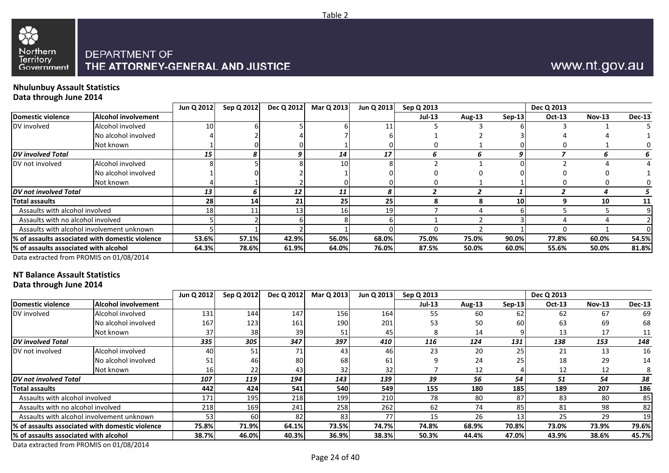

# www.nt.gov.au

#### **Nhulunbuy Assault StatisticsData through June 2014**

|                                        |                                                 | Jun Q 2012 | Sep Q 2012 | Dec Q 2012 | Mar Q 2013      | Jun Q 2013 | Sep Q 2013    |        |           | Dec Q 2013 |               |               |
|----------------------------------------|-------------------------------------------------|------------|------------|------------|-----------------|------------|---------------|--------|-----------|------------|---------------|---------------|
| <b>Domestic violence</b>               | Alcohol involvement                             |            |            |            |                 |            | <b>Jul-13</b> | Aug-13 | $Sep-13$  | Oct-13     | <b>Nov-13</b> | <b>Dec-13</b> |
| DV involved                            | Alcohol involved                                | 10         |            |            |                 | 11         |               |        |           |            |               |               |
|                                        | No alcohol involved                             |            |            |            |                 |            |               |        |           |            |               |               |
|                                        | Not known                                       |            |            |            |                 |            |               |        |           |            |               |               |
| <b>DV</b> involved Total               |                                                 | 15         | 8          |            | 14              | 17         |               |        |           |            |               |               |
| DV not involved                        | Alcohol involved                                |            |            |            | 10 <sup>1</sup> |            |               |        |           |            |               |               |
|                                        | No alcohol involved                             |            |            |            |                 |            |               |        |           |            |               |               |
|                                        | Not known                                       |            |            |            |                 |            |               |        |           |            |               |               |
| DV not involved Total                  |                                                 | 13         | 6          | 12         | 11              | 8          |               |        |           |            |               |               |
| <b>Total assaults</b>                  |                                                 | 28         | 14         | 21         | 25              | 25         |               |        | <b>10</b> |            | 10            | 11            |
| Assaults with alcohol involved         |                                                 | 18         |            |            | 16              | 19         |               |        |           |            |               |               |
| Assaults with no alcohol involved      |                                                 |            |            |            |                 |            |               |        |           |            |               |               |
|                                        | Assaults with alcohol involvement unknown       |            |            |            |                 |            |               |        |           |            |               |               |
|                                        | % of assaults associated with domestic violence | 53.6%      | 57.1%      | 42.9%      | 56.0%           | 68.0%      | 75.0%         | 75.0%  | 90.0%     | 77.8%      | 60.0%         | 54.5%         |
| l% of assaults associated with alcohol |                                                 | 64.3%      | 78.6%      | 61.9%      | 64.0%           | 76.0%      | 87.5%         | 50.0%  | 60.0%     | 55.6%      | 50.0%         | 81.8%         |

Data extracted from PROMIS on 01/08/2014

### **NT Balance Assault Statistics**

**Data through June 2014**

|                                       |                                                 | Jun Q 2012 | Sep Q 2012 | Dec Q 2012 | Mar Q 2013 | Jun Q 2013   | Sep Q 2013    |        |          | Dec Q 2013 |               |               |
|---------------------------------------|-------------------------------------------------|------------|------------|------------|------------|--------------|---------------|--------|----------|------------|---------------|---------------|
| <b>Domestic violence</b>              | <b>Alcohol involvement</b>                      |            |            |            |            |              | <b>Jul-13</b> | Aug-13 | $Sep-13$ | Oct-13     | <b>Nov-13</b> | <b>Dec-13</b> |
| DV involved                           | Alcohol involved                                | 131        | 144        | 147        | 156        | 164          | 55            | 60     | 62       | 62         | 67            | 69            |
|                                       | No alcohol involved                             | 167        | 123        | 161        | 190        | 201          | 53            | 50     | 60       | 63         | 69            | 68            |
|                                       | Not known                                       |            | 38         | 39         |            | 45.          |               | 14     |          | 13         | 17            |               |
| <b>DV</b> involved Total              |                                                 | 335        | 305        | 347        | 397        | 410          | 116           | 124    | 131      | 138        | 153           | 148           |
| DV not involved                       | Alcohol involved                                | 40         | 51         |            | 43         | 46           | 23            | 20     | 25       | 21         | 13            | 16            |
|                                       | No alcohol involved                             | 51         | 46         | 80         | 68         | 61           |               | 24     | 25       | 18         | 29            | 14            |
|                                       | Not known                                       | 16         | 22         | 43         | 32         | 32           |               | 12     |          | 12         | 12            |               |
| DV not involved Total                 |                                                 | 107        | 119        | 194        | 143        | 139          | 39            | 56     | 54       | 51         | 54            | 38            |
| <b>Total assaults</b>                 |                                                 | 442        | 424        | 541        | 540        | 549          | 155           | 180    | 185      | 189        | 207           | 186           |
| Assaults with alcohol involved        |                                                 | 171        | 195        | 218        | 199        | 210          | 78            | 80     | 87       | 83         | 80            | 85            |
| Assaults with no alcohol involved     |                                                 | 218        | 169        | 241        | 258        | 262          | 62            | 74     | 85       | 81         | 98            | 82            |
|                                       | Assaults with alcohol involvement unknown       | 53         | 60         | 82         | 83         | 77           | 15            | 26     | 13       | 25         | 29            | 19            |
|                                       | % of assaults associated with domestic violence | 75.8%      | 71.9%      | 64.1%      | 73.5%      | <b>74.7%</b> | 74.8%         | 68.9%  | 70.8%    | 73.0%      | 73.9%         | 79.6%         |
| % of assaults associated with alcohol |                                                 | 38.7%      | 46.0%      | 40.3%      | 36.9%      | 38.3%        | 50.3%         | 44.4%  | 47.0%    | 43.9%      | 38.6%         | 45.7%         |
|                                       |                                                 |            |            |            |            |              |               |        |          |            |               |               |

Data extracted from PROMIS on 01/08/2014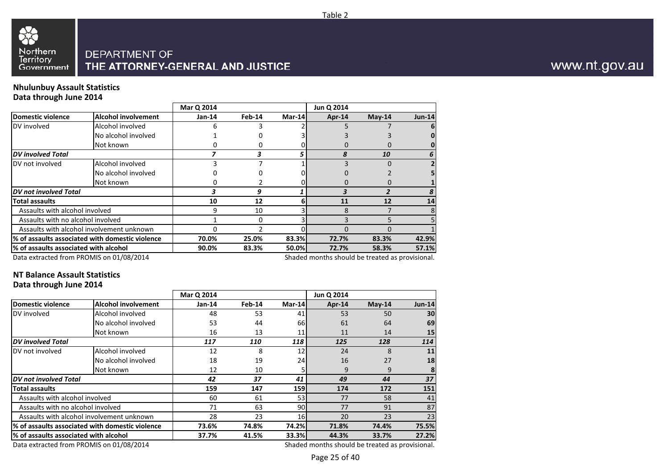

#### **Nhulunbuy Assault StatisticsData through June 2014**

|                                       |                                                            | Mar Q 2014 |        |        | Jun Q 2014                                                                           |          |               |
|---------------------------------------|------------------------------------------------------------|------------|--------|--------|--------------------------------------------------------------------------------------|----------|---------------|
| Domestic violence                     | <b>Alcohol involvement</b>                                 | Jan-14     | Feb-14 | Mar-14 | Apr-14                                                                               | $May-14$ | <b>Jun-14</b> |
| DV involved                           | Alcohol involved                                           |            |        |        |                                                                                      |          | 6             |
|                                       | No alcohol involved                                        |            |        |        |                                                                                      |          |               |
|                                       | Not known                                                  |            |        |        |                                                                                      |          |               |
| <b>DV</b> involved Total              |                                                            |            |        |        |                                                                                      | 10       | 6             |
| DV not involved                       | Alcohol involved                                           |            |        |        |                                                                                      |          |               |
|                                       | No alcohol involved                                        |            |        |        |                                                                                      |          |               |
|                                       | Not known                                                  |            |        |        |                                                                                      |          |               |
| DV not involved Total                 |                                                            |            | 9      |        |                                                                                      |          | 8             |
| <b>Total assaults</b>                 |                                                            | 10         | 12     |        | 11                                                                                   | 12       | 14            |
| Assaults with alcohol involved        |                                                            | 9          | 10     |        |                                                                                      |          | 8             |
| Assaults with no alcohol involved     |                                                            |            | 0      |        |                                                                                      |          |               |
|                                       | Assaults with alcohol involvement unknown                  |            |        |        |                                                                                      |          |               |
|                                       | % of assaults associated with domestic violence            | 70.0%      | 25.0%  | 83.3%  | 72.7%                                                                                | 83.3%    | 42.9%         |
| % of assaults associated with alcohol |                                                            | 90.0%      | 83.3%  | 50.0%  | 72.7%                                                                                | 58.3%    | 57.1%         |
|                                       | $D_{\text{obs}}$ schools of frame DDOMAIC and ALOO (304.4) |            |        |        | والمستملح فالمتحدث والمتابع والمستحيط المراديم والمستحلف والمستحدث المتحالي والمتحال |          |               |

Data extracted from PROMIS on 01/08/2014

Shaded months should be treated as provisional.

Table 2

### **NT Balance Assault Statistics**

#### **Data through June 2014**

|                                       |                                                 | Mar Q 2014 |        |                 | Jun Q 2014                                      |          |               |
|---------------------------------------|-------------------------------------------------|------------|--------|-----------------|-------------------------------------------------|----------|---------------|
| <b>Domestic violence</b>              | <b>Alcohol involvement</b>                      | $Jan-14$   | Feb-14 | Mar-14          | <b>Apr-14</b>                                   | $May-14$ | <b>Jun-14</b> |
| DV involved                           | Alcohol involved                                | 48         | 53     | 41              | 53                                              | 50       | 30            |
|                                       | No alcohol involved                             | 53         | 44     | <b>66</b>       | 61                                              | 64       | 69            |
|                                       | Not known                                       | 16         | 13     | 11              | 11                                              | 14       | 15            |
| <b>DV</b> involved Total              |                                                 | 117        | 110    | 118             | 125                                             | 128      | 114           |
| DV not involved                       | Alcohol involved                                | 12         | 8      | 12 <sup>1</sup> | 24                                              | 8        | 11            |
|                                       | No alcohol involved                             | 18         | 19     | 24              | 16                                              | 27       | 18            |
|                                       | Not known                                       | 12         | 10     |                 | 9                                               | 9        |               |
| <b>DV</b> not involved Total          |                                                 | 42         | 37     | 41              | 49                                              | 44       | 37            |
| Total assaults                        |                                                 | 159        | 147    | 159             | 174                                             | 172      | 151           |
| Assaults with alcohol involved        |                                                 | 60         | 61     | 53              | 77                                              | 58       | 41            |
| Assaults with no alcohol involved     |                                                 | 71         | 63     | 90              | 77                                              | 91       | 87            |
|                                       | Assaults with alcohol involvement unknown       | 28         | 23     | 16I             | 20                                              | 23       | 23            |
|                                       | % of assaults associated with domestic violence | 73.6%      | 74.8%  | 74.2%           | 71.8%                                           | 74.4%    | 75.5%         |
| % of assaults associated with alcohol |                                                 | 37.7%      | 41.5%  | 33.3%           | 44.3%                                           | 33.7%    | 27.2%         |
|                                       | Data extracted from PROMIS on 01/08/2014        |            |        |                 | Shaded months should be treated as provisional. |          |               |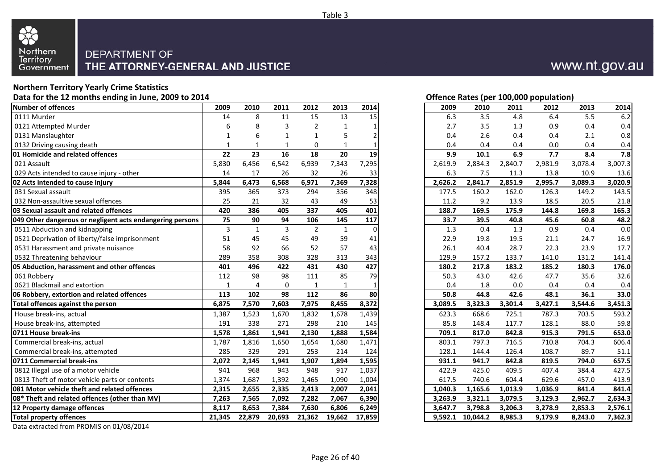

## **Northern Territory Yearly Crime Statistics**

**Data for the 12 months ending in June, 2009 to 2014**

| Number of offences                                        | 2009         | 2010         | 2011        | 2012           | 2013         | 2014     | 2009    | 2010     | 2011    | 2012    | 2013    | 2014    |
|-----------------------------------------------------------|--------------|--------------|-------------|----------------|--------------|----------|---------|----------|---------|---------|---------|---------|
| 0111 Murder                                               | 14           | 8            | 11          | 15             | 13           | 15       | 6.3     | 3.5      | 4.8     | 6.4     | 5.5     | 6.2     |
| 0121 Attempted Murder                                     | 6            | 8            | 3           | 2              | $\mathbf{1}$ |          | 2.7     | 3.5      | 1.3     | 0.9     | 0.4     | 0.4     |
| 0131 Manslaughter                                         |              |              |             |                | 5            |          | 0.4     | 2.6      | 0.4     | 0.4     | 2.1     | 0.8     |
| 0132 Driving causing death                                | $\mathbf{1}$ | 1            | 1           | $\Omega$       | $\mathbf{1}$ |          | 0.4     | 0.4      | 0.4     | 0.0     | 0.4     | 0.4     |
| <b>01 Homicide and related offences</b>                   | 22           | 23           | 16          | 18             | 20           | 19       | 9.9     | 10.1     | 6.9     | 7.7     | 8.4     | 7.8     |
| 021 Assault                                               | 5,830        | 6,456        | 6,542       | 6,939          | 7,343        | 7,295    | 2,619.9 | 2,834.3  | 2,840.7 | 2,981.9 | 3,078.4 | 3,007.3 |
| 029 Acts intended to cause injury - other                 | 14           | 17           | 26          | 32             | 26           | 33       | 6.3     | 7.5      | 11.3    | 13.8    | 10.9    | 13.6    |
| 02 Acts intended to cause injury                          | 5,844        | 6,473        | 6,568       | 6,971          | 7,369        | 7,328    | 2,626.2 | 2,841.7  | 2,851.9 | 2,995.7 | 3,089.3 | 3,020.9 |
| 031 Sexual assault                                        | 395          | 365          | 373         | 294            | 356          | 348      | 177.5   | 160.2    | 162.0   | 126.3   | 149.2   | 143.5   |
| 032 Non-assaultive sexual offences                        | 25           | 21           | 32          | 43             | 49           | 53       | 11.2    | 9.2      | 13.9    | 18.5    | 20.5    | 21.8    |
| 03 Sexual assault and related offences                    | 420          | 386          | 405         | 337            | 405          | 401      | 188.7   | 169.5    | 175.9   | 144.8   | 169.8   | 165.3   |
| 049 Other dangerous or negligent acts endangering persons | 75           | 90           | 94          | 106            | 145          | 117      | 33.7    | 39.5     | 40.8    | 45.6    | 60.8    | 48.2    |
| 0511 Abduction and kidnapping                             | 3            | $\mathbf{1}$ | 3           | $\overline{2}$ | $\mathbf{1}$ | $\Omega$ | 1.3     | 0.4      | 1.3     | 0.9     | 0.4     | 0.0     |
| 0521 Deprivation of liberty/false imprisonment            | 51           | 45           | 45          | 49             | 59           | 41       | 22.9    | 19.8     | 19.5    | 21.1    | 24.7    | 16.9    |
| 0531 Harassment and private nuisance                      | 58           | 92           | 66          | 52             | 57           | 43       | 26.1    | 40.4     | 28.7    | 22.3    | 23.9    | 17.7    |
| 0532 Threatening behaviour                                | 289          | 358          | 308         | 328            | 313          | 343      | 129.9   | 157.2    | 133.7   | 141.0   | 131.2   | 141.4   |
| 05 Abduction, harassment and other offences               | 401          | 496          | 422         | 431            | 430          | 427      | 180.2   | 217.8    | 183.2   | 185.2   | 180.3   | 176.0   |
| 061 Robbery                                               | 112          | 98           | 98          | 111            | 85           | 79       | 50.3    | 43.0     | 42.6    | 47.7    | 35.6    | 32.6    |
| 0621 Blackmail and extortion                              | $\mathbf{1}$ | 4            | $\mathbf 0$ | $\mathbf{1}$   | $\mathbf{1}$ |          | 0.4     | 1.8      | 0.0     | 0.4     | 0.4     | 0.4     |
| 06 Robbery, extortion and related offences                | 113          | 102          | 98          | 112            | 86           | 80       | 50.8    | 44.8     | 42.6    | 48.1    | 36.1    | 33.0    |
| Total offences against the person                         | 6,875        | 7,570        | 7,603       | 7,975          | 8,455        | 8,372    | 3,089.5 | 3,323.3  | 3,301.4 | 3,427.1 | 3,544.6 | 3,451.3 |
| House break-ins, actual                                   | 1,387        | 1,523        | 1,670       | 1,832          | 1,678        | 1,439    | 623.3   | 668.6    | 725.1   | 787.3   | 703.5   | 593.2   |
| House break-ins, attempted                                | 191          | 338          | 271         | 298            | 210          | 145      | 85.8    | 148.4    | 117.7   | 128.1   | 88.0    | 59.8    |
| 0711 House break-ins                                      | 1,578        | 1,861        | 1,941       | 2,130          | 1,888        | 1,584    | 709.1   | 817.0    | 842.8   | 915.3   | 791.5   | 653.0   |
| Commercial break-ins, actual                              | 1,787        | 1,816        | 1,650       | 1,654          | 1,680        | 1,471    | 803.1   | 797.3    | 716.5   | 710.8   | 704.3   | 606.4   |
| Commercial break-ins, attempted                           | 285          | 329          | 291         | 253            | 214          | 124      | 128.1   | 144.4    | 126.4   | 108.7   | 89.7    | 51.1    |
| 0711 Commercial break-ins                                 | 2,072        | 2,145        | 1,941       | 1,907          | 1,894        | 1,595    | 931.1   | 941.7    | 842.8   | 819.5   | 794.0   | 657.5   |
| 0812 Illegal use of a motor vehicle                       | 941          | 968          | 943         | 948            | 917          | 1,037    | 422.9   | 425.0    | 409.5   | 407.4   | 384.4   | 427.5   |
| 0813 Theft of motor vehicle parts or contents             | 1,374        | 1,687        | 1,392       | 1,465          | 1,090        | 1,004    | 617.5   | 740.6    | 604.4   | 629.6   | 457.0   | 413.9   |
| 081 Motor vehicle theft and related offences              | 2,315        | 2,655        | 2,335       | 2,413          | 2,007        | 2,041    | 1,040.3 | 1,165.6  | 1,013.9 | 1,036.9 | 841.4   | 841.4   |
| 08* Theft and related offences (other than MV)            | 7,263        | 7,565        | 7,092       | 7,282          | 7,067        | 6,390    | 3,263.9 | 3,321.1  | 3,079.5 | 3,129.3 | 2,962.7 | 2,634.3 |
| 12 Property damage offences                               | 8,117        | 8,653        | 7,384       | 7,630          | 6,806        | 6,249    | 3,647.7 | 3,798.8  | 3,206.3 | 3,278.9 | 2,853.3 | 2,576.1 |
| <b>Total property offences</b>                            | 21,345       | 22,879       | 20,693      | 21,362         | 19,662       | 17,859   | 9.592.1 | 10,044.2 | 8,985.3 | 9,179.9 | 8.243.0 | 7,362.3 |

Data extracted from PROMIS on 01/08/2014

#### **Offence Rates (per 100,000 population)**

| 9                       | 2010           | 2011           | 2012           | 2013         | 2014           | 2009    | 2010     | 2011    | 2012    | 2013    | 2014    |
|-------------------------|----------------|----------------|----------------|--------------|----------------|---------|----------|---------|---------|---------|---------|
| 4                       | 8              | 11             | 15             | 13           | 15             | 6.3     | 3.5      | 4.8     | 6.4     | 5.5     | 6.2     |
| 6                       | 8              | 3              | $\overline{2}$ | $\mathbf{1}$ | 1              | $2.7$   | 3.5      | 1.3     | 0.9     | 0.4     | 0.4     |
| 1                       | 6              | 1              | 1              | 5            | $\overline{c}$ | 0.4     | 2.6      | 0.4     | 0.4     | 2.1     | $0.8\,$ |
| 1                       | 1              | $\mathbf{1}$   | 0              | 1            | 1              | 0.4     | 0.4      | 0.4     | 0.0     | 0.4     | 0.4     |
| 2                       | 23             | 16             | 18             | 20           | 19             | 9.9     | 10.1     | 6.9     | 7.7     | 8.4     | 7.8     |
| 0                       | 6,456          | 6,542          | 6,939          | 7,343        | 7,295          | 2,619.9 | 2,834.3  | 2,840.7 | 2,981.9 | 3,078.4 | 3,007.3 |
| 4                       | 17             | 26             | 32             | 26           | 33             | 6.3     | 7.5      | 11.3    | 13.8    | 10.9    | 13.6    |
| 4                       | 6,473          | 6,568          | 6,971          | 7,369        | 7,328          | 2,626.2 | 2,841.7  | 2,851.9 | 2,995.7 | 3,089.3 | 3,020.9 |
| 5                       | 365            | 373            | 294            | 356          | 348            | 177.5   | 160.2    | 162.0   | 126.3   | 149.2   | 143.5   |
| 5                       | 21             | 32             | 43             | 49           | 53             | 11.2    | 9.2      | 13.9    | 18.5    | 20.5    | 21.8    |
| 0                       | 386            | 405            | 337            | 405          | 401            | 188.7   | 169.5    | 175.9   | 144.8   | 169.8   | 165.3   |
| 5                       | 90             | 94             | 106            | 145          | 117            | 33.7    | 39.5     | 40.8    | 45.6    | 60.8    | 48.2    |
| 3                       | $\mathbf{1}$   | $\overline{3}$ | $\overline{2}$ | $\mathbf{1}$ | $\Omega$       | 1.3     | 0.4      | 1.3     | 0.9     | 0.4     | $0.0\,$ |
| 1                       | 45             | 45             | 49             | 59           | 41             | 22.9    | 19.8     | 19.5    | 21.1    | 24.7    | 16.9    |
| 8                       | 92             | 66             | 52             | 57           | 43             | 26.1    | 40.4     | 28.7    | 22.3    | 23.9    | 17.7    |
| 9                       | 358            | 308            | 328            | 313          | 343            | 129.9   | 157.2    | 133.7   | 141.0   | 131.2   | 141.4   |
| 1                       | 496            | 422            | 431            | 430          | 427            | 180.2   | 217.8    | 183.2   | 185.2   | 180.3   | 176.0   |
| $\overline{\mathbf{2}}$ | 98             | 98             | 111            | 85           | 79             | 50.3    | 43.0     | 42.6    | 47.7    | 35.6    | 32.6    |
| 1                       | $\overline{4}$ | $\mathbf 0$    | $\mathbf 1$    | $\mathbf{1}$ | $\mathbf{1}$   | 0.4     | 1.8      | 0.0     | 0.4     | 0.4     | 0.4     |
| 3                       | 102            | 98             | 112            | 86           | 80             | 50.8    | 44.8     | 42.6    | 48.1    | 36.1    | 33.0    |
| 5                       | 7,570          | 7,603          | 7,975          | 8,455        | 8,372          | 3,089.5 | 3,323.3  | 3,301.4 | 3,427.1 | 3,544.6 | 3,451.3 |
| 7                       | 1,523          | 1,670          | 1,832          | 1,678        | 1,439          | 623.3   | 668.6    | 725.1   | 787.3   | 703.5   | 593.2   |
| 1                       | 338            | 271            | 298            | 210          | 145            | 85.8    | 148.4    | 117.7   | 128.1   | 88.0    | 59.8    |
| 8                       | 1,861          | 1,941          | 2,130          | 1,888        | 1,584          | 709.1   | 817.0    | 842.8   | 915.3   | 791.5   | 653.0   |
| 7                       | 1,816          | 1,650          | 1,654          | 1,680        | 1,471          | 803.1   | 797.3    | 716.5   | 710.8   | 704.3   | 606.4   |
| 5                       | 329            | 291            | 253            | 214          | 124            | 128.1   | 144.4    | 126.4   | 108.7   | 89.7    | 51.1    |
| 2                       | 2,145          | 1,941          | 1,907          | 1,894        | 1,595          | 931.1   | 941.7    | 842.8   | 819.5   | 794.0   | 657.5   |
| 1                       | 968            | 943            | 948            | 917          | 1,037          | 422.9   | 425.0    | 409.5   | 407.4   | 384.4   | 427.5   |
| 4                       | 1,687          | 1,392          | 1,465          | 1,090        | 1,004          | 617.5   | 740.6    | 604.4   | 629.6   | 457.0   | 413.9   |
| 5                       | 2,655          | 2,335          | 2,413          | 2,007        | 2,041          | 1,040.3 | 1,165.6  | 1,013.9 | 1,036.9 | 841.4   | 841.4   |
| 3                       | 7,565          | 7,092          | 7,282          | 7,067        | 6,390          | 3,263.9 | 3,321.1  | 3,079.5 | 3,129.3 | 2,962.7 | 2,634.3 |
| 7                       | 8,653          | 7,384          | 7,630          | 6,806        | 6,249          | 3,647.7 | 3,798.8  | 3,206.3 | 3,278.9 | 2,853.3 | 2,576.1 |
| 5                       | 22,879         | 20,693         | 21,362         | 19,662       | 17,859         | 9,592.1 | 10,044.2 | 8,985.3 | 9,179.9 | 8,243.0 | 7,362.3 |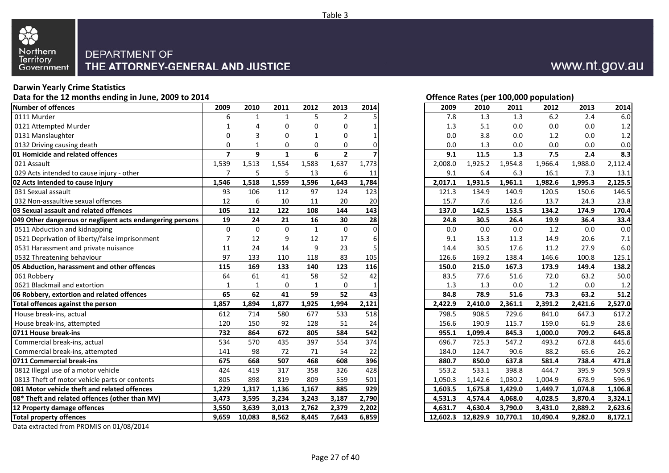

#### **Darwin Yearly Crime Statistics**

**Data for the 12 months ending in June, 2009 to 2014**

| Number of offences                                        | 2009           | 2010     | 2011         | 2012         | 2013                    | 2014             | 2009     | 2010     | 2011     | 2012     | 2013    | 2014    |
|-----------------------------------------------------------|----------------|----------|--------------|--------------|-------------------------|------------------|----------|----------|----------|----------|---------|---------|
| 0111 Murder                                               | 6              |          | 1            | 5            | $\overline{2}$          |                  | 7.8      | 1.3      | 1.3      | 6.2      | 2.4     | 6.0     |
| 0121 Attempted Murder                                     |                |          | ŋ            | $\Omega$     | 0                       |                  | 1.3      | 5.1      | 0.0      | 0.0      | 0.0     | 1.2     |
| 0131 Manslaughter                                         | $\Omega$       | 3        | O            | $\mathbf 1$  | $\Omega$                |                  | 0.0      | 3.8      | 0.0      | 1.2      | 0.0     | 1.2     |
| 0132 Driving causing death                                | 0              |          | 0            | 0            | 0                       |                  | 0.0      | 1.3      | 0.0      | 0.0      | 0.0     | 0.0     |
| 01 Homicide and related offences                          | $\overline{7}$ | 9        | $\mathbf{1}$ | 6            | $\overline{\mathbf{2}}$ |                  | 9.1      | 11.5     | 1.3      | 7.5      | 2.4     | 8.3     |
| 021 Assault                                               | 1,539          | 1,513    | 1,554        | 1,583        | 1,637                   | 1,773            | 2,008.0  | 1,925.2  | 1,954.8  | 1,966.4  | 1,988.0 | 2,112.4 |
| 029 Acts intended to cause injury - other                 | $\overline{7}$ | 5        | 5            | 13           | 6                       | 11               | 9.1      | 6.4      | 6.3      | 16.1     | 7.3     | 13.1    |
| 02 Acts intended to cause injury                          | 1,546          | 1,518    | 1,559        | 1,596        | 1,643                   | 1,784            | 2,017.1  | 1,931.5  | 1,961.1  | 1,982.6  | 1,995.3 | 2,125.5 |
| 031 Sexual assault                                        | 93             | 106      | 112          | 97           | 124                     | 123              | 121.3    | 134.9    | 140.9    | 120.5    | 150.6   | 146.5   |
| 032 Non-assaultive sexual offences                        | 12             | 6        | 10           | 11           | 20                      | 20               | 15.7     | 7.6      | 12.6     | 13.7     | 24.3    | 23.8    |
| 03 Sexual assault and related offences                    | 105            | 112      | 122          | 108          | 144                     | 143              | 137.0    | 142.5    | 153.5    | 134.2    | 174.9   | 170.4   |
| 049 Other dangerous or negligent acts endangering persons | 19             | 24       | 21           | 16           | 30                      | 28               | 24.8     | 30.5     | 26.4     | 19.9     | 36.4    | 33.4    |
| 0511 Abduction and kidnapping                             | $\mathbf 0$    | $\Omega$ | $\Omega$     | $\mathbf{1}$ | $\mathbf{0}$            | $\Omega$         | 0.0      | 0.0      | 0.0      | 1.2      | 0.0     | 0.0     |
| 0521 Deprivation of liberty/false imprisonment            | $\overline{7}$ | 12       | q            | 12           | 17                      | 6                | 9.1      | 15.3     | 11.3     | 14.9     | 20.6    | 7.1     |
| 0531 Harassment and private nuisance                      | 11             | 24       | 14           | 9            | 23                      |                  | 14.4     | 30.5     | 17.6     | 11.2     | 27.9    | 6.0     |
| 0532 Threatening behaviour                                | 97             | 133      | 110          | 118          | 83                      | 105              | 126.6    | 169.2    | 138.4    | 146.6    | 100.8   | 125.1   |
| 05 Abduction, harassment and other offences               | 115            | 169      | 133          | 140          | 123                     | 116              | 150.0    | 215.0    | 167.3    | 173.9    | 149.4   | 138.2   |
| 061 Robbery                                               | 64             | 61       | 41           | 58           | 52                      | 42               | 83.5     | 77.6     | 51.6     | 72.0     | 63.2    | 50.0    |
| 0621 Blackmail and extortion                              | $\mathbf{1}$   |          | $\mathbf 0$  | 1            | $\mathbf 0$             |                  | 1.3      | 1.3      | 0.0      | 1.2      | 0.0     | 1.2     |
| 06 Robbery, extortion and related offences                | 65             | 62       | 41           | 59           | 52                      | 43               | 84.8     | 78.9     | 51.6     | 73.3     | 63.2    | 51.2    |
| Total offences against the person                         | 1,857          | 1,894    | 1,877        | 1,925        | 1,994                   | 2,121            | 2,422.9  | 2,410.0  | 2,361.1  | 2,391.2  | 2,421.6 | 2,527.0 |
| House break-ins, actual                                   | 612            | 714      | 580          | 677          | 533                     | 518              | 798.5    | 908.5    | 729.6    | 841.0    | 647.3   | 617.2   |
| House break-ins, attempted                                | 120            | 150      | 92           | 128          | 51                      | 24               | 156.6    | 190.9    | 115.7    | 159.0    | 61.9    | 28.6    |
| 0711 House break-ins                                      | 732            | 864      | 672          | 805          | 584                     | 542              | 955.1    | 1,099.4  | 845.3    | 1,000.0  | 709.2   | 645.8   |
| Commercial break-ins, actual                              | 534            | 570      | 435          | 397          | 554                     | $\overline{374}$ | 696.7    | 725.3    | 547.2    | 493.2    | 672.8   | 445.6   |
| Commercial break-ins, attempted                           | 141            | 98       | 72           | 71           | 54                      | 22               | 184.0    | 124.7    | 90.6     | 88.2     | 65.6    | 26.2    |
| 0711 Commercial break-ins                                 | 675            | 668      | 507          | 468          | 608                     | 396              | 880.7    | 850.0    | 637.8    | 581.4    | 738.4   | 471.8   |
| 0812 Illegal use of a motor vehicle                       | 424            | 419      | 317          | 358          | 326                     | 428              | 553.2    | 533.1    | 398.8    | 444.7    | 395.9   | 509.9   |
| 0813 Theft of motor vehicle parts or contents             | 805            | 898      | 819          | 809          | 559                     | 501              | 1,050.3  | 1,142.6  | 1,030.2  | 1,004.9  | 678.9   | 596.9   |
| 081 Motor vehicle theft and related offences              | 1,229          | 1,317    | 1,136        | 1,167        | 885                     | 929              | 1,603.5  | 1,675.8  | 1,429.0  | 1,449.7  | 1,074.8 | 1,106.8 |
| 08* Theft and related offences (other than MV)            | 3,473          | 3,595    | 3,234        | 3,243        | 3,187                   | 2,790            | 4,531.3  | 4,574.4  | 4,068.0  | 4,028.5  | 3,870.4 | 3,324.1 |
| 12 Property damage offences                               | 3,550          | 3,639    | 3,013        | 2,762        | 2,379                   | 2,202            | 4,631.7  | 4,630.4  | 3,790.0  | 3,431.0  | 2,889.2 | 2,623.6 |
| <b>Total property offences</b>                            | 9,659          | 10,083   | 8,562        | 8,445        | 7,643                   | 6,859            | 12,602.3 | 12,829.9 | 10,770.1 | 10,490.4 | 9,282.0 | 8,172.1 |

Data extracted from PROMIS on 01/08/2014

**Offence Rates (per 100,000 population)**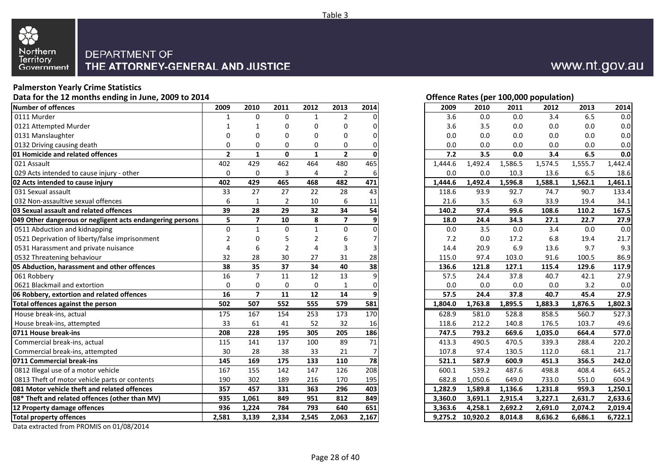

#### **Palmerston Yearly Crime Statistics**

**Data for the 12 months ending in June, 2009 to 2014**

| $\overline{2}$<br>3.6<br>3.4<br>6.5<br>0111 Murder<br>$\Omega$<br>0<br>0.0<br>0.0<br>$\mathbf 1$<br>$\mathbf{1}$<br>0121 Attempted Murder<br>$\Omega$<br>3.6<br>3.5<br>0.0<br>0.0<br>$\Omega$<br>0.0<br>1<br>$\Omega$<br>0131 Manslaughter<br>0.0<br>0.0<br>0.0<br>$\Omega$<br>$\Omega$<br>$\Omega$<br>0.0<br>0.0<br>n<br>O<br>0132 Driving causing death<br>0<br>0.0<br>0.0<br>0.0<br>0.0<br>0.0<br>$\Omega$<br>0<br>0<br>0<br>$\overline{\mathbf{2}}$<br>$\overline{2}$<br>0<br>7.2<br>3.4<br>6.5<br><b>01 Homicide and related offences</b><br>$\mathbf{1}$<br>$\mathbf{1}$<br>3.5<br>0.0<br>ŋ<br>021 Assault<br>402<br>429<br>462<br>464<br>480<br>465<br>1,492.4<br>1,586.5<br>1,574.5<br>1,555.7<br>1,444.6<br>029 Acts intended to cause injury - other<br>0<br>$\mathbf 0$<br>3<br>$\overline{2}$<br>0.0<br>0.0<br>10.3<br>13.6<br>6.5<br>$\overline{4}$<br>6<br>429<br>465<br>402<br>468<br>482<br>471<br>1,596.8<br>1,588.1<br>1,562.1<br>02 Acts intended to cause injury<br>1,444.6<br>1,492.4<br>27<br>22<br>33<br>27<br>28<br>43<br>93.9<br>92.7<br>74.7<br>90.7<br>031 Sexual assault<br>118.6<br>032 Non-assaultive sexual offences<br>6<br>$\overline{2}$<br>10<br>6<br>21.6<br>3.5<br>6.9<br>33.9<br>19.4<br>1<br>11<br>34<br>39<br>28<br>29<br>32<br>54<br>140.2<br>97.4<br>99.6<br>108.6<br>03 Sexual assault and related offences<br>110.2<br>$\overline{\mathbf{z}}$<br>5<br>$\overline{\mathbf{z}}$<br>10<br>8<br>049 Other dangerous or negligent acts endangering persons<br>18.0<br>24.4<br>34.3<br>27.1<br>22.7<br>0511 Abduction and kidnapping<br>$\mathbf 0$<br>$\Omega$<br>$\Omega$<br>$\mathbf{1}$<br>0.0<br>3.5<br>0.0<br>3.4<br>0.0<br>$\mathbf{1}$<br>0521 Deprivation of liberty/false imprisonment<br>7.2<br>6.8<br>$\overline{2}$<br>0.0<br>17.2<br>19.4<br>$\Omega$<br>$\overline{2}$<br>6<br>9.7<br>0531 Harassment and private nuisance<br>3<br>14.4<br>20.9<br>6.9<br>13.6<br>6<br>4<br>91.6<br>0532 Threatening behaviour<br>32<br>28<br>30<br>27<br>31<br>100.5<br>28<br>115.0<br>97.4<br>103.0<br>38<br>35<br>37<br>34<br>40<br>05 Abduction, harassment and other offences<br>38<br>136.6<br>127.1<br>129.6<br>121.8<br>115.4<br>$\overline{7}$<br>13<br>16<br>12<br>42.1<br>061 Robbery<br>11<br>57.5<br>24.4<br>37.8<br>40.7<br>٩<br>0621 Blackmail and extortion<br>$\mathbf 0$<br>$\mathbf 0$<br>$\mathbf 0$<br>$\Omega$<br>$\mathbf{1}$<br>0.0<br>0.0<br>0.0<br>0.0<br>3.2<br>0<br>$\overline{7}$<br>16<br>11<br>12<br>14<br>57.5<br>37.8<br>40.7<br>06 Robbery, extortion and related offences<br>q<br>24.4<br>45.4<br>502<br>507<br>552<br>555<br>579<br>581<br>1,876.5<br>Total offences against the person<br>1,804.0<br>1,763.8<br>1,895.5<br>1,883.3<br>House break-ins, actual<br>170<br>175<br>167<br>154<br>253<br>173<br>628.9<br>581.0<br>528.8<br>858.5<br>560.7<br>33<br>House break-ins, attempted<br>41<br>52<br>32<br>212.2<br>140.8<br>176.5<br>103.7<br>61<br>118.6<br>16<br>0711 House break-ins<br>208<br>195<br>186<br>664.4<br>228<br>305<br>205<br>747.5<br>793.2<br>669.6<br>1,035.0<br>Commercial break-ins, actual<br>137<br>100<br>89<br>71<br>288.4<br>115<br>141<br>413.3<br>490.5<br>470.5<br>339.3<br>Commercial break-ins, attempted<br>30<br>28<br>38<br>33<br>21<br>107.8<br>97.4<br>112.0<br>68.1<br>130.5<br>0711 Commercial break-ins<br>169<br>175<br>133<br>78<br>356.5<br>145<br>110<br>521.1<br>587.9<br>600.9<br>451.3<br>208<br>0812 Illegal use of a motor vehicle<br>142<br>147<br>126<br>498.8<br>408.4<br>167<br>155<br>600.1<br>539.2<br>487.6<br>0813 Theft of motor vehicle parts or contents<br>190<br>302<br>189<br>216<br>733.0<br>551.0<br>170<br>195<br>682.8<br>1,050.6<br>649.0<br>081 Motor vehicle theft and related offences<br>363<br>296<br>403<br>357<br>457<br>331<br>1,282.9<br>1,136.6<br>1,231.8<br>959.3<br>1,589.8<br>849<br>935<br>1,061<br>849<br>951<br>812<br>08* Theft and related offences (other than MV)<br>3,360.0<br>3,691.1<br>2,915.4<br>3,227.1<br>2,631.7<br>651<br>936<br>784<br>793<br>640<br>12 Property damage offences<br>1,224<br>3,363.6<br>4,258.1<br>2,692.2<br>2,691.0<br>2,074.2<br><b>Total property offences</b><br>2,581<br>3,139<br>2,545<br>2,063<br>2,167<br>10,920.2<br>8,014.8<br>2,334<br>9,275.2<br>8,636.2<br>6,686.1 | Number of offences | 2009 | 2010 | 2011 | 2012 | 2013 | 2014 | 2009 | 2010 | 2011 | 2012 | 2013 | 2014    |
|-----------------------------------------------------------------------------------------------------------------------------------------------------------------------------------------------------------------------------------------------------------------------------------------------------------------------------------------------------------------------------------------------------------------------------------------------------------------------------------------------------------------------------------------------------------------------------------------------------------------------------------------------------------------------------------------------------------------------------------------------------------------------------------------------------------------------------------------------------------------------------------------------------------------------------------------------------------------------------------------------------------------------------------------------------------------------------------------------------------------------------------------------------------------------------------------------------------------------------------------------------------------------------------------------------------------------------------------------------------------------------------------------------------------------------------------------------------------------------------------------------------------------------------------------------------------------------------------------------------------------------------------------------------------------------------------------------------------------------------------------------------------------------------------------------------------------------------------------------------------------------------------------------------------------------------------------------------------------------------------------------------------------------------------------------------------------------------------------------------------------------------------------------------------------------------------------------------------------------------------------------------------------------------------------------------------------------------------------------------------------------------------------------------------------------------------------------------------------------------------------------------------------------------------------------------------------------------------------------------------------------------------------------------------------------------------------------------------------------------------------------------------------------------------------------------------------------------------------------------------------------------------------------------------------------------------------------------------------------------------------------------------------------------------------------------------------------------------------------------------------------------------------------------------------------------------------------------------------------------------------------------------------------------------------------------------------------------------------------------------------------------------------------------------------------------------------------------------------------------------------------------------------------------------------------------------------------------------------------------------------------------------------------------------------------------------------------------------------------------------------------------------------------------------------------------------------------------------------------------------------------------------------------------------------------------------------------------------------------------------------------------------------------------------------------------------------------------------------------------------------------------------------------------------------------------------------------------------------------------------------------------------------------------|--------------------|------|------|------|------|------|------|------|------|------|------|------|---------|
|                                                                                                                                                                                                                                                                                                                                                                                                                                                                                                                                                                                                                                                                                                                                                                                                                                                                                                                                                                                                                                                                                                                                                                                                                                                                                                                                                                                                                                                                                                                                                                                                                                                                                                                                                                                                                                                                                                                                                                                                                                                                                                                                                                                                                                                                                                                                                                                                                                                                                                                                                                                                                                                                                                                                                                                                                                                                                                                                                                                                                                                                                                                                                                                                                                                                                                                                                                                                                                                                                                                                                                                                                                                                                                                                                                                                                                                                                                                                                                                                                                                                                                                                                                                                                                                                                   |                    |      |      |      |      |      |      |      |      |      |      |      | 0.0     |
|                                                                                                                                                                                                                                                                                                                                                                                                                                                                                                                                                                                                                                                                                                                                                                                                                                                                                                                                                                                                                                                                                                                                                                                                                                                                                                                                                                                                                                                                                                                                                                                                                                                                                                                                                                                                                                                                                                                                                                                                                                                                                                                                                                                                                                                                                                                                                                                                                                                                                                                                                                                                                                                                                                                                                                                                                                                                                                                                                                                                                                                                                                                                                                                                                                                                                                                                                                                                                                                                                                                                                                                                                                                                                                                                                                                                                                                                                                                                                                                                                                                                                                                                                                                                                                                                                   |                    |      |      |      |      |      |      |      |      |      |      |      | 0.0     |
|                                                                                                                                                                                                                                                                                                                                                                                                                                                                                                                                                                                                                                                                                                                                                                                                                                                                                                                                                                                                                                                                                                                                                                                                                                                                                                                                                                                                                                                                                                                                                                                                                                                                                                                                                                                                                                                                                                                                                                                                                                                                                                                                                                                                                                                                                                                                                                                                                                                                                                                                                                                                                                                                                                                                                                                                                                                                                                                                                                                                                                                                                                                                                                                                                                                                                                                                                                                                                                                                                                                                                                                                                                                                                                                                                                                                                                                                                                                                                                                                                                                                                                                                                                                                                                                                                   |                    |      |      |      |      |      |      |      |      |      |      |      | 0.0     |
|                                                                                                                                                                                                                                                                                                                                                                                                                                                                                                                                                                                                                                                                                                                                                                                                                                                                                                                                                                                                                                                                                                                                                                                                                                                                                                                                                                                                                                                                                                                                                                                                                                                                                                                                                                                                                                                                                                                                                                                                                                                                                                                                                                                                                                                                                                                                                                                                                                                                                                                                                                                                                                                                                                                                                                                                                                                                                                                                                                                                                                                                                                                                                                                                                                                                                                                                                                                                                                                                                                                                                                                                                                                                                                                                                                                                                                                                                                                                                                                                                                                                                                                                                                                                                                                                                   |                    |      |      |      |      |      |      |      |      |      |      |      | 0.0     |
|                                                                                                                                                                                                                                                                                                                                                                                                                                                                                                                                                                                                                                                                                                                                                                                                                                                                                                                                                                                                                                                                                                                                                                                                                                                                                                                                                                                                                                                                                                                                                                                                                                                                                                                                                                                                                                                                                                                                                                                                                                                                                                                                                                                                                                                                                                                                                                                                                                                                                                                                                                                                                                                                                                                                                                                                                                                                                                                                                                                                                                                                                                                                                                                                                                                                                                                                                                                                                                                                                                                                                                                                                                                                                                                                                                                                                                                                                                                                                                                                                                                                                                                                                                                                                                                                                   |                    |      |      |      |      |      |      |      |      |      |      |      | 0.0     |
|                                                                                                                                                                                                                                                                                                                                                                                                                                                                                                                                                                                                                                                                                                                                                                                                                                                                                                                                                                                                                                                                                                                                                                                                                                                                                                                                                                                                                                                                                                                                                                                                                                                                                                                                                                                                                                                                                                                                                                                                                                                                                                                                                                                                                                                                                                                                                                                                                                                                                                                                                                                                                                                                                                                                                                                                                                                                                                                                                                                                                                                                                                                                                                                                                                                                                                                                                                                                                                                                                                                                                                                                                                                                                                                                                                                                                                                                                                                                                                                                                                                                                                                                                                                                                                                                                   |                    |      |      |      |      |      |      |      |      |      |      |      | 1,442.4 |
|                                                                                                                                                                                                                                                                                                                                                                                                                                                                                                                                                                                                                                                                                                                                                                                                                                                                                                                                                                                                                                                                                                                                                                                                                                                                                                                                                                                                                                                                                                                                                                                                                                                                                                                                                                                                                                                                                                                                                                                                                                                                                                                                                                                                                                                                                                                                                                                                                                                                                                                                                                                                                                                                                                                                                                                                                                                                                                                                                                                                                                                                                                                                                                                                                                                                                                                                                                                                                                                                                                                                                                                                                                                                                                                                                                                                                                                                                                                                                                                                                                                                                                                                                                                                                                                                                   |                    |      |      |      |      |      |      |      |      |      |      |      | 18.6    |
|                                                                                                                                                                                                                                                                                                                                                                                                                                                                                                                                                                                                                                                                                                                                                                                                                                                                                                                                                                                                                                                                                                                                                                                                                                                                                                                                                                                                                                                                                                                                                                                                                                                                                                                                                                                                                                                                                                                                                                                                                                                                                                                                                                                                                                                                                                                                                                                                                                                                                                                                                                                                                                                                                                                                                                                                                                                                                                                                                                                                                                                                                                                                                                                                                                                                                                                                                                                                                                                                                                                                                                                                                                                                                                                                                                                                                                                                                                                                                                                                                                                                                                                                                                                                                                                                                   |                    |      |      |      |      |      |      |      |      |      |      |      | 1,461.1 |
|                                                                                                                                                                                                                                                                                                                                                                                                                                                                                                                                                                                                                                                                                                                                                                                                                                                                                                                                                                                                                                                                                                                                                                                                                                                                                                                                                                                                                                                                                                                                                                                                                                                                                                                                                                                                                                                                                                                                                                                                                                                                                                                                                                                                                                                                                                                                                                                                                                                                                                                                                                                                                                                                                                                                                                                                                                                                                                                                                                                                                                                                                                                                                                                                                                                                                                                                                                                                                                                                                                                                                                                                                                                                                                                                                                                                                                                                                                                                                                                                                                                                                                                                                                                                                                                                                   |                    |      |      |      |      |      |      |      |      |      |      |      | 133.4   |
|                                                                                                                                                                                                                                                                                                                                                                                                                                                                                                                                                                                                                                                                                                                                                                                                                                                                                                                                                                                                                                                                                                                                                                                                                                                                                                                                                                                                                                                                                                                                                                                                                                                                                                                                                                                                                                                                                                                                                                                                                                                                                                                                                                                                                                                                                                                                                                                                                                                                                                                                                                                                                                                                                                                                                                                                                                                                                                                                                                                                                                                                                                                                                                                                                                                                                                                                                                                                                                                                                                                                                                                                                                                                                                                                                                                                                                                                                                                                                                                                                                                                                                                                                                                                                                                                                   |                    |      |      |      |      |      |      |      |      |      |      |      | 34.1    |
|                                                                                                                                                                                                                                                                                                                                                                                                                                                                                                                                                                                                                                                                                                                                                                                                                                                                                                                                                                                                                                                                                                                                                                                                                                                                                                                                                                                                                                                                                                                                                                                                                                                                                                                                                                                                                                                                                                                                                                                                                                                                                                                                                                                                                                                                                                                                                                                                                                                                                                                                                                                                                                                                                                                                                                                                                                                                                                                                                                                                                                                                                                                                                                                                                                                                                                                                                                                                                                                                                                                                                                                                                                                                                                                                                                                                                                                                                                                                                                                                                                                                                                                                                                                                                                                                                   |                    |      |      |      |      |      |      |      |      |      |      |      | 167.5   |
|                                                                                                                                                                                                                                                                                                                                                                                                                                                                                                                                                                                                                                                                                                                                                                                                                                                                                                                                                                                                                                                                                                                                                                                                                                                                                                                                                                                                                                                                                                                                                                                                                                                                                                                                                                                                                                                                                                                                                                                                                                                                                                                                                                                                                                                                                                                                                                                                                                                                                                                                                                                                                                                                                                                                                                                                                                                                                                                                                                                                                                                                                                                                                                                                                                                                                                                                                                                                                                                                                                                                                                                                                                                                                                                                                                                                                                                                                                                                                                                                                                                                                                                                                                                                                                                                                   |                    |      |      |      |      |      |      |      |      |      |      |      | 27.9    |
|                                                                                                                                                                                                                                                                                                                                                                                                                                                                                                                                                                                                                                                                                                                                                                                                                                                                                                                                                                                                                                                                                                                                                                                                                                                                                                                                                                                                                                                                                                                                                                                                                                                                                                                                                                                                                                                                                                                                                                                                                                                                                                                                                                                                                                                                                                                                                                                                                                                                                                                                                                                                                                                                                                                                                                                                                                                                                                                                                                                                                                                                                                                                                                                                                                                                                                                                                                                                                                                                                                                                                                                                                                                                                                                                                                                                                                                                                                                                                                                                                                                                                                                                                                                                                                                                                   |                    |      |      |      |      |      |      |      |      |      |      |      | 0.0     |
|                                                                                                                                                                                                                                                                                                                                                                                                                                                                                                                                                                                                                                                                                                                                                                                                                                                                                                                                                                                                                                                                                                                                                                                                                                                                                                                                                                                                                                                                                                                                                                                                                                                                                                                                                                                                                                                                                                                                                                                                                                                                                                                                                                                                                                                                                                                                                                                                                                                                                                                                                                                                                                                                                                                                                                                                                                                                                                                                                                                                                                                                                                                                                                                                                                                                                                                                                                                                                                                                                                                                                                                                                                                                                                                                                                                                                                                                                                                                                                                                                                                                                                                                                                                                                                                                                   |                    |      |      |      |      |      |      |      |      |      |      |      | 21.7    |
|                                                                                                                                                                                                                                                                                                                                                                                                                                                                                                                                                                                                                                                                                                                                                                                                                                                                                                                                                                                                                                                                                                                                                                                                                                                                                                                                                                                                                                                                                                                                                                                                                                                                                                                                                                                                                                                                                                                                                                                                                                                                                                                                                                                                                                                                                                                                                                                                                                                                                                                                                                                                                                                                                                                                                                                                                                                                                                                                                                                                                                                                                                                                                                                                                                                                                                                                                                                                                                                                                                                                                                                                                                                                                                                                                                                                                                                                                                                                                                                                                                                                                                                                                                                                                                                                                   |                    |      |      |      |      |      |      |      |      |      |      |      | 9.3     |
|                                                                                                                                                                                                                                                                                                                                                                                                                                                                                                                                                                                                                                                                                                                                                                                                                                                                                                                                                                                                                                                                                                                                                                                                                                                                                                                                                                                                                                                                                                                                                                                                                                                                                                                                                                                                                                                                                                                                                                                                                                                                                                                                                                                                                                                                                                                                                                                                                                                                                                                                                                                                                                                                                                                                                                                                                                                                                                                                                                                                                                                                                                                                                                                                                                                                                                                                                                                                                                                                                                                                                                                                                                                                                                                                                                                                                                                                                                                                                                                                                                                                                                                                                                                                                                                                                   |                    |      |      |      |      |      |      |      |      |      |      |      | 86.9    |
|                                                                                                                                                                                                                                                                                                                                                                                                                                                                                                                                                                                                                                                                                                                                                                                                                                                                                                                                                                                                                                                                                                                                                                                                                                                                                                                                                                                                                                                                                                                                                                                                                                                                                                                                                                                                                                                                                                                                                                                                                                                                                                                                                                                                                                                                                                                                                                                                                                                                                                                                                                                                                                                                                                                                                                                                                                                                                                                                                                                                                                                                                                                                                                                                                                                                                                                                                                                                                                                                                                                                                                                                                                                                                                                                                                                                                                                                                                                                                                                                                                                                                                                                                                                                                                                                                   |                    |      |      |      |      |      |      |      |      |      |      |      | 117.9   |
|                                                                                                                                                                                                                                                                                                                                                                                                                                                                                                                                                                                                                                                                                                                                                                                                                                                                                                                                                                                                                                                                                                                                                                                                                                                                                                                                                                                                                                                                                                                                                                                                                                                                                                                                                                                                                                                                                                                                                                                                                                                                                                                                                                                                                                                                                                                                                                                                                                                                                                                                                                                                                                                                                                                                                                                                                                                                                                                                                                                                                                                                                                                                                                                                                                                                                                                                                                                                                                                                                                                                                                                                                                                                                                                                                                                                                                                                                                                                                                                                                                                                                                                                                                                                                                                                                   |                    |      |      |      |      |      |      |      |      |      |      |      | 27.9    |
|                                                                                                                                                                                                                                                                                                                                                                                                                                                                                                                                                                                                                                                                                                                                                                                                                                                                                                                                                                                                                                                                                                                                                                                                                                                                                                                                                                                                                                                                                                                                                                                                                                                                                                                                                                                                                                                                                                                                                                                                                                                                                                                                                                                                                                                                                                                                                                                                                                                                                                                                                                                                                                                                                                                                                                                                                                                                                                                                                                                                                                                                                                                                                                                                                                                                                                                                                                                                                                                                                                                                                                                                                                                                                                                                                                                                                                                                                                                                                                                                                                                                                                                                                                                                                                                                                   |                    |      |      |      |      |      |      |      |      |      |      |      | 0.0     |
|                                                                                                                                                                                                                                                                                                                                                                                                                                                                                                                                                                                                                                                                                                                                                                                                                                                                                                                                                                                                                                                                                                                                                                                                                                                                                                                                                                                                                                                                                                                                                                                                                                                                                                                                                                                                                                                                                                                                                                                                                                                                                                                                                                                                                                                                                                                                                                                                                                                                                                                                                                                                                                                                                                                                                                                                                                                                                                                                                                                                                                                                                                                                                                                                                                                                                                                                                                                                                                                                                                                                                                                                                                                                                                                                                                                                                                                                                                                                                                                                                                                                                                                                                                                                                                                                                   |                    |      |      |      |      |      |      |      |      |      |      |      | 27.9    |
|                                                                                                                                                                                                                                                                                                                                                                                                                                                                                                                                                                                                                                                                                                                                                                                                                                                                                                                                                                                                                                                                                                                                                                                                                                                                                                                                                                                                                                                                                                                                                                                                                                                                                                                                                                                                                                                                                                                                                                                                                                                                                                                                                                                                                                                                                                                                                                                                                                                                                                                                                                                                                                                                                                                                                                                                                                                                                                                                                                                                                                                                                                                                                                                                                                                                                                                                                                                                                                                                                                                                                                                                                                                                                                                                                                                                                                                                                                                                                                                                                                                                                                                                                                                                                                                                                   |                    |      |      |      |      |      |      |      |      |      |      |      | 1,802.3 |
|                                                                                                                                                                                                                                                                                                                                                                                                                                                                                                                                                                                                                                                                                                                                                                                                                                                                                                                                                                                                                                                                                                                                                                                                                                                                                                                                                                                                                                                                                                                                                                                                                                                                                                                                                                                                                                                                                                                                                                                                                                                                                                                                                                                                                                                                                                                                                                                                                                                                                                                                                                                                                                                                                                                                                                                                                                                                                                                                                                                                                                                                                                                                                                                                                                                                                                                                                                                                                                                                                                                                                                                                                                                                                                                                                                                                                                                                                                                                                                                                                                                                                                                                                                                                                                                                                   |                    |      |      |      |      |      |      |      |      |      |      |      | 527.3   |
|                                                                                                                                                                                                                                                                                                                                                                                                                                                                                                                                                                                                                                                                                                                                                                                                                                                                                                                                                                                                                                                                                                                                                                                                                                                                                                                                                                                                                                                                                                                                                                                                                                                                                                                                                                                                                                                                                                                                                                                                                                                                                                                                                                                                                                                                                                                                                                                                                                                                                                                                                                                                                                                                                                                                                                                                                                                                                                                                                                                                                                                                                                                                                                                                                                                                                                                                                                                                                                                                                                                                                                                                                                                                                                                                                                                                                                                                                                                                                                                                                                                                                                                                                                                                                                                                                   |                    |      |      |      |      |      |      |      |      |      |      |      | 49.6    |
|                                                                                                                                                                                                                                                                                                                                                                                                                                                                                                                                                                                                                                                                                                                                                                                                                                                                                                                                                                                                                                                                                                                                                                                                                                                                                                                                                                                                                                                                                                                                                                                                                                                                                                                                                                                                                                                                                                                                                                                                                                                                                                                                                                                                                                                                                                                                                                                                                                                                                                                                                                                                                                                                                                                                                                                                                                                                                                                                                                                                                                                                                                                                                                                                                                                                                                                                                                                                                                                                                                                                                                                                                                                                                                                                                                                                                                                                                                                                                                                                                                                                                                                                                                                                                                                                                   |                    |      |      |      |      |      |      |      |      |      |      |      | 577.0   |
|                                                                                                                                                                                                                                                                                                                                                                                                                                                                                                                                                                                                                                                                                                                                                                                                                                                                                                                                                                                                                                                                                                                                                                                                                                                                                                                                                                                                                                                                                                                                                                                                                                                                                                                                                                                                                                                                                                                                                                                                                                                                                                                                                                                                                                                                                                                                                                                                                                                                                                                                                                                                                                                                                                                                                                                                                                                                                                                                                                                                                                                                                                                                                                                                                                                                                                                                                                                                                                                                                                                                                                                                                                                                                                                                                                                                                                                                                                                                                                                                                                                                                                                                                                                                                                                                                   |                    |      |      |      |      |      |      |      |      |      |      |      | 220.2   |
|                                                                                                                                                                                                                                                                                                                                                                                                                                                                                                                                                                                                                                                                                                                                                                                                                                                                                                                                                                                                                                                                                                                                                                                                                                                                                                                                                                                                                                                                                                                                                                                                                                                                                                                                                                                                                                                                                                                                                                                                                                                                                                                                                                                                                                                                                                                                                                                                                                                                                                                                                                                                                                                                                                                                                                                                                                                                                                                                                                                                                                                                                                                                                                                                                                                                                                                                                                                                                                                                                                                                                                                                                                                                                                                                                                                                                                                                                                                                                                                                                                                                                                                                                                                                                                                                                   |                    |      |      |      |      |      |      |      |      |      |      |      | 21.7    |
|                                                                                                                                                                                                                                                                                                                                                                                                                                                                                                                                                                                                                                                                                                                                                                                                                                                                                                                                                                                                                                                                                                                                                                                                                                                                                                                                                                                                                                                                                                                                                                                                                                                                                                                                                                                                                                                                                                                                                                                                                                                                                                                                                                                                                                                                                                                                                                                                                                                                                                                                                                                                                                                                                                                                                                                                                                                                                                                                                                                                                                                                                                                                                                                                                                                                                                                                                                                                                                                                                                                                                                                                                                                                                                                                                                                                                                                                                                                                                                                                                                                                                                                                                                                                                                                                                   |                    |      |      |      |      |      |      |      |      |      |      |      | 242.0   |
|                                                                                                                                                                                                                                                                                                                                                                                                                                                                                                                                                                                                                                                                                                                                                                                                                                                                                                                                                                                                                                                                                                                                                                                                                                                                                                                                                                                                                                                                                                                                                                                                                                                                                                                                                                                                                                                                                                                                                                                                                                                                                                                                                                                                                                                                                                                                                                                                                                                                                                                                                                                                                                                                                                                                                                                                                                                                                                                                                                                                                                                                                                                                                                                                                                                                                                                                                                                                                                                                                                                                                                                                                                                                                                                                                                                                                                                                                                                                                                                                                                                                                                                                                                                                                                                                                   |                    |      |      |      |      |      |      |      |      |      |      |      | 645.2   |
|                                                                                                                                                                                                                                                                                                                                                                                                                                                                                                                                                                                                                                                                                                                                                                                                                                                                                                                                                                                                                                                                                                                                                                                                                                                                                                                                                                                                                                                                                                                                                                                                                                                                                                                                                                                                                                                                                                                                                                                                                                                                                                                                                                                                                                                                                                                                                                                                                                                                                                                                                                                                                                                                                                                                                                                                                                                                                                                                                                                                                                                                                                                                                                                                                                                                                                                                                                                                                                                                                                                                                                                                                                                                                                                                                                                                                                                                                                                                                                                                                                                                                                                                                                                                                                                                                   |                    |      |      |      |      |      |      |      |      |      |      |      | 604.9   |
|                                                                                                                                                                                                                                                                                                                                                                                                                                                                                                                                                                                                                                                                                                                                                                                                                                                                                                                                                                                                                                                                                                                                                                                                                                                                                                                                                                                                                                                                                                                                                                                                                                                                                                                                                                                                                                                                                                                                                                                                                                                                                                                                                                                                                                                                                                                                                                                                                                                                                                                                                                                                                                                                                                                                                                                                                                                                                                                                                                                                                                                                                                                                                                                                                                                                                                                                                                                                                                                                                                                                                                                                                                                                                                                                                                                                                                                                                                                                                                                                                                                                                                                                                                                                                                                                                   |                    |      |      |      |      |      |      |      |      |      |      |      | 1,250.1 |
|                                                                                                                                                                                                                                                                                                                                                                                                                                                                                                                                                                                                                                                                                                                                                                                                                                                                                                                                                                                                                                                                                                                                                                                                                                                                                                                                                                                                                                                                                                                                                                                                                                                                                                                                                                                                                                                                                                                                                                                                                                                                                                                                                                                                                                                                                                                                                                                                                                                                                                                                                                                                                                                                                                                                                                                                                                                                                                                                                                                                                                                                                                                                                                                                                                                                                                                                                                                                                                                                                                                                                                                                                                                                                                                                                                                                                                                                                                                                                                                                                                                                                                                                                                                                                                                                                   |                    |      |      |      |      |      |      |      |      |      |      |      | 2,633.6 |
|                                                                                                                                                                                                                                                                                                                                                                                                                                                                                                                                                                                                                                                                                                                                                                                                                                                                                                                                                                                                                                                                                                                                                                                                                                                                                                                                                                                                                                                                                                                                                                                                                                                                                                                                                                                                                                                                                                                                                                                                                                                                                                                                                                                                                                                                                                                                                                                                                                                                                                                                                                                                                                                                                                                                                                                                                                                                                                                                                                                                                                                                                                                                                                                                                                                                                                                                                                                                                                                                                                                                                                                                                                                                                                                                                                                                                                                                                                                                                                                                                                                                                                                                                                                                                                                                                   |                    |      |      |      |      |      |      |      |      |      |      |      | 2,019.4 |
|                                                                                                                                                                                                                                                                                                                                                                                                                                                                                                                                                                                                                                                                                                                                                                                                                                                                                                                                                                                                                                                                                                                                                                                                                                                                                                                                                                                                                                                                                                                                                                                                                                                                                                                                                                                                                                                                                                                                                                                                                                                                                                                                                                                                                                                                                                                                                                                                                                                                                                                                                                                                                                                                                                                                                                                                                                                                                                                                                                                                                                                                                                                                                                                                                                                                                                                                                                                                                                                                                                                                                                                                                                                                                                                                                                                                                                                                                                                                                                                                                                                                                                                                                                                                                                                                                   |                    |      |      |      |      |      |      |      |      |      |      |      | 6,722.1 |

Data extracted from PROMIS on 01/08/2014

**Offence Rates (per 100,000 population)**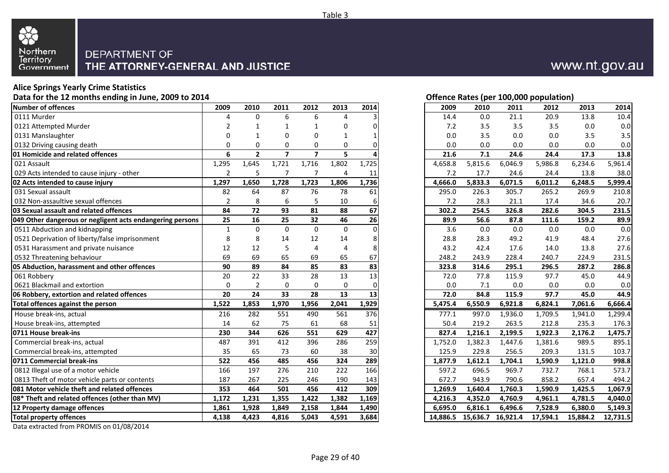

### **Alice Springs Yearly Crime Statistics**

**Data for the 12 months ending in June, 2009 to 2014**

| Number of offences                                        | 2009           | 2010           | 2011           | 2012                    | 2013        | 2014     | 2009     | 2010     | 2011     | 2012     | 2013     | 2014     |
|-----------------------------------------------------------|----------------|----------------|----------------|-------------------------|-------------|----------|----------|----------|----------|----------|----------|----------|
| 0111 Murder                                               | Δ              | $\Omega$       | 6              | 6                       | 4           |          | 14.4     | 0.0      | 21.1     | 20.9     | 13.8     | 10.4     |
| 0121 Attempted Murder                                     |                |                |                |                         | 0           | U        | 7.2      | 3.5      | 3.5      | 3.5      | 0.0      | 0.0      |
| 0131 Manslaughter                                         | 0              | $\mathbf 1$    | $\Omega$       | $\Omega$                | 1           |          | 0.0      | 3.5      | 0.0      | 0.0      | 3.5      | 3.5      |
| 0132 Driving causing death                                | 0              | $\Omega$       | $\Omega$       | 0                       | 0           |          | 0.0      | 0.0      | 0.0      | 0.0      | 0.0      | 0.0      |
| 01 Homicide and related offences                          | 6              | $\overline{2}$ | $\overline{7}$ | $\overline{\mathbf{z}}$ | 5           |          | 21.6     | 7.1      | 24.6     | 24.4     | 17.3     | 13.8     |
| 021 Assault                                               | 1,295          | 1,645          | 1,721          | 1,716                   | 1,802       | 1,725    | 4,658.8  | 5,815.6  | 6,046.9  | 5,986.8  | 6,234.6  | 5,961.4  |
| 029 Acts intended to cause injury - other                 | $\overline{2}$ | 5              | 7              | 7                       | 4           | 11       | 7.2      | 17.7     | 24.6     | 24.4     | 13.8     | 38.0     |
| 02 Acts intended to cause injury                          | 1,297          | 1,650          | 1,728          | 1,723                   | 1,806       | 1,736    | 4,666.0  | 5,833.3  | 6,071.5  | 6,011.2  | 6,248.5  | 5,999.4  |
| 031 Sexual assault                                        | 82             | 64             | 87             | 76                      | 78          | 61       | 295.0    | 226.3    | 305.7    | 265.2    | 269.9    | 210.8    |
| 032 Non-assaultive sexual offences                        | $\overline{2}$ | 8              | 6              | 5                       | 10          | 6        | 7.2      | 28.3     | 21.1     | 17.4     | 34.6     | 20.7     |
| 03 Sexual assault and related offences                    | 84             | 72             | 93             | 81                      | 88          | 67       | 302.2    | 254.5    | 326.8    | 282.6    | 304.5    | 231.5    |
| 049 Other dangerous or negligent acts endangering persons | 25             | 16             | 25             | 32                      | 46          | 26       | 89.9     | 56.6     | 87.8     | 111.6    | 159.2    | 89.9     |
| 0511 Abduction and kidnapping                             | $\mathbf{1}$   | $\Omega$       | $\Omega$       | $\Omega$                | $\Omega$    | $\Omega$ | 3.6      | 0.0      | 0.0      | 0.0      | 0.0      | 0.0      |
| 0521 Deprivation of liberty/false imprisonment            | 8              | 8              | 14             | 12                      | 14          | 8        | 28.8     | 28.3     | 49.2     | 41.9     | 48.4     | 27.6     |
| 0531 Harassment and private nuisance                      | 12             | 12             | 5              | $\overline{4}$          | 4           | 8        | 43.2     | 42.4     | 17.6     | 14.0     | 13.8     | 27.6     |
| 0532 Threatening behaviour                                | 69             | 69             | 65             | 69                      | 65          | 67       | 248.2    | 243.9    | 228.4    | 240.7    | 224.9    | 231.5    |
| 05 Abduction, harassment and other offences               | 90             | 89             | 84             | 85                      | 83          | 83       | 323.8    | 314.6    | 295.1    | 296.5    | 287.2    | 286.8    |
| 061 Robbery                                               | 20             | 22             | 33             | 28                      | 13          | 13       | 72.0     | 77.8     | 115.9    | 97.7     | 45.0     | 44.9     |
| 0621 Blackmail and extortion                              | $\mathbf 0$    | $\overline{2}$ | $\Omega$       | $\Omega$                | $\mathbf 0$ | 0        | 0.0      | 7.1      | 0.0      | 0.0      | 0.0      | 0.0      |
| 06 Robbery, extortion and related offences                | 20             | 24             | 33             | 28                      | 13          | 13       | 72.0     | 84.8     | 115.9    | 97.7     | 45.0     | 44.9     |
| Total offences against the person                         | 1,522          | 1,853          | 1,970          | 1,956                   | 2,041       | 1,929    | 5,475.4  | 6,550.9  | 6,921.8  | 6,824.1  | 7,061.6  | 6,666.4  |
| House break-ins, actual                                   | 216            | 282            | 551            | 490                     | 561         | 376      | 777.1    | 997.0    | 1,936.0  | 1,709.5  | 1,941.0  | 1,299.4  |
| House break-ins, attempted                                | 14             | 62             | 75             | 61                      | 68          | 51       | 50.4     | 219.2    | 263.5    | 212.8    | 235.3    | 176.3    |
| 0711 House break-ins                                      | 230            | 344            | 626            | 551                     | 629         | 427      | 827.4    | 1,216.1  | 2,199.5  | 1,922.3  | 2,176.2  | 1,475.7  |
| Commercial break-ins, actual                              | 487            | 391            | 412            | 396                     | 286         | 259      | 1,752.0  | 1,382.3  | 1,447.6  | 1,381.6  | 989.5    | 895.1    |
| Commercial break-ins, attempted                           | 35             | 65             | 73             | 60                      | 38          | 30       | 125.9    | 229.8    | 256.5    | 209.3    | 131.5    | 103.7    |
| 0711 Commercial break-ins                                 | 522            | 456            | 485            | 456                     | 324         | 289      | 1,877.9  | 1,612.1  | 1,704.1  | 1,590.9  | 1,121.0  | 998.8    |
| 0812 Illegal use of a motor vehicle                       | 166            | 197            | 276            | 210                     | 222         | 166      | 597.2    | 696.5    | 969.7    | 732.7    | 768.1    | 573.7    |
| 0813 Theft of motor vehicle parts or contents             | 187            | 267            | 225            | 246                     | 190         | 143      | 672.7    | 943.9    | 790.6    | 858.2    | 657.4    | 494.2    |
| 081 Motor vehicle theft and related offences              | 353            | 464            | 501            | 456                     | 412         | 309      | 1,269.9  | 1,640.4  | 1,760.3  | 1,590.9  | 1,425.5  | 1,067.9  |
| 08* Theft and related offences (other than MV)            | 1,172          | 1,231          | 1,355          | 1,422                   | 1,382       | 1,169    | 4,216.3  | 4,352.0  | 4,760.9  | 4,961.1  | 4,781.5  | 4,040.0  |
| 12 Property damage offences                               | 1,861          | 1,928          | 1,849          | 2,158                   | 1,844       | 1,490    | 6.695.0  | 6,816.1  | 6,496.6  | 7,528.9  | 6,380.0  | 5,149.3  |
| <b>Total property offences</b>                            | 4,138          | 4,423          | 4,816          | 5,043                   | 4,591       | 3,684    | 14,886.5 | 15,636.7 | 16,921.4 | 17,594.1 | 15,884.2 | 12,731.5 |

Data extracted from PROMIS on 01/08/2014

|                         |              |                          |                         |             |       |          |          |          | Offence Rates (per 100,000 population) |          |          |
|-------------------------|--------------|--------------------------|-------------------------|-------------|-------|----------|----------|----------|----------------------------------------|----------|----------|
| 9                       | 2010         | 2011                     | 2012                    | 2013        | 2014  | 2009     | 2010     | 2011     | 2012                                   | 2013     | 2014     |
| 4                       | $\mathbf 0$  | 6                        | 6                       | 4           | 3     | 14.4     | 0.0      | 21.1     | 20.9                                   | 13.8     | 10.4     |
| 2                       | 1            | 1                        | 1                       | 0           | 0     | 7.2      | 3.5      | 3.5      | 3.5                                    | $0.0\,$  | 0.0      |
| 0                       | 1            | 0                        | 0                       | 1           | 1     | 0.0      | 3.5      | 0.0      | 0.0                                    | 3.5      | 3.5      |
| 0                       | 0            | 0                        | 0                       | 0           | 0     | 0.0      | 0.0      | 0.0      | 0.0                                    | 0.0      | 0.0      |
| 6                       | $\mathbf{2}$ | $\overline{\phantom{a}}$ | $\overline{\mathbf{z}}$ | 5           |       | 21.6     | 7.1      | 24.6     | 24.4                                   | 17.3     | 13.8     |
| $\overline{5}$          | 1,645        | 1,721                    | 1,716                   | 1,802       | 1,725 | 4,658.8  | 5,815.6  | 6,046.9  | 5,986.8                                | 6,234.6  | 5,961.4  |
| $\overline{2}$          | 5            | 7                        | 7                       | 4           | 11    | 7.2      | 17.7     | 24.6     | 24.4                                   | 13.8     | 38.0     |
| 7                       | 1,650        | 1,728                    | 1,723                   | 1,806       | 1,736 | 4,666.0  | 5,833.3  | 6,071.5  | 6,011.2                                | 6,248.5  | 5,999.4  |
| 2                       | 64           | 87                       | 76                      | 78          | 61    | 295.0    | 226.3    | 305.7    | 265.2                                  | 269.9    | 210.8    |
| 2                       | 8            | 6                        | 5                       | 10          | 6     | 7.2      | 28.3     | 21.1     | 17.4                                   | 34.6     | 20.7     |
| 4                       | 72           | 93                       | 81                      | 88          | 67    | 302.2    | 254.5    | 326.8    | 282.6                                  | 304.5    | 231.5    |
| 5                       | 16           | 25                       | 32                      | 46          | 26    | 89.9     | 56.6     | 87.8     | 111.6                                  | 159.2    | 89.9     |
| 1                       | 0            | $\mathbf 0$              | 0                       | $\mathbf 0$ | 0     | 3.6      | 0.0      | 0.0      | 0.0                                    | 0.0      | 0.0      |
| 8                       | 8            | 14                       | 12                      | 14          | 8     | 28.8     | 28.3     | 49.2     | 41.9                                   | 48.4     | 27.6     |
| 2                       | 12           | 5                        | 4                       | 4           | 8     | 43.2     | 42.4     | 17.6     | 14.0                                   | 13.8     | 27.6     |
| 9                       | 69           | 65                       | 69                      | 65          | 67    | 248.2    | 243.9    | 228.4    | 240.7                                  | 224.9    | 231.5    |
| $\overline{\mathbf{0}}$ | 89           | 84                       | 85                      | 83          | 83    | 323.8    | 314.6    | 295.1    | 296.5                                  | 287.2    | 286.8    |
| 0                       | 22           | 33                       | 28                      | 13          | 13    | 72.0     | 77.8     | 115.9    | 97.7                                   | 45.0     | 44.9     |
| 0                       | $\mathbf 2$  | 0                        | 0                       | 0           | 0     | 0.0      | 7.1      | 0.0      | 0.0                                    | 0.0      | 0.0      |
| 0                       | 24           | 33                       | 28                      | 13          | 13    | 72.0     | 84.8     | 115.9    | 97.7                                   | 45.0     | 44.9     |
| 2                       | 1,853        | 1,970                    | 1,956                   | 2,041       | 1,929 | 5,475.4  | 6,550.9  | 6,921.8  | 6,824.1                                | 7,061.6  | 6,666.4  |
| 6                       | 282          | 551                      | 490                     | 561         | 376   | 777.1    | 997.0    | 1,936.0  | 1,709.5                                | 1,941.0  | 1,299.4  |
| 4                       | 62           | 75                       | 61                      | 68          | 51    | 50.4     | 219.2    | 263.5    | 212.8                                  | 235.3    | 176.3    |
| 0                       | 344          | 626                      | 551                     | 629         | 427   | 827.4    | 1,216.1  | 2,199.5  | 1,922.3                                | 2,176.2  | 1,475.7  |
| 7                       | 391          | 412                      | 396                     | 286         | 259   | 1,752.0  | 1,382.3  | 1,447.6  | 1,381.6                                | 989.5    | 895.1    |
| $\overline{5}$          | 65           | 73                       | 60                      | 38          | 30    | 125.9    | 229.8    | 256.5    | 209.3                                  | 131.5    | 103.7    |
| 2                       | 456          | 485                      | 456                     | 324         | 289   | 1,877.9  | 1,612.1  | 1,704.1  | 1,590.9                                | 1,121.0  | 998.8    |
| 6                       | 197          | 276                      | 210                     | 222         | 166   | 597.2    | 696.5    | 969.7    | 732.7                                  | 768.1    | 573.7    |
| 7                       | 267          | 225                      | 246                     | 190         | 143   | 672.7    | 943.9    | 790.6    | 858.2                                  | 657.4    | 494.2    |
| $\overline{\mathbf{3}}$ | 464          | 501                      | 456                     | 412         | 309   | 1,269.9  | 1,640.4  | 1,760.3  | 1,590.9                                | 1,425.5  | 1,067.9  |
| 2                       | 1,231        | 1,355                    | 1,422                   | 1,382       | 1,169 | 4,216.3  | 4,352.0  | 4,760.9  | 4,961.1                                | 4,781.5  | 4,040.0  |
| 1                       | 1,928        | 1,849                    | 2,158                   | 1,844       | 1,490 | 6,695.0  | 6,816.1  | 6,496.6  | 7,528.9                                | 6,380.0  | 5,149.3  |
| 8                       | 4,423        | 4,816                    | 5,043                   | 4,591       | 3,684 | 14,886.5 | 15,636.7 | 16,921.4 | 17,594.1                               | 15,884.2 | 12,731.5 |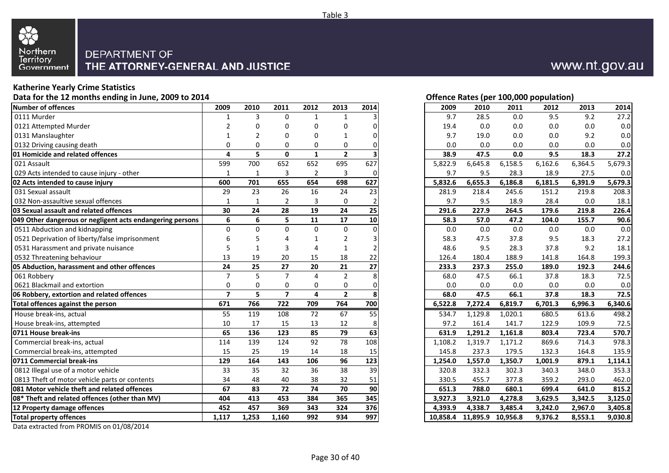

#### **Katherine Yearly Crime Statistics**

**Data for the 12 months ending in June, 2009 to 2014**

| Number of offences                                        | 2009                    | 2010     | 2011           | 2012                    | 2013           | 2014     | 2009     | 2010     | 2011     | 2012    | 2013    | 2014    |
|-----------------------------------------------------------|-------------------------|----------|----------------|-------------------------|----------------|----------|----------|----------|----------|---------|---------|---------|
| 0111 Murder                                               | -1                      | 3        | $\Omega$       | 1                       | 1              |          | 9.7      | 28.5     | 0.0      | 9.5     | 9.2     | 27.2    |
| 0121 Attempted Murder                                     | $\mathfrak z$           | O        | ŋ              | $\Omega$                | 0              |          | 19.4     | 0.0      | 0.0      | 0.0     | 0.0     | 0.0     |
| 0131 Manslaughter                                         | $\mathbf 1$             |          | O              | $\Omega$                |                |          | 9.7      | 19.0     | 0.0      | 0.0     | 9.2     | 0.0     |
| 0132 Driving causing death                                | $\mathbf 0$             | $\Omega$ | $\Omega$       | $\mathbf 0$             | 0              |          | 0.0      | 0.0      | 0.0      | 0.0     | 0.0     | 0.0     |
| 01 Homicide and related offences                          | 4                       | 5        | $\mathbf 0$    | $\mathbf{1}$            | $\overline{2}$ |          | 38.9     | 47.5     | 0.0      | 9.5     | 18.3    | 27.2    |
| 021 Assault                                               | 599                     | 700      | 652            | 652                     | 695            | 627      | 5,822.9  | 6,645.8  | 6,158.5  | 6,162.6 | 6,364.5 | 5,679.3 |
| 029 Acts intended to cause injury - other                 | $\mathbf{1}$            | 1        | 3              | $\overline{2}$          | 3              | $\Omega$ | 9.7      | 9.5      | 28.3     | 18.9    | 27.5    | 0.0     |
| 02 Acts intended to cause injury                          | 600                     | 701      | 655            | 654                     | 698            | 627      | 5,832.6  | 6,655.3  | 6,186.8  | 6,181.5 | 6,391.9 | 5,679.3 |
| 031 Sexual assault                                        | 29                      | 23       | 26             | 16                      | 24             | 23       | 281.9    | 218.4    | 245.6    | 151.2   | 219.8   | 208.3   |
| 032 Non-assaultive sexual offences                        | $\mathbf{1}$            |          | $\overline{2}$ | 3                       | 0              |          | 9.7      | 9.5      | 18.9     | 28.4    | 0.0     | 18.1    |
| 03 Sexual assault and related offences                    | 30                      | 24       | 28             | 19                      | 24             | 25       | 291.6    | 227.9    | 264.5    | 179.6   | 219.8   | 226.4   |
| 049 Other dangerous or negligent acts endangering persons | 6                       | 6        | 5              | 11                      | 17             | 10       | 58.3     | 57.0     | 47.2     | 104.0   | 155.7   | 90.6    |
| 0511 Abduction and kidnapping                             | $\mathbf 0$             | $\Omega$ | $\Omega$       | $\Omega$                | $\mathbf 0$    | U        | 0.0      | 0.0      | 0.0      | 0.0     | 0.0     | 0.0     |
| 0521 Deprivation of liberty/false imprisonment            | 6                       |          |                | $\mathbf{1}$            | 2              |          | 58.3     | 47.5     | 37.8     | 9.5     | 18.3    | 27.2    |
| 0531 Harassment and private nuisance                      | 5                       |          | 3              | $\boldsymbol{\Delta}$   |                |          | 48.6     | 9.5      | 28.3     | 37.8    | 9.2     | 18.1    |
| 0532 Threatening behaviour                                | 13                      | 19       | 20             | 15                      | 18             | 22       | 126.4    | 180.4    | 188.9    | 141.8   | 164.8   | 199.3   |
| 05 Abduction, harassment and other offences               | 24                      | 25       | 27             | 20                      | 21             | 27       | 233.3    | 237.3    | 255.0    | 189.0   | 192.3   | 244.6   |
| 061 Robberv                                               | $\overline{7}$          | 5        | $\overline{7}$ | 4                       | $\overline{2}$ | 8        | 68.0     | 47.5     | 66.1     | 37.8    | 18.3    | 72.5    |
| 0621 Blackmail and extortion                              | 0                       | 0        | $\Omega$       | 0                       | $\mathbf 0$    | n        | 0.0      | 0.0      | 0.0      | 0.0     | 0.0     | 0.0     |
| 06 Robbery, extortion and related offences                | $\overline{\mathbf{z}}$ | 5        | $\overline{7}$ | $\overline{\mathbf{A}}$ | $\overline{2}$ | 8        | 68.0     | 47.5     | 66.1     | 37.8    | 18.3    | 72.5    |
| Total offences against the person                         | 671                     | 766      | 722            | 709                     | 764            | 700      | 6,522.8  | 7,272.4  | 6,819.7  | 6,701.3 | 6,996.3 | 6,340.6 |
| House break-ins, actual                                   | 55                      | 119      | 108            | $\overline{72}$         | 67             | 55       | 534.7    | 1,129.8  | 1,020.1  | 680.5   | 613.6   | 498.2   |
| House break-ins, attempted                                | 10                      | 17       | 15             | 13                      | 12             | 8        | 97.2     | 161.4    | 141.7    | 122.9   | 109.9   | 72.5    |
| 0711 House break-ins                                      | 65                      | 136      | 123            | 85                      | 79             | 63       | 631.9    | 1,291.2  | 1,161.8  | 803.4   | 723.4   | 570.7   |
| Commercial break-ins, actual                              | 114                     | 139      | 124            | 92                      | 78             | 108      | 1,108.2  | 1,319.7  | 1,171.2  | 869.6   | 714.3   | 978.3   |
| Commercial break-ins, attempted                           | 15                      | 25       | 19             | 14                      | 18             | 15       | 145.8    | 237.3    | 179.5    | 132.3   | 164.8   | 135.9   |
| 0711 Commercial break-ins                                 | 129                     | 164      | 143            | 106                     | 96             | 123      | 1,254.0  | 1,557.0  | 1,350.7  | 1,001.9 | 879.1   | 1,114.1 |
| 0812 Illegal use of a motor vehicle                       | 33                      | 35       | 32             | 36                      | 38             | 39       | 320.8    | 332.3    | 302.3    | 340.3   | 348.0   | 353.3   |
| 0813 Theft of motor vehicle parts or contents             | 34                      | 48       | 40             | 38                      | 32             | 51       | 330.5    | 455.7    | 377.8    | 359.2   | 293.0   | 462.0   |
| 081 Motor vehicle theft and related offences              | 67                      | 83       | 72             | 74                      | 70             | 90       | 651.3    | 788.0    | 680.1    | 699.4   | 641.0   | 815.2   |
| 08* Theft and related offences (other than MV)            | 404                     | 413      | 453            | 384                     | 365            | 345      | 3,927.3  | 3,921.0  | 4,278.8  | 3,629.5 | 3,342.5 | 3,125.0 |
| 12 Property damage offences                               | 452                     | 457      | 369            | 343                     | 324            | 376      | 4,393.9  | 4,338.7  | 3,485.4  | 3,242.0 | 2,967.0 | 3,405.8 |
| <b>Total property offences</b>                            | 1,117                   | 1,253    | 1,160          | 992                     | 934            | 997      | 10,858.4 | 11,895.9 | 10,956.8 | 9,376.2 | 8,553.1 | 9,030.8 |

Data extracted from PROMIS on 01/08/2014

**Offence Rates (per 100,000 population)**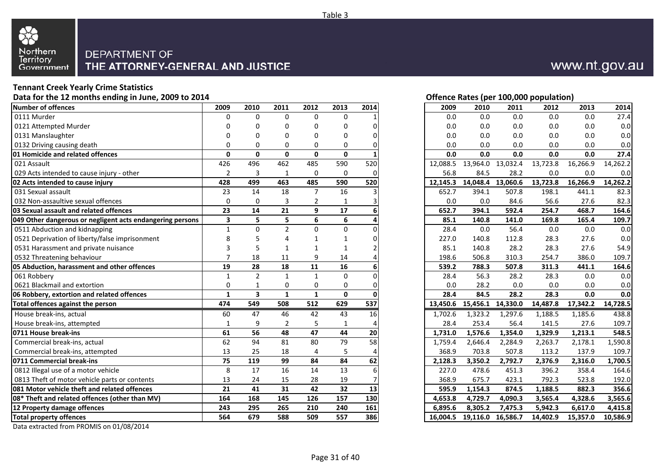

### **Tennant Creek Yearly Crime Statistics**

**Data for the 12 months ending in June, 2009 to 2014**

| Number of offences                                        | 2009                    | 2010                    | 2011           | 2012           | 2013         | 2014 | 2009     | 2010                       | 2011     | 2012     | 2013     | 2014     |
|-----------------------------------------------------------|-------------------------|-------------------------|----------------|----------------|--------------|------|----------|----------------------------|----------|----------|----------|----------|
| 0111 Murder                                               | $\Omega$                | $\Omega$                | $\Omega$       | $\Omega$       | 0            |      | 0.0      | 0.0                        | 0.0      | 0.0      | 0.0      | 27.4     |
| 0121 Attempted Murder                                     | n                       | O                       | n              | 0              | 0            |      | 0.0      | 0.0                        | 0.0      | 0.0      | 0.0      | 0.0      |
| 0131 Manslaughter                                         | 0                       | O                       |                | $\Omega$       | 0            |      | 0.0      | 0.0                        | 0.0      | 0.0      | 0.0      | 0.0      |
| 0132 Driving causing death                                | 0                       | 0                       | $\Omega$       | $\Omega$       | 0            |      | 0.0      | 0.0                        | 0.0      | 0.0      | 0.0      | 0.0      |
| 01 Homicide and related offences                          | $\mathbf{0}$            | $\mathbf{0}$            | $\Omega$       | $\mathbf{0}$   | $\mathbf{0}$ |      | 0.0      | 0.0                        | 0.0      | 0.0      | 0.0      | 27.4     |
| 021 Assault                                               | 426                     | 496                     | 462            | 485            | 590          | 520  | 12,088.5 | 13,964.0                   | 13,032.4 | 13,723.8 | 16,266.9 | 14,262.2 |
| 029 Acts intended to cause injury - other                 | $\overline{2}$          | 3                       | $\mathbf{1}$   | $\mathbf 0$    | 0            | 0    | 56.8     | 84.5                       | 28.2     | 0.0      | 0.0      | 0.0      |
| 02 Acts intended to cause injury                          | 428                     | 499                     | 463            | 485            | 590          | 520  | 12,145.3 | 14,048.4                   | 13,060.6 | 13,723.8 | 16,266.9 | 14,262.2 |
| 031 Sexual assault                                        | 23                      | 14                      | 18             | $\overline{7}$ | 16           |      | 652.7    | 394.1                      | 507.8    | 198.1    | 441.1    | 82.3     |
| 032 Non-assaultive sexual offences                        | 0                       | $\Omega$                | 3              | $\overline{2}$ |              |      | 0.0      | 0.0                        | 84.6     | 56.6     | 27.6     | 82.3     |
| 03 Sexual assault and related offences                    | 23                      | 14                      | 21             | 9              | 17           |      | 652.7    | 394.1                      | 592.4    | 254.7    | 468.7    | 164.6    |
| 049 Other dangerous or negligent acts endangering persons | $\overline{\mathbf{3}}$ | 5                       | 5              | 6              | 6            |      | 85.1     | 140.8                      | 141.0    | 169.8    | 165.4    | 109.7    |
| 0511 Abduction and kidnapping                             | $\mathbf{1}$            | $\Omega$                | $\overline{2}$ | $\Omega$       | $\Omega$     |      | 28.4     | 0.0                        | 56.4     | 0.0      | 0.0      | 0.0      |
| 0521 Deprivation of liberty/false imprisonment            | 8                       |                         |                | 1              |              | U    | 227.0    | 140.8                      | 112.8    | 28.3     | 27.6     | 0.0      |
| 0531 Harassment and private nuisance                      | 3                       | 5                       |                |                |              |      | 85.1     | 140.8                      | 28.2     | 28.3     | 27.6     | 54.9     |
| 0532 Threatening behaviour                                | 7                       | 18                      | 11             | 9              | 14           |      | 198.6    | 506.8                      | 310.3    | 254.7    | 386.0    | 109.7    |
| 05 Abduction, harassment and other offences               | 19                      | 28                      | 18             | 11             | 16           |      | 539.2    | 788.3                      | 507.8    | 311.3    | 441.1    | 164.6    |
| 061 Robbery                                               | $\mathbf{1}$            | $\overline{2}$          | $\mathbf{1}$   | $\mathbf{1}$   | $\mathbf{0}$ |      | 28.4     | 56.3                       | 28.2     | 28.3     | 0.0      | 0.0      |
| 0621 Blackmail and extortion                              | 0                       |                         | 0              | 0              | 0            |      | 0.0      | 28.2                       | 0.0      | 0.0      | 0.0      | 0.0      |
| 06 Robbery, extortion and related offences                | $\mathbf{1}$            | $\overline{\mathbf{3}}$ | $\mathbf{1}$   | $\mathbf{1}$   | $\mathbf{0}$ |      | 28.4     | 84.5                       | 28.2     | 28.3     | 0.0      | 0.0      |
| Total offences against the person                         | 474                     | 549                     | 508            | 512            | 629          | 537  | 13,450.6 | 15,456.1                   | 14,330.0 | 14,487.8 | 17,342.2 | 14,728.5 |
| House break-ins, actual                                   | 60                      | 47                      | 46             | 42             | 43           | 16   | 1.702.6  | 1,323.2                    | 1,297.6  | 1,188.5  | 1,185.6  | 438.8    |
| House break-ins, attempted                                | 1                       | 9                       | 2              | 5              | 1            |      | 28.4     | 253.4                      | 56.4     | 141.5    | 27.6     | 109.7    |
| 0711 House break-ins                                      | 61                      | 56                      | 48             | 47             | 44           | 20   | 1,731.0  | 1,576.6                    | 1,354.0  | 1,329.9  | 1,213.1  | 548.5    |
| Commercial break-ins, actual                              | 62                      | 94                      | 81             | 80             | 79           | 58   | 1,759.4  | 2,646.4                    | 2,284.9  | 2,263.7  | 2,178.1  | 1,590.8  |
| Commercial break-ins, attempted                           | 13                      | 25                      | 18             | 4              | 5            |      | 368.9    | 703.8                      | 507.8    | 113.2    | 137.9    | 109.7    |
| 0711 Commercial break-ins                                 | 75                      | 119                     | 99             | 84             | 84           | 62   | 2,128.3  | 3,350.2                    | 2,792.7  | 2,376.9  | 2,316.0  | 1,700.5  |
| 0812 Illegal use of a motor vehicle                       | 8                       | 17                      | 16             | 14             | 13           | 6    | 227.0    | 478.6                      | 451.3    | 396.2    | 358.4    | 164.6    |
| 0813 Theft of motor vehicle parts or contents             | 13                      | 24                      | 15             | 28             | 19           |      | 368.9    | 675.7                      | 423.1    | 792.3    | 523.8    | 192.0    |
| 081 Motor vehicle theft and related offences              | 21                      | 41                      | 31             | 42             | 32           | 13   | 595.9    | 1,154.3                    | 874.5    | 1,188.5  | 882.3    | 356.6    |
| 08* Theft and related offences (other than MV)            | 164                     | 168                     | 145            | 126            | 157          | 130  | 4,653.8  | 4,729.7                    | 4,090.3  | 3,565.4  | 4,328.6  | 3,565.6  |
| 12 Property damage offences                               | 243                     | 295                     | 265            | 210            | 240          | 161  | 6.895.6  | 8,305.2                    | 7,475.3  | 5,942.3  | 6,617.0  | 4,415.8  |
| <b>Total property offences</b>                            | 564                     | 679                     | 588            | 509            | 557          | 386  |          | 16,004.5 19,116.0 16,586.7 |          | 14,402.9 | 15,357.0 | 10,586.9 |

Data extracted from PROMIS on 01/08/2014

#### **Offence Rates (per 100,000 population)**

| 9                       | 2010           | 2011           | 2012           | 2013         | 2014         | 2009     | 2010     | 2011     | 2012     | 2013     | 2014     |
|-------------------------|----------------|----------------|----------------|--------------|--------------|----------|----------|----------|----------|----------|----------|
| 0                       | 0              | $\mathbf 0$    | $\mathbf 0$    | 0            |              | 0.0      | $0.0\,$  | 0.0      | 0.0      | 0.0      | 27.4     |
| 0                       | 0              | 0              | 0              | 0            | 0            | 0.0      | 0.0      | 0.0      | 0.0      | 0.0      | 0.0      |
| 0                       | 0              | 0              | 0              | 0            | 0            | 0.0      | 0.0      | 0.0      | 0.0      | 0.0      | 0.0      |
| 0                       | 0              | 0              | $\mathbf 0$    | 0            | 0            | 0.0      | 0.0      | 0.0      | 0.0      | 0.0      | $0.0\,$  |
| 0                       | $\mathbf{0}$   | $\pmb{0}$      | 0              | 0            |              | 0.0      | 0.0      | 0.0      | 0.0      | 0.0      | 27.4     |
| $\overline{6}$          | 496            | 462            | 485            | 590          | 520          | 12,088.5 | 13,964.0 | 13,032.4 | 13,723.8 | 16,266.9 | 14,262.2 |
| $\overline{a}$          | 3              | $\mathbf{1}$   | $\mathbf 0$    | 0            | 0            | 56.8     | 84.5     | 28.2     | 0.0      | 0.0      | 0.0      |
| 8                       | 499            | 463            | 485            | 590          | 520          | 12,145.3 | 14,048.4 | 13,060.6 | 13,723.8 | 16,266.9 | 14,262.2 |
| 3                       | 14             | 18             | $\overline{7}$ | 16           | 3            | 652.7    | 394.1    | 507.8    | 198.1    | 441.1    | 82.3     |
| 0                       | 0              | 3              | 2              | 1            |              | 0.0      | 0.0      | 84.6     | 56.6     | 27.6     | 82.3     |
| $\overline{\mathbf{3}}$ | 14             | 21             | 9              | 17           | 6            | 652.7    | 394.1    | 592.4    | 254.7    | 468.7    | 164.6    |
| $\overline{\mathbf{3}}$ | 5              | 5              | 6              | 6            | 4            | 85.1     | 140.8    | 141.0    | 169.8    | 165.4    | 109.7    |
| $\overline{1}$          | 0              | $\overline{2}$ | $\mathbf 0$    | 0            | 0            | 28.4     | 0.0      | 56.4     | 0.0      | 0.0      | 0.0      |
| 8                       | 5              | 4              | 1              | 1            | 0            | 227.0    | 140.8    | 112.8    | 28.3     | 27.6     | 0.0      |
| 3                       | 5              | $\mathbf{1}$   | $\mathbf{1}$   | $\mathbf{1}$ | 2            | 85.1     | 140.8    | 28.2     | 28.3     | 27.6     | 54.9     |
| 7                       | 18             | 11             | 9              | 14           |              | 198.6    | 506.8    | 310.3    | 254.7    | 386.0    | 109.7    |
| 9                       | 28             | 18             | 11             | 16           | 6            | 539.2    | 788.3    | 507.8    | 311.3    | 441.1    | 164.6    |
| $\overline{1}$          | $\overline{2}$ | $\mathbf{1}$   | $\mathbf{1}$   | $\pmb{0}$    | 0            | 28.4     | 56.3     | 28.2     | 28.3     | 0.0      | 0.0      |
| 0                       | 1              | $\pmb{0}$      | 0              | 0            | 0            | 0.0      | 28.2     | $0.0\,$  | 0.0      | 0.0      | $0.0\,$  |
| 1                       | 3              | $\mathbf{1}$   | $\mathbf{1}$   | 0            | $\mathbf{0}$ | 28.4     | 84.5     | 28.2     | 28.3     | 0.0      | 0.0      |
| 4                       | 549            | 508            | 512            | 629          | 537          | 13,450.6 | 15,456.1 | 14,330.0 | 14,487.8 | 17,342.2 | 14,728.5 |
| $\overline{0}$          | 47             | 46             | 42             | 43           | 16           | 1,702.6  | 1,323.2  | 1,297.6  | 1,188.5  | 1,185.6  | 438.8    |
| 1                       | 9              | $\overline{2}$ | 5              | 1            | 4            | 28.4     | 253.4    | 56.4     | 141.5    | 27.6     | 109.7    |
| 1                       | 56             | 48             | 47             | 44           | 20           | 1,731.0  | 1,576.6  | 1,354.0  | 1,329.9  | 1,213.1  | 548.5    |
| $\overline{\mathbf{2}}$ | 94             | 81             | 80             | 79           | 58           | 1,759.4  | 2,646.4  | 2,284.9  | 2,263.7  | 2,178.1  | 1,590.8  |
| $\frac{3}{5}$           | 25             | 18             | 4              | 5            | 4            | 368.9    | 703.8    | 507.8    | 113.2    | 137.9    | 109.7    |
|                         | 119            | 99             | 84             | 84           | 62           | 2,128.3  | 3,350.2  | 2,792.7  | 2,376.9  | 2,316.0  | 1,700.5  |
| 8                       | 17             | 16             | 14             | 13           | 6            | 227.0    | 478.6    | 451.3    | 396.2    | 358.4    | 164.6    |
| $\overline{\mathbf{3}}$ | 24             | 15             | 28             | 19           |              | 368.9    | 675.7    | 423.1    | 792.3    | 523.8    | 192.0    |
| 1                       | 41             | 31             | 42             | 32           | 13           | 595.9    | 1,154.3  | 874.5    | 1,188.5  | 882.3    | 356.6    |
| 4                       | 168            | 145            | 126            | 157          | 130          | 4,653.8  | 4,729.7  | 4,090.3  | 3,565.4  | 4,328.6  | 3,565.6  |
| 3                       | 295            | 265            | 210            | 240          | 161          | 6,895.6  | 8,305.2  | 7,475.3  | 5,942.3  | 6,617.0  | 4,415.8  |
| 4                       | 679            | 588            | 509            | 557          | 386          | 16,004.5 | 19,116.0 | 16,586.7 | 14,402.9 | 15,357.0 | 10,586.9 |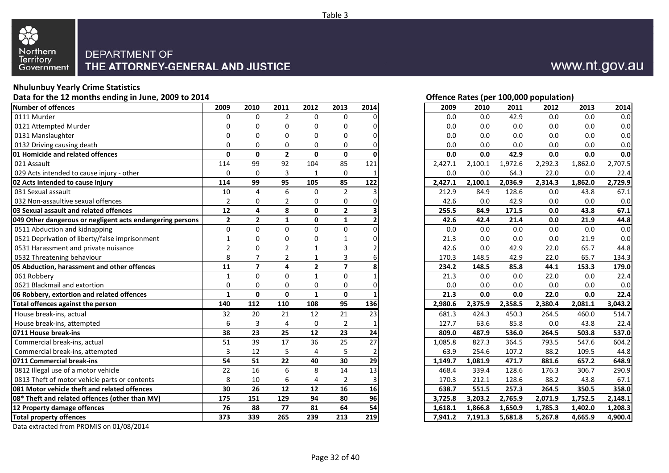

### **Nhulunbuy Yearly Crime Statistics**

**Data for the 12 months ending in June, 2009 to 2014**

| Number of offences                                        | 2009           | 2010                    | 2011           | 2012           | 2013           | 2014 | 2009    | 2010    | 2011    | 2012    | 2013    | 2014    |
|-----------------------------------------------------------|----------------|-------------------------|----------------|----------------|----------------|------|---------|---------|---------|---------|---------|---------|
| 0111 Murder                                               | 0              | $\Omega$                | $\overline{2}$ | $\Omega$       | $\Omega$       |      | 0.0     | 0.0     | 42.9    | 0.0     | 0.0     | 0.0     |
| 0121 Attempted Murder                                     | O              | 0                       | O              | O              | 0              |      | 0.0     | 0.0     | 0.0     | 0.0     | 0.0     | 0.0     |
| 0131 Manslaughter                                         | 0              | $\Omega$                |                | ŋ              | O              |      | 0.0     | 0.0     | 0.0     | 0.0     | 0.0     | 0.0     |
| 0132 Driving causing death                                | $\Omega$       | $\Omega$                | 0              | 0              | 0              |      | 0.0     | 0.0     | 0.0     | 0.0     | 0.0     | 0.0     |
| 01 Homicide and related offences                          | $\mathbf{0}$   | $\mathbf{0}$            | $\overline{2}$ | $\mathbf{0}$   | $\mathbf{0}$   |      | 0.0     | 0.0     | 42.9    | 0.0     | 0.0     | 0.0     |
| 021 Assault                                               | 114            | 99                      | 92             | 104            | 85             | 121  | 2,427.1 | 2,100.1 | 1,972.6 | 2,292.3 | 1,862.0 | 2,707.5 |
| 029 Acts intended to cause injury - other                 | 0              | $\Omega$                | 3              | $\mathbf{1}$   | $\mathbf 0$    |      | 0.0     | 0.0     | 64.3    | 22.0    | 0.0     | 22.4    |
| 02 Acts intended to cause injury                          | 114            | 99                      | 95             | 105            | 85             | 122  | 2,427.1 | 2,100.1 | 2,036.9 | 2,314.3 | 1,862.0 | 2,729.9 |
| 031 Sexual assault                                        | $10\,$         | 4                       | 6              | $\Omega$       | $\overline{2}$ |      | 212.9   | 84.9    | 128.6   | 0.0     | 43.8    | 67.1    |
| 032 Non-assaultive sexual offences                        | $\overline{2}$ | 0                       | 2              | 0              | 0              |      | 42.6    | 0.0     | 42.9    | 0.0     | 0.0     | 0.0     |
| 03 Sexual assault and related offences                    | $12$           | 4                       | 8              | $\mathbf 0$    | $\overline{2}$ |      | 255.5   | 84.9    | 171.5   | 0.0     | 43.8    | 67.1    |
| 049 Other dangerous or negligent acts endangering persons | $\mathbf{2}$   | $\overline{\mathbf{2}}$ | $\mathbf{1}$   | $\mathbf 0$    | $\mathbf 1$    | 2    | 42.6    | 42.4    | 21.4    | 0.0     | 21.9    | 44.8    |
| 0511 Abduction and kidnapping                             | $\Omega$       | $\Omega$                | $\Omega$       | $\Omega$       | $\mathbf{0}$   |      | 0.0     | 0.0     | 0.0     | 0.0     | 0.0     | 0.0     |
| 0521 Deprivation of liberty/false imprisonment            | $\mathbf{1}$   | 0                       |                | 0              |                |      | 21.3    | 0.0     | 0.0     | 0.0     | 21.9    | 0.0     |
| 0531 Harassment and private nuisance                      | 2              | $\Omega$                |                |                | 3              |      | 42.6    | 0.0     | 42.9    | 22.0    | 65.7    | 44.8    |
| 0532 Threatening behaviour                                | 8              |                         | 2              |                | 3              |      | 170.3   | 148.5   | 42.9    | 22.0    | 65.7    | 134.3   |
| 05 Abduction, harassment and other offences               | 11             | $\overline{7}$          | 4              | $\overline{2}$ | $\overline{7}$ |      | 234.2   | 148.5   | 85.8    | 44.1    | 153.3   | 179.0   |
| 061 Robberv                                               | $\mathbf{1}$   | $\Omega$                | $\Omega$       | $\mathbf{1}$   | $\mathbf{0}$   |      | 21.3    | 0.0     | 0.0     | 22.0    | 0.0     | 22.4    |
| 0621 Blackmail and extortion                              | 0              | 0                       | 0              | 0              | 0              |      | 0.0     | 0.0     | 0.0     | 0.0     | 0.0     | 0.0     |
| 06 Robbery, extortion and related offences                | $\mathbf{1}$   | $\mathbf{0}$            | 0              | $\mathbf{1}$   | $\mathbf 0$    |      | 21.3    | 0.0     | 0.0     | 22.0    | 0.0     | 22.4    |
| Total offences against the person                         | 140            | 112                     | 110            | 108            | 95             | 136  | 2,980.6 | 2,375.9 | 2,358.5 | 2,380.4 | 2,081.1 | 3,043.2 |
| House break-ins, actual                                   | 32             | 20                      | 21             | 12             | 21             | 23   | 681.3   | 424.3   | 450.3   | 264.5   | 460.0   | 514.7   |
| House break-ins, attempted                                | 6              | 3                       | 4              | $\Omega$       | $\overline{2}$ |      | 127.7   | 63.6    | 85.8    | 0.0     | 43.8    | 22.4    |
| 0711 House break-ins                                      | 38             | 23                      | 25             | 12             | 23             | 24   | 809.0   | 487.9   | 536.0   | 264.5   | 503.8   | 537.0   |
| Commercial break-ins, actual                              | 51             | 39                      | 17             | 36             | 25             | 27   | 1,085.8 | 827.3   | 364.5   | 793.5   | 547.6   | 604.2   |
| Commercial break-ins, attempted                           | 3              | 12                      | 5              | 4              | $\overline{5}$ |      | 63.9    | 254.6   | 107.2   | 88.2    | 109.5   | 44.8    |
| 0711 Commercial break-ins                                 | 54             | 51                      | 22             | 40             | 30             | 29   | 1,149.7 | 1,081.9 | 471.7   | 881.6   | 657.2   | 648.9   |
| 0812 Illegal use of a motor vehicle                       | 22             | 16                      | 6              | 8              | 14             | 13   | 468.4   | 339.4   | 128.6   | 176.3   | 306.7   | 290.9   |
| 0813 Theft of motor vehicle parts or contents             | 8              | 10                      | 6              | 4              | $\overline{2}$ |      | 170.3   | 212.1   | 128.6   | 88.2    | 43.8    | 67.1    |
| 081 Motor vehicle theft and related offences              | 30             | 26                      | 12             | 12             | 16             | 16   | 638.7   | 551.5   | 257.3   | 264.5   | 350.5   | 358.0   |
| 08* Theft and related offences (other than MV)            | 175            | 151                     | 129            | 94             | 80             | 96   | 3,725.8 | 3,203.2 | 2,765.9 | 2,071.9 | 1,752.5 | 2,148.1 |
| 12 Property damage offences                               | 76             | 88                      | 77             | 81             | 64             | 54   | 1,618.1 | 1,866.8 | 1,650.9 | 1,785.3 | 1,402.0 | 1,208.3 |
|                                                           |                |                         |                |                |                | 219  |         |         |         |         |         |         |

Data extracted from PROMIS on 01/08/2014

#### **Offence Rates (per 100,000 population)**

|                         |                |                |              |                |              |         | $\cdot$ . |         |         |         |         |
|-------------------------|----------------|----------------|--------------|----------------|--------------|---------|-----------|---------|---------|---------|---------|
| 9                       | 2010           | 2011           | 2012         | 2013           | 2014         | 2009    | 2010      | 2011    | 2012    | 2013    | 2014    |
| 0                       | $\mathbf 0$    | $\overline{2}$ | 0            | 0              | 0            | 0.0     | 0.0       | 42.9    | 0.0     | 0.0     | 0.0     |
| 0                       | 0              | 0              | 0            | 0              | 0            | 0.0     | $0.0\,$   | $0.0\,$ | 0.0     | $0.0\,$ | 0.0     |
| 0                       | 0              | 0              | 0            | 0              | 0            | 0.0     | $0.0\,$   | 0.0     | 0.0     | 0.0     | $0.0\,$ |
| 0                       | 0              | 0              | 0            | 0              | 0            | 0.0     | 0.0       | 0.0     | 0.0     | 0.0     | 0.0     |
| 0                       | 0              | $\overline{2}$ | 0            | $\pmb{0}$      | U            | 0.0     | 0.0       | 42.9    | 0.0     | 0.0     | 0.0     |
| 4                       | 99             | 92             | 104          | 85             | 121          | 2,427.1 | 2,100.1   | 1,972.6 | 2,292.3 | 1,862.0 | 2,707.5 |
| 0                       | $\mathbf 0$    | 3              | $\mathbf 1$  | 0              | 1            | 0.0     | 0.0       | 64.3    | 22.0    | 0.0     | 22.4    |
| 4                       | 99             | 95             | 105          | 85             | 122          | 2,427.1 | 2,100.1   | 2,036.9 | 2,314.3 | 1,862.0 | 2,729.9 |
| 0                       | 4              | 6              | $\pmb{0}$    | $\overline{2}$ | 3            | 212.9   | 84.9      | 128.6   | 0.0     | 43.8    | 67.1    |
| 2                       | 0              | 2              | 0            | 0              | 0            | 42.6    | 0.0       | 42.9    | 0.0     | 0.0     | 0.0     |
| 2                       | 4              | 8              | 0            | $\mathbf{2}$   | 3            | 255.5   | 84.9      | 171.5   | 0.0     | 43.8    | 67.1    |
| 2                       | 2              | 1              | 0            | 1              | 2            | 42.6    | 42.4      | 21.4    | 0.0     | 21.9    | 44.8    |
| 0                       | 0              | 0              | $\pmb{0}$    | 0              | 0            | 0.0     | 0.0       | 0.0     | 0.0     | 0.0     | 0.0     |
| 1                       | 0              | 0              | 0            | 1              | 0            | 21.3    | $0.0\,$   | $0.0\,$ | 0.0     | 21.9    | 0.0     |
| 2                       | 0              | 2              | 1            | 3              | 2            | 42.6    | 0.0       | 42.9    | 22.0    | 65.7    | 44.8    |
| 8                       | 7              | 2              | 1            | 3              | 6            | 170.3   | 148.5     | 42.9    | 22.0    | 65.7    | 134.3   |
| 1                       | $\overline{7}$ | 4              | 2            | $\overline{7}$ | 8            | 234.2   | 148.5     | 85.8    | 44.1    | 153.3   | 179.0   |
| 1                       | $\Omega$       | 0              | $\mathbf{1}$ | 0              | 1            | 21.3    | 0.0       | $0.0\,$ | 22.0    | 0.0     | 22.4    |
| 0                       | 0              | 0              | 0            | 0              | 0            | 0.0     | 0.0       | 0.0     | 0.0     | 0.0     | 0.0     |
| $\mathbf{1}$            | 0              | 0              | $\mathbf{1}$ | $\mathbf{0}$   |              | 21.3    | 0.0       | 0.0     | 22.0    | 0.0     | 22.4    |
| 0                       | 112            | 110            | 108          | 95             | 136          | 2,980.6 | 2,375.9   | 2,358.5 | 2,380.4 | 2,081.1 | 3,043.2 |
| $\overline{\mathbf{c}}$ | 20             | 21             | 12           | 21             | 23           | 681.3   | 424.3     | 450.3   | 264.5   | 460.0   | 514.7   |
| 6                       | 3              | 4              | 0            | $\overline{2}$ | $\mathbf{1}$ | 127.7   | 63.6      | 85.8    | 0.0     | 43.8    | 22.4    |
| 8                       | 23             | 25             | 12           | 23             | 24           | 809.0   | 487.9     | 536.0   | 264.5   | 503.8   | 537.0   |
| $\overline{1}$          | 39             | 17             | 36           | 25             | 27           | 1,085.8 | 827.3     | 364.5   | 793.5   | 547.6   | 604.2   |
| 3                       | 12             | 5              | 4            | 5              | 2            | 63.9    | 254.6     | 107.2   | 88.2    | 109.5   | 44.8    |
| 4                       | 51             | 22             | 40           | 30             | 29           | 1,149.7 | 1,081.9   | 471.7   | 881.6   | 657.2   | 648.9   |
| $\overline{2}$          | 16             | 6              | 8            | 14             | 13           | 468.4   | 339.4     | 128.6   | 176.3   | 306.7   | 290.9   |
| 8                       | 10             | 6              | 4            | $\overline{2}$ | 3            | 170.3   | 212.1     | 128.6   | 88.2    | 43.8    | 67.1    |
| 0                       | 26             | 12             | 12           | 16             | 16           | 638.7   | 551.5     | 257.3   | 264.5   | 350.5   | 358.0   |
| 5                       | 151            | 129            | 94           | 80             | 96           | 3,725.8 | 3,203.2   | 2,765.9 | 2,071.9 | 1,752.5 | 2,148.1 |
| 6                       | 88             | 77             | 81           | 64             | 54           | 1,618.1 | 1,866.8   | 1,650.9 | 1,785.3 | 1,402.0 | 1,208.3 |
| $\overline{\mathbf{3}}$ | 339            | 265            | 239          | 213            | 219          | 7,941.2 | 7,191.3   | 5,681.8 | 5,267.8 | 4,665.9 | 4,900.4 |
|                         |                |                |              |                |              |         |           |         |         |         |         |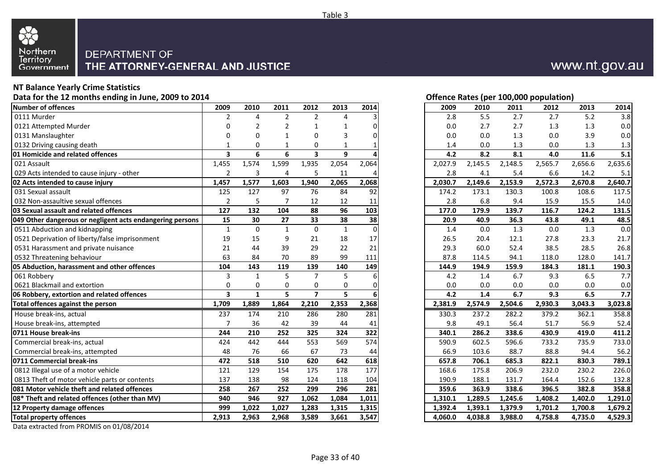

### **NT Balance Yearly Crime Statistics**

**Data for the 12 months ending in June, 2009 to 2014**

| Number of offences                                        | 2009                    | 2010         | 2011           | 2012                    | 2013                  | 2014             | 2009    | 2010    | 2011    | 2012    | 2013    | 2014           |
|-----------------------------------------------------------|-------------------------|--------------|----------------|-------------------------|-----------------------|------------------|---------|---------|---------|---------|---------|----------------|
| 0111 Murder                                               | 2                       | 4            | $\overline{2}$ | $\overline{2}$          | $\boldsymbol{\Delta}$ |                  | 2.8     | 5.5     | 2.7     | 2.7     | 5.2     | 3.8            |
| 0121 Attempted Murder                                     | $\Omega$                |              |                |                         |                       |                  | 0.0     | 2.7     | 2.7     | 1.3     | 1.3     | 0.0            |
| 0131 Manslaughter                                         | 0                       | $\Omega$     | 1              | $\Omega$                | 3                     |                  | 0.0     | 0.0     | 1.3     | 0.0     | 3.9     | 0.0            |
| 0132 Driving causing death                                | $\mathbf{1}$            | $\Omega$     |                | $\Omega$                |                       |                  | 1.4     | 0.0     | 1.3     | 0.0     | 1.3     | 1.3            |
| <b>01 Homicide and related offences</b>                   | $\overline{\mathbf{3}}$ | 6            | 6              | $\overline{\mathbf{3}}$ | 9                     |                  | 4.2     | 8.2     | 8.1     | 4.0     | 11.6    | 5.1            |
| 021 Assault                                               | 1,455                   | 1,574        | 1,599          | 1,935                   | 2,054                 | 2,064            | 2,027.9 | 2,145.5 | 2,148.5 | 2,565.7 | 2,656.6 | 2,635.6        |
| 029 Acts intended to cause injury - other                 | $\overline{2}$          | 3            | 4              | 5                       | 11                    |                  | 2.8     | 4.1     | 5.4     | 6.6     | 14.2    | 5.1            |
| 02 Acts intended to cause injury                          | 1,457                   | 1,577        | 1,603          | 1,940                   | 2,065                 | 2,068            | 2,030.7 | 2,149.6 | 2,153.9 | 2,572.3 | 2,670.8 | 2,640.7        |
| 031 Sexual assault                                        | 125                     | 127          | 97             | 76                      | 84                    | 92               | 174.2   | 173.1   | 130.3   | 100.8   | 108.6   | 117.5          |
| 032 Non-assaultive sexual offences                        | $\overline{2}$          | 5            | 7              | 12                      | 12                    | 11               | 2.8     | 6.8     | 9.4     | 15.9    | 15.5    | 14.0           |
| 03 Sexual assault and related offences                    | 127                     | 132          | 104            | 88                      | 96                    | 103              | 177.0   | 179.9   | 139.7   | 116.7   | 124.2   | 131.5          |
| 049 Other dangerous or negligent acts endangering persons | 15                      | 30           | 27             | 33                      | 38                    | 38               | 20.9    | 40.9    | 36.3    | 43.8    | 49.1    | 48.5           |
| 0511 Abduction and kidnapping                             | $\mathbf{1}$            | $\Omega$     | $\mathbf{1}$   | $\Omega$                | $\mathbf{1}$          | $\Omega$         | 1.4     | 0.0     | 1.3     | 0.0     | 1.3     | 0.0            |
| 0521 Deprivation of liberty/false imprisonment            | 19                      | 15           | 9              | 21                      | 18                    | 17               | 26.5    | 20.4    | 12.1    | 27.8    | 23.3    | 21.7           |
| 0531 Harassment and private nuisance                      | 21                      | 44           | 39             | 29                      | 22                    | 21               | 29.3    | 60.0    | 52.4    | 38.5    | 28.5    | 26.8           |
| 0532 Threatening behaviour                                | 63                      | 84           | 70             | 89                      | 99                    | 111              | 87.8    | 114.5   | 94.1    | 118.0   | 128.0   | 141.7          |
| 05 Abduction, harassment and other offences               | 104                     | 143          | 119            | 139                     | 140                   | 149              | 144.9   | 194.9   | 159.9   | 184.3   | 181.1   | 190.3          |
| 061 Robberv                                               | 3                       | $\mathbf{1}$ | 5              | $\overline{7}$          | 5                     |                  | 4.2     | 1.4     | 6.7     | 9.3     | 6.5     | 7.7            |
| 0621 Blackmail and extortion                              | 0                       | 0            | 0              | 0                       | 0                     |                  | 0.0     | 0.0     | 0.0     | 0.0     | 0.0     | 0.0            |
| 06 Robbery, extortion and related offences                | $\overline{\mathbf{3}}$ | $\mathbf{1}$ | 5              | $\overline{\mathbf{z}}$ | 5                     |                  | 4.2     | 1.4     | 6.7     | 9.3     | 6.5     | 7.7            |
| Total offences against the person                         | 1,709                   | 1,889        | 1,864          | 2,210                   | 2,353                 | 2,368            | 2,381.9 | 2,574.9 | 2,504.6 | 2,930.3 | 3,043.3 | 3,023.8        |
| House break-ins, actual                                   | 237                     | 174          | 210            | 286                     | 280                   | 281              | 330.3   | 237.2   | 282.2   | 379.2   | 362.1   | 358.8          |
| House break-ins, attempted                                | $\overline{7}$          | 36           | 42             | 39                      | 44                    | 41               | 9.8     | 49.1    | 56.4    | 51.7    | 56.9    | 52.4           |
| 0711 House break-ins                                      | 244                     | 210          | 252            | 325                     | 324                   | 322              | 340.1   | 286.2   | 338.6   | 430.9   | 419.0   | 411.2          |
| Commercial break-ins, actual                              | 424                     | 442          | 444            | 553                     | 569                   | $\overline{574}$ | 590.9   | 602.5   | 596.6   | 733.2   | 735.9   | 733.0          |
| Commercial break-ins, attempted                           | 48                      | 76           | 66             | 67                      | 73                    | 44               | 66.9    | 103.6   | 88.7    | 88.8    | 94.4    | 56.2           |
| 0711 Commercial break-ins                                 | 472                     | 518          | 510            | 620                     | 642                   | 618              | 657.8   | 706.1   | 685.3   | 822.1   | 830.3   | 789.1          |
| 0812 Illegal use of a motor vehicle                       | 121                     | 129          | 154            | 175                     | 178                   | 177              | 168.6   | 175.8   | 206.9   | 232.0   | 230.2   | 226.0          |
|                                                           |                         |              |                |                         |                       |                  |         |         |         |         |         |                |
| 0813 Theft of motor vehicle parts or contents             | 137                     | 138          | 98             | 124                     | 118                   | 104              | 190.9   | 188.1   | 131.7   | 164.4   | 152.6   |                |
| 081 Motor vehicle theft and related offences              | 258                     | 267          | 252            | 299                     | 296                   | 281              | 359.6   | 363.9   | 338.6   | 396.5   | 382.8   | 132.8<br>358.8 |
| 08* Theft and related offences (other than MV)            | 940                     | 946          | 927            | 1,062                   | 1,084                 | 1,011            | 1,310.1 | 1,289.5 | 1,245.6 | 1,408.2 | 1,402.0 | 1,291.0        |
| 12 Property damage offences                               | 999                     | 1,022        | 1,027          | 1,283                   | 1,315                 | 1,315            | 1,392.4 | 1,393.1 | 1,379.9 | 1,701.2 | 1,700.8 | 1,679.2        |

Data extracted from PROMIS on 01/08/2014

#### **Offence Rates (per 100,000 population)**

| 9                       | 2010         | 2011           | 2012                     | 2013         | 2014     | 2009    | 2010    | 2011    | 2012    | 2013    | 2014    |
|-------------------------|--------------|----------------|--------------------------|--------------|----------|---------|---------|---------|---------|---------|---------|
| 2                       | 4            | $\overline{2}$ | $\overline{2}$           | 4            | 3        | 2.8     | 5.5     | 2.7     | 2.7     | 5.2     | 3.8     |
| 0                       | 2            | $\overline{2}$ | $\mathbf 1$              | 1            | 0        | 0.0     | 2.7     | 2.7     | 1.3     | 1.3     | 0.0     |
| 0                       | 0            | 1              | 0                        | 3            | 0        | 0.0     | $0.0\,$ | 1.3     | 0.0     | 3.9     | $0.0\,$ |
| 1                       | 0            | 1              | 0                        | 1            |          | 1.4     | 0.0     | 1.3     | 0.0     | 1.3     | 1.3     |
| 3                       | 6            | 6              | 3                        | 9            |          | 4.2     | 8.2     | 8.1     | 4.0     | 11.6    | 5.1     |
| 5                       | 1,574        | 1,599          | 1,935                    | 2,054        | 2,064    | 2,027.9 | 2,145.5 | 2,148.5 | 2,565.7 | 2,656.6 | 2,635.6 |
| 2                       | 3            | 4              | 5                        | 11           | 4        | 2.8     | 4.1     | 5.4     | 6.6     | 14.2    | 5.1     |
| 7                       | 1,577        | 1,603          | 1,940                    | 2,065        | 2,068    | 2,030.7 | 2,149.6 | 2,153.9 | 2,572.3 | 2,670.8 | 2,640.7 |
| 5                       | 127          | 97             | 76                       | 84           | 92       | 174.2   | 173.1   | 130.3   | 100.8   | 108.6   | 117.5   |
| 2                       | 5            | 7              | 12                       | 12           | 11       | 2.8     | 6.8     | 9.4     | 15.9    | 15.5    | 14.0    |
| 7                       | 132          | 104            | 88                       | 96           | 103      | 177.0   | 179.9   | 139.7   | 116.7   | 124.2   | 131.5   |
| 5                       | 30           | 27             | 33                       | 38           | 38       | 20.9    | 40.9    | 36.3    | 43.8    | 49.1    | 48.5    |
| 1                       | $\mathbf 0$  | $\mathbf{1}$   | $\pmb{0}$                | $\mathbf{1}$ | $\Omega$ | 1.4     | 0.0     | 1.3     | 0.0     | 1.3     | 0.0     |
| 9                       | 15           | 9              | 21                       | 18           | 17       | 26.5    | 20.4    | 12.1    | 27.8    | 23.3    | 21.7    |
| 1                       | 44           | 39             | 29                       | 22           | 21       | 29.3    | 60.0    | 52.4    | 38.5    | 28.5    | 26.8    |
| 3                       | 84           | 70             | 89                       | 99           | 111      | 87.8    | 114.5   | 94.1    | 118.0   | 128.0   | 141.7   |
| 4                       | 143          | 119            | 139                      | 140          | 149      | 144.9   | 194.9   | 159.9   | 184.3   | 181.1   | 190.3   |
| $\overline{\mathbf{3}}$ | $\mathbf{1}$ | 5              | 7                        | 5            | 6        | 4.2     | 1.4     | 6.7     | 9.3     | 6.5     | 7.7     |
| 0                       | 0            | 0              | 0                        | $\mathbf 0$  | $\Omega$ | 0.0     | 0.0     | 0.0     | 0.0     | 0.0     | $0.0\,$ |
| 3                       | $\mathbf{1}$ | 5              | $\overline{\phantom{a}}$ | 5            | 6        | 4.2     | 1.4     | 6.7     | 9.3     | 6.5     | 7.7     |
| 9                       | 1,889        | 1,864          | 2,210                    | 2,353        | 2,368    | 2,381.9 | 2,574.9 | 2,504.6 | 2,930.3 | 3,043.3 | 3,023.8 |
| 7                       | 174          | 210            | 286                      | 280          | 281      | 330.3   | 237.2   | 282.2   | 379.2   | 362.1   | 358.8   |
| 7                       | 36           | 42             | 39                       | 44           | 41       | 9.8     | 49.1    | 56.4    | 51.7    | 56.9    | 52.4    |
| 4                       | 210          | 252            | 325                      | 324          | 322      | 340.1   | 286.2   | 338.6   | 430.9   | 419.0   | 411.2   |
| 4                       | 442          | 444            | 553                      | 569          | 574      | 590.9   | 602.5   | 596.6   | 733.2   | 735.9   | 733.0   |
| 8                       | 76           | 66             | 67                       | 73           | 44       | 66.9    | 103.6   | 88.7    | 88.8    | 94.4    | 56.2    |
| $\overline{\mathbf{2}}$ | 518          | 510            | 620                      | 642          | 618      | 657.8   | 706.1   | 685.3   | 822.1   | 830.3   | 789.1   |
| 1                       | 129          | 154            | 175                      | 178          | 177      | 168.6   | 175.8   | 206.9   | 232.0   | 230.2   | 226.0   |
| 7                       | 138          | 98             | 124                      | 118          | 104      | 190.9   | 188.1   | 131.7   | 164.4   | 152.6   | 132.8   |
| 8                       | 267          | 252            | 299                      | 296          | 281      | 359.6   | 363.9   | 338.6   | 396.5   | 382.8   | 358.8   |
| 0                       | 946          | 927            | 1,062                    | 1,084        | 1,011    | 1,310.1 | 1,289.5 | 1,245.6 | 1,408.2 | 1,402.0 | 1,291.0 |
| 9                       | 1,022        | 1,027          | 1,283                    | 1,315        | 1,315    | 1,392.4 | 1,393.1 | 1,379.9 | 1,701.2 | 1,700.8 | 1,679.2 |
| 3                       | 2,963        | 2,968          | 3,589                    | 3,661        | 3,547    | 4,060.0 | 4,038.8 | 3,988.0 | 4,758.8 | 4,735.0 | 4,529.3 |
|                         |              |                |                          |              |          |         |         |         |         |         |         |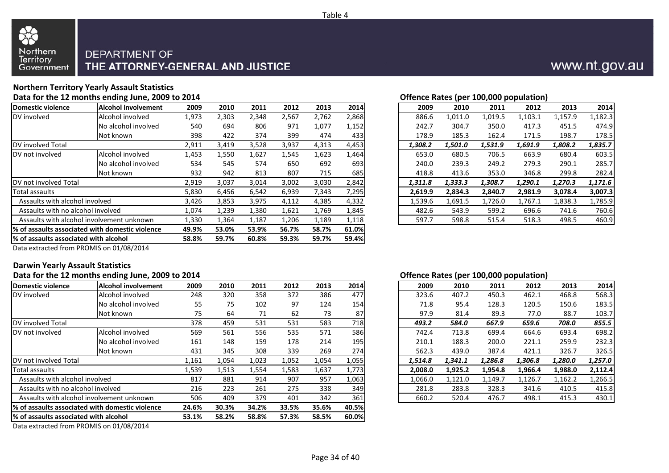

#### **Northern Territory Yearly Assault StatisticsData for the 12 months ending June, 2009 to 2014**

|                                        |                                                  |       |       |       |       |       |       |         |         | $P = 1$ |         |         |         |
|----------------------------------------|--------------------------------------------------|-------|-------|-------|-------|-------|-------|---------|---------|---------|---------|---------|---------|
| Domestic violence                      | Alcohol involvement                              | 2009  | 2010  | 2011  | 2012  | 2013  | 2014  | 2009    | 2010    | 2011    | 2012    | 2013    | 2014    |
| DV involved                            | Alcohol involved                                 | 1,973 | 2,303 | 2,348 | 2,567 | 2,762 | 2,868 | 886.6   | L,011.0 | 1,019.5 | 1,103.1 | 1,157.9 | 1,182.3 |
|                                        | No alcohol involved                              | 540   | 694   | 806   | 971   | 1,077 | 1,152 | 242.7   | 304.7   | 350.0   | 417.3   | 451.5   | 474.9   |
|                                        | Not known                                        | 398   | 422   | 374   | 399   | 474   | 433   | 178.9   | 185.3   | 162.4   | 171.5   | 198.7   | 178.5   |
| <b>IDV</b> involved Total              |                                                  | 2,911 | 3,419 | 3,528 | 3,937 | 4,313 | 4,453 | 1,308.2 | 1,501.0 | 1,531.9 | 1,691.9 | 1,808.2 | 1,835.7 |
| DV not involved                        | Alcohol involved                                 | 1,453 | 1,550 | 1,627 | 1,545 | 1,623 | 1,464 | 653.0   | 680.5   | 706.5   | 663.9   | 680.4   | 603.5   |
|                                        | No alcohol involved                              | 534   | 545   | 574   | 650   | 692   | 693   | 240.0   | 239.3   | 249.2   | 279.3   | 290.1   | 285.7   |
|                                        | Not known                                        | 932   | 942   | 813   | 807   | 715   | 685   | 418.8   | 413.6   | 353.0   | 346.8   | 299.8   | 282.4   |
| <b>IDV</b> not involved Total          |                                                  | 2,919 | 3,037 | 3,014 | 3,002 | 3,030 | 2,842 | 1,311.8 | 1,333.3 | 1,308.7 | 1,290.1 | 1,270.3 | 1,171.6 |
| Total assaults                         |                                                  | 5,830 | 6,456 | 6,542 | 6,939 | 7,343 | 7,295 | 2,619.9 | 2,834.3 | 2,840.7 | 2,981.9 | 3,078.4 | 3,007.3 |
| Assaults with alcohol involved         |                                                  | 3,426 | 3,853 | 3,975 | 4,112 | 4,385 | 4,332 | 1,539.6 | 1,691.5 | 1,726.0 | 1,767.1 | 1,838.3 | 1,785.9 |
| Assaults with no alcohol involved      |                                                  | 1,074 | 1,239 | 1,380 | 1,621 | 1,769 | 1,845 | 482.6   | 543.9   | 599.2   | 696.6   | 741.6   | 760.6   |
|                                        | Assaults with alcohol involvement unknown        | 1,330 | 1,364 | 1,187 | 1,206 | 1,189 | 1,118 | 597.7   | 598.8   | 515.4   | 518.3   | 498.5   | 460.9   |
|                                        | 1% of assaults associated with domestic violence | 49.9% | 53.0% | 53.9% | 56.7% | 58.7% | 61.0% |         |         |         |         |         |         |
| 1% of assaults associated with alcohol |                                                  | 58.8% | 59.7% | 60.8% | 59.3% | 59.7% | 59.4% |         |         |         |         |         |         |
|                                        |                                                  |       |       |       |       |       |       |         |         |         |         |         |         |

| Offence Rates (per 100,000 population) |  |
|----------------------------------------|--|
|                                        |  |

|             |       |       |       |       |       |       |         |         | . .     |         |         |         |
|-------------|-------|-------|-------|-------|-------|-------|---------|---------|---------|---------|---------|---------|
| <b>nent</b> | 2009  | 2010  | 2011  | 2012  | 2013  | 2014  | 2009    | 2010    | 2011    | 2012    | 2013    | 2014    |
|             | 1,973 | 2,303 | 2,348 | 2,567 | 2,762 | 2,868 | 886.6   | 1,011.0 | 1,019.5 | 1,103.1 | 1,157.9 | 1,182.3 |
| ed/         | 540   | 694   | 806   | 971   | 1,077 | 1,152 | 242.7   | 304.7   | 350.0   | 417.3   | 451.5   | 474.9   |
|             | 398   | 422   | 374   | 399   | 474   | 433   | 178.9   | 185.3   | 162.4   | 171.5   | 198.7   | 178.5   |
|             | 2,911 | 3,419 | 3,528 | 3,937 | 4,313 | 4,453 | 1,308.2 | 1,501.0 | 1,531.9 | 1,691.9 | 1,808.2 | 1,835.7 |
|             | 1,453 | 1,550 | 1,627 | 1,545 | 1,623 | 1,464 | 653.0   | 680.5   | 706.5   | 663.9   | 680.4   | 603.5   |
| ed/         | 534   | 545   | 574   | 650   | 692   | 693   | 240.0   | 239.3   | 249.2   | 279.3   | 290.1   | 285.7   |
|             | 932   | 942   | 813   | 807   | 715   | 685   | 418.8   | 413.6   | 353.0   | 346.8   | 299.8   | 282.4   |
|             | 2,919 | 3,037 | 3,014 | 3,002 | 3,030 | 2,842 | 1,311.8 | 1,333.3 | 1,308.7 | 1,290.1 | 1,270.3 | 1,171.6 |
|             | 5,830 | 6,456 | 6,542 | 6,939 | 7,343 | 7,295 | 2.619.9 | 2,834.3 | 2.840.7 | 2,981.9 | 3,078.4 | 3,007.3 |
|             | 3,426 | 3,853 | 3,975 | 4,112 | 4,385 | 4,332 | 1,539.6 | 1,691.5 | 1,726.0 | 1,767.1 | 1,838.3 | 1,785.9 |
|             | 1,074 | 1,239 | 1,380 | 1,621 | 1,769 | 1,845 | 482.6   | 543.9   | 599.2   | 696.6   | 741.6   | 760.6   |
| n.          | 1,330 | 1,364 | 1,187 | 1,206 | 1,189 | 1,118 | 597.7   | 598.8   | 515.4   | 518.3   | 498.5   | 460.9   |
|             |       |       |       |       |       |       |         |         |         |         |         |         |

Data extracted from PROMIS on 01/08/2014

#### **Darwin Yearly Assault Statistics**

#### **Data for the 12 months ending June, 2009 to 2014**

|                                        | .                                                            |       |       |       |       |       |       |         |         | ===;=== p = p ======= |         |         |         |
|----------------------------------------|--------------------------------------------------------------|-------|-------|-------|-------|-------|-------|---------|---------|-----------------------|---------|---------|---------|
| Domestic violence                      | Alcohol involvement                                          | 2009  | 2010  | 2011  | 2012  | 2013  | 2014  | 2009    | 2010    | 2011                  | 2012    | 2013    | 2014    |
| DV involved                            | Alcohol involved                                             | 248   | 320   | 358   | 372   | 386   | 477   | 323.6   | 407.2   | 450.3                 | 462.1   | 468.8   | 568.3   |
|                                        | No alcohol involved                                          | 55    | 75    | 102   | 97    | 124   | 154   | 71.8    | 95.4    | 128.3                 | 120.5   | 150.6   | 183.5   |
|                                        | Not known                                                    | 75    | 64    | 71    | 62    | 73    | 87    | 97.9    | 81.4    | 89.3                  | 77.0    | 88.7    | 103.7   |
| DV involved Total                      |                                                              | 378   | 459   | 531   | 531   | 583   | 718   | 493.2   | 584.0   | 667.9                 | 659.6   | 708.0   | 855.5   |
| DV not involved                        | Alcohol involved                                             | 569   | 561   | 556   | 535   | 571   | 586   | 742.4   | 713.8   | 699.4                 | 664.6   | 693.4   | 698.2   |
|                                        | No alcohol involved                                          | 161   | 148   | 159   | 178   | 214   | 195   | 210.1   | 188.3   | 200.0                 | 221.1   | 259.9   | 232.3   |
|                                        | Not known                                                    | 431   | 345   | 308   | 339   | 269   | 274   | 562.3   | 439.0   | 387.4                 | 421.1   | 326.7   | 326.5   |
| DV not involved Total                  |                                                              | 1,161 | 1,054 | 1,023 | 1,052 | 1,054 | 1,055 | 1,514.8 | 1,341.1 | 1,286.8               | 1,306.8 | 1,280.0 | 1,257.0 |
| Total assaults                         |                                                              | 1,539 | 1,513 | 1,554 | 1,583 | 1,637 | 1,773 | 2,008.0 | 1,925.2 | 1,954.8               | 1,966.4 | 1,988.0 | 2,112.4 |
| Assaults with alcohol involved         |                                                              | 817   | 881   | 914   | 907   | 957   | 1,063 | 1,066.0 | 1,121.0 | 1,149.7               | 1,126.7 | 1,162.2 | 1,266.5 |
| Assaults with no alcohol involved      |                                                              | 216   | 223   | 261   | 275   | 338   | 349   | 281.8   | 283.8   | 328.3                 | 341.6   | 410.5   | 415.8   |
|                                        | Assaults with alcohol involvement unknown                    | 506   | 409   | 379   | 401   | 342   | 361   | 660.2   | 520.4   | 476.7                 | 498.1   | 415.3   | 430.1   |
|                                        | % of assaults associated with domestic violence              | 24.6% | 30.3% | 34.2% | 33.5% | 35.6% | 40.5% |         |         |                       |         |         |         |
| l% of assaults associated with alcohol |                                                              | 53.1% | 58.2% | 58.8% | 57.3% | 58.5% | 60.0% |         |         |                       |         |         |         |
|                                        | $     -$<br>$\sim$ $\sim$ $\sim$ $\sim$ $\sim$ $\sim$ $\sim$ |       |       |       |       |       |       |         |         |                       |         |         |         |

Data extracted from PROMIS on 01/08/2014

#### **Offence Rates (per 100,000 population)**

| nt | 2009  | 2010  | 2011  | 2012  | 2013  | 2014  |
|----|-------|-------|-------|-------|-------|-------|
|    | 248   | 320   | 358   | 372   | 386   | 477   |
| d  | 55    | 75    | 102   | 97    | 124   | 154   |
|    | 75    | 64    | 71    | 62    | 73    | 87    |
|    | 378   | 459   | 531   | 531   | 583   | 718   |
|    | 569   | 561   | 556   | 535   | 571   | 586   |
| d  | 161   | 148   | 159   | 178   | 214   | 195   |
|    | 431   | 345   | 308   | 339   | 269   | 274   |
|    | 1,161 | 1,054 | 1,023 | 1,052 | 1,054 | 1,055 |
|    | 1,539 | 1,513 | 1,554 | 1,583 | 1,637 | 1,773 |
|    | 817   | 881   | 914   | 907   | 957   | 1,063 |
|    | 216   | 223   | 261   | 275   | 338   | 349   |
|    | 506   | 409   | 379   | 401   | 342   | 361   |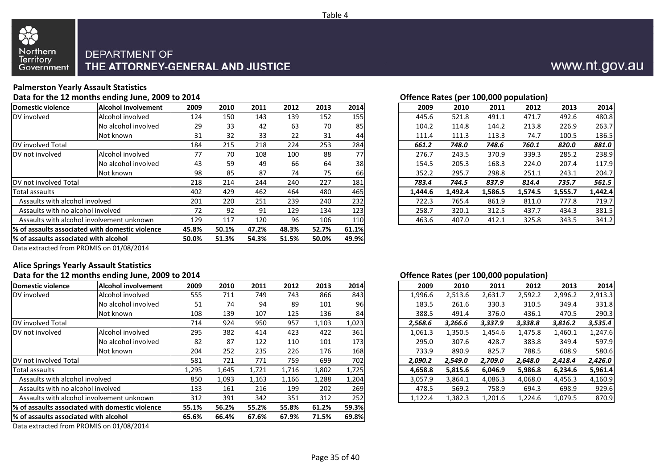

### **Palmerston Yearly Assault Statistics**

**Data for the 12 months ending June, 2009 to 2014**

| Domestic violence                     | <b>Alcohol involvement</b>                       | 2009  | 2010  | 2011  | 2012  | 2013  | 2014            | 2009    | 2010    | 2011    | 2012    | 2013    | 2014    |
|---------------------------------------|--------------------------------------------------|-------|-------|-------|-------|-------|-----------------|---------|---------|---------|---------|---------|---------|
| DV involved                           | Alcohol involved                                 | 124   | 150   | 143   | 139   | 152   | 155             | 445.6   | 521.8   | 491.1   | 471.7   | 492.6   | 480.8   |
|                                       | No alcohol involved                              | 29    | 33    | 42    | 63    | 70    | 85              | 104.2   | 114.8   | 144.2   | 213.8   | 226.9   | 263.7   |
|                                       | Not known                                        | 31    | 32    | 33    | 22    | 31    | 44              | 111.4   | 111.3   | 113.3   | 74.7    | 100.5   | 136.5   |
| DV involved Total                     |                                                  | 184   | 215   | 218   | 224   | 253   | 284             | 661.2   | 748.0   | 748.6   | 760.1   | 820.0   | 881.0   |
| DV not involved                       | Alcohol involved                                 | 77    | 70    | 108   | 100   | 88    | 77 <sup>1</sup> | 276.7   | 243.5   | 370.9   | 339.3   | 285.2   | 238.9   |
|                                       | No alcohol involved                              | 43    | 59    | 49    | 66    | 64    | 38 <sup>1</sup> | 154.5   | 205.3   | 168.3   | 224.0   | 207.4   | 117.9   |
|                                       | Not known                                        | 98    | 85    | 87    | 74    | 75    | 66              | 352.2   | 295.7   | 298.8   | 251.1   | 243.1   | 204.7   |
| <b>IDV</b> not involved Total         |                                                  | 218   | 214   | 244   | 240   | 227   | 181             | 783.4   | 744.5   | 837.9   | 814.4   | 735.7   | 561.5   |
| Total assaults                        |                                                  | 402   | 429   | 462   | 464   | 480   | 465             | 1,444.6 | 1,492.4 | 1,586.5 | 1,574.5 | 1,555.7 | 1,442.4 |
| Assaults with alcohol involved        |                                                  | 201   | 220   | 251   | 239   | 240   | 232             | 722.3   | 765.4   | 861.9   | 811.0   | 777.8   | 719.7   |
| Assaults with no alcohol involved     |                                                  | 72    | 92    | 91    | 129   | 134   | 123             | 258.7   | 320.1   | 312.5   | 437.7   | 434.3   | 381.5   |
|                                       | Assaults with alcohol involvement unknown        | 129   | 117   | 120   | 96    | 106   | <b>110</b>      | 463.6   | 407.0   | 412.1   | 325.8   | 343.5   | 341.2   |
|                                       | 1% of assaults associated with domestic violence | 45.8% | 50.1% | 47.2% | 48.3% | 52.7% | 61.1%           |         |         |         |         |         |         |
| % of assaults associated with alcohol |                                                  | 50.0% | 51.3% | 54.3% | 51.5% | 50.0% | 49.9%           |         |         |         |         |         |         |
|                                       |                                                  |       |       |       |       |       |                 |         |         |         |         |         |         |

|  |  | Offence Rates (per 100,000 population) |
|--|--|----------------------------------------|
|  |  |                                        |

|      |      |      |      |      |      |      |         |         | . .     |         |         |         |
|------|------|------|------|------|------|------|---------|---------|---------|---------|---------|---------|
| ent) | 2009 | 2010 | 2011 | 2012 | 2013 | 2014 | 2009    | 2010    | 2011    | 2012    | 2013    | 2014    |
|      | 124  | 150  | 143  | 139  | 152  | 155  | 445.6   | 521.8   | 491.1   | 471.7   | 492.6   | 480.8   |
| ed/  | 29   | 33   | 42   | 63   | 70   | 85   | 104.2   | 114.8   | 144.2   | 213.8   | 226.9   | 263.7   |
|      | 31   | 32   | 33   | 22   | 31   | 44   | 111.4   | 111.3   | 113.3   | 74.7    | 100.5   | 136.5   |
|      | 184  | 215  | 218  | 224  | 253  | 284  | 661.2   | 748.0   | 748.6   | 760.1   | 820.0   | 881.0   |
|      | 77   | 70   | 108  | 100  | 88   | 77   | 276.7   | 243.5   | 370.9   | 339.3   | 285.2   | 238.9   |
| ed/  | 43   | 59   | 49   | 66   | 64   | 38   | 154.5   | 205.3   | 168.3   | 224.0   | 207.4   | 117.9   |
|      | 98   | 85   | 87   | 74   | 75   | 66   | 352.2   | 295.7   | 298.8   | 251.1   | 243.1   | 204.7   |
|      | 218  | 214  | 244  | 240  | 227  | 181  | 783.4   | 744.5   | 837.9   | 814.4   | 735.7   | 561.5   |
|      | 402  | 429  | 462  | 464  | 480  | 465  | 1.444.6 | 1.492.4 | 1.586.5 | 1.574.5 | 1,555.7 | 1,442.4 |
|      | 201  | 220  | 251  | 239  | 240  | 232  | 722.3   | 765.4   | 861.9   | 811.0   | 777.8   | 719.7   |
|      | 72   | 92   | 91   | 129  | 134  | 123  | 258.7   | 320.1   | 312.5   | 437.7   | 434.3   | 381.5   |
| n    | 129  | 117  | 120  | 96   | 106  | 110  | 463.6   | 407.0   | 412.1   | 325.8   | 343.5   | 341.2   |
|      |      |      |      |      |      |      |         |         |         |         |         |         |

Data extracted from PROMIS on 01/08/2014

### **Alice Springs Yearly Assault Statistics**

#### **Data for the 12 months ending June, 2009 to 2014**

|                                                 |                                                              |       |       |       |       |       |       |         | . .     |         |         |         |         |
|-------------------------------------------------|--------------------------------------------------------------|-------|-------|-------|-------|-------|-------|---------|---------|---------|---------|---------|---------|
| Domestic violence                               | <b>Alcohol involvement</b>                                   | 2009  | 2010  | 2011  | 2012  | 2013  | 2014  | 2009    | 2010    | 2011    | 2012    | 2013    | 2014    |
| DV involved                                     | Alcohol involved                                             | 555   | 711   | 749   | 743   | 866   | 843   | 1,996.6 | 2,513.6 | 2,631.7 | 2,592.2 | 2,996.2 | 2,913.3 |
|                                                 | No alcohol involved                                          | 51    | 74    | 94    | 89    | 101   | 96    | 183.5   | 261.6   | 330.3   | 310.5   | 349.4   | 331.8   |
|                                                 | Not known                                                    | 108   | 139   | 107   | 125   | 136   | 84    | 388.5   | 491.4   | 376.0   | 436.1   | 470.5   | 290.3   |
| DV involved Total                               |                                                              | 714   | 924   | 950   | 957   | 1,103 | 1,023 | 2,568.6 | 3,266.6 | 3,337.9 | 3,338.8 | 3,816.2 | 3,535.4 |
| DV not involved                                 | Alcohol involved                                             | 295   | 382   | 414   | 423   | 422   | 361   | 1,061.3 | 1,350.5 | 1,454.6 | 1,475.8 | 1,460.1 | 1,247.6 |
|                                                 | No alcohol involved                                          | 82    | 87    | 122   | 110   | 101   | 173   | 295.0   | 307.6   | 428.7   | 383.8   | 349.4   | 597.9   |
|                                                 | Not known                                                    | 204   | 252   | 235   | 226   | 176   | 168   | 733.9   | 890.9   | 825.7   | 788.5   | 608.9   | 580.6   |
| DV not involved Total                           |                                                              | 581   | 721   | 771   | 759   | 699   | 702   | 2,090.2 | 2,549.0 | 2,709.0 | 2,648.0 | 2,418.4 | 2,426.0 |
| Total assaults                                  |                                                              | 1,295 | 1,645 | 1,721 | 1,716 | 1,802 | 1,725 | 4,658.8 | 5,815.6 | 6,046.9 | 5,986.8 | 6,234.6 | 5,961.4 |
| Assaults with alcohol involved                  |                                                              | 850   | 1,093 | 1,163 | 1,166 | 1,288 | 1,204 | 3,057.9 | 3,864.1 | 4,086.3 | 4,068.0 | 4,456.3 | 4,160.9 |
| Assaults with no alcohol involved               |                                                              | 133   | 161   | 216   | 199   | 202   | 269   | 478.5   | 569.2   | 758.9   | 694.3   | 698.9   | 929.6   |
|                                                 | Assaults with alcohol involvement unknown                    | 312   | 391   | 342   | 351   | 312   | 252   | 1,122.4 | 1,382.3 | 1,201.6 | 1,224.6 | 1,079.5 | 870.9   |
| % of assaults associated with domestic violence |                                                              | 55.1% | 56.2% | 55.2% | 55.8% | 61.2% | 59.3% |         |         |         |         |         |         |
| l% of assaults associated with alcohol          |                                                              | 65.6% | 66.4% | 67.6% | 67.9% | 71.5% | 69.8% |         |         |         |         |         |         |
|                                                 | $     -$<br>$\sim$ $\sim$ $\sim$ $\sim$ $\sim$ $\sim$ $\sim$ |       |       |       |       |       |       |         |         |         |         |         |         |

Data extracted from PROMIS on 01/08/2014

#### **Offence Rates (per 100,000 population)**

| 'nt | 2009  | 2010  | 2011  | 2012  | 2013  | 2014  | 2009    | 2010    | 2011    | 2012    | 2013    | 2014    |
|-----|-------|-------|-------|-------|-------|-------|---------|---------|---------|---------|---------|---------|
|     | 555   | 711   | 749   | 743   | 866   | 843   | 1,996.6 | 2,513.6 | 2,631.7 | 2,592.2 | 2,996.2 | 2,913.3 |
| d   | 51    | 74    | 94    | 89    | 101   | 96    | 183.5   | 261.6   | 330.3   | 310.5   | 349.4   | 331.8   |
|     | 108   | 139   | 107   | 125   | 136   | 84    | 388.5   | 491.4   | 376.0   | 436.1   | 470.5   | 290.3   |
|     | 714   | 924   | 950   | 957   | 1,103 | 1,023 | 2.568.6 | 3.266.6 | 3,337.9 | 3,338.8 | 3,816.2 | 3,535.4 |
|     | 295   | 382   | 414   | 423   | 422   | 361   | 1,061.3 | 1,350.5 | 1,454.6 | 1,475.8 | 1,460.1 | 1,247.6 |
| d   | 82    | 87    | 122   | 110   | 101   | 173   | 295.0   | 307.6   | 428.7   | 383.8   | 349.4   | 597.9   |
|     | 204   | 252   | 235   | 226   | 176   | 168   | 733.9   | 890.9   | 825.7   | 788.5   | 608.9   | 580.6   |
|     | 581   | 721   | 771   | 759   | 699   | 702   | 2,090.2 | 2,549.0 | 2,709.0 | 2,648.0 | 2,418.4 | 2,426.0 |
|     | 1,295 | 1,645 | 1,721 | 1,716 | 1,802 | 1,725 | 4.658.8 | 5.815.6 | 6.046.9 | 5,986.8 | 6.234.6 | 5,961.4 |
|     | 850   | 1,093 | 1,163 | 1,166 | 1,288 | 1,204 | 3.057.9 | 3.864.1 | 4,086.3 | 4,068.0 | 4,456.3 | 4,160.9 |
|     | 133   | 161   | 216   | 199   | 202   | 269   | 478.5   | 569.2   | 758.9   | 694.3   | 698.9   | 929.6   |
|     | 312   | 391   | 342   | 351   | 312   | 252   | 1,122.4 | 1,382.3 | 1.201.6 | 1,224.6 | 1.079.5 | 870.9   |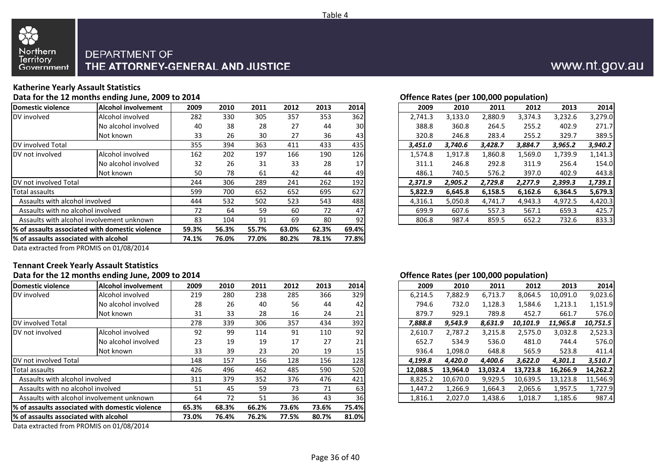

### **Katherine Yearly Assault Statistics**

**Data for the 12 months ending June, 2009 to 2014**

| Domestic violence                      | <b>IAIcohol involvement</b>                      | 2009  | 2010  | 2011  | 2012  | 2013  | 2014            | 2009    | 2010    | 2011    | 2012    | 2013    | 2014    |
|----------------------------------------|--------------------------------------------------|-------|-------|-------|-------|-------|-----------------|---------|---------|---------|---------|---------|---------|
| DV involved                            | Alcohol involved                                 | 282   | 330   | 305   | 357   | 353   | 362             | 2,741.3 | 3,133.0 | 2,880.9 | 3,374.3 | 3,232.6 | 3,279.0 |
|                                        | No alcohol involved                              | 40    | 38    | 28    | 27    | 44    | 30 <sub>l</sub> | 388.8   | 360.8   | 264.5   | 255.2   | 402.9   | 271.7   |
|                                        | Not known                                        | 33    | 26    | 30    | 27    | 36    | 43              | 320.8   | 246.8   | 283.4   | 255.2   | 329.7   | 389.5   |
| DV involved Total                      |                                                  | 355   | 394   | 363   | 411   | 433   | 435             | 3,451.0 | 3.740.6 | 3,428.7 | 3,884.7 | 3,965.2 | 3,940.2 |
| DV not involved                        | Alcohol involved                                 | 162   | 202   | 197   | 166   | 190   | 126             | 1,574.8 | 1,917.8 | 1,860.8 | 1,569.0 | L,739.9 | 1,141.3 |
|                                        | No alcohol involved                              | 32    | 26    | 31    | 33    | 28    | 17              | 311.1   | 246.8   | 292.8   | 311.9   | 256.4   | 154.0   |
|                                        | Not known                                        | 50    | 78    | 61    | 42    | 44    | 49              | 486.1   | 740.5   | 576.2   | 397.0   | 402.9   | 443.8   |
| DV not involved Total                  |                                                  | 244   | 306   | 289   | 241   | 262   | 192             | 2,371.9 | 2,905.2 | 2,729.8 | 2,277.9 | 2,399.3 | 1,739.1 |
| Total assaults                         |                                                  | 599   | 700   | 652   | 652   | 695   | 627             | 5,822.9 | 6,645.8 | 6,158.5 | 6,162.6 | 6,364.5 | 5,679.3 |
| Assaults with alcohol involved         |                                                  | 444   | 532   | 502   | 523   | 543   | 488             | 4,316.1 | 5,050.8 | 4,741.7 | 4,943.3 | 4,972.5 | 4,420.3 |
| Assaults with no alcohol involved      |                                                  | 72    | 64    | 59    | 60    | 72    | 47              | 699.9   | 607.6   | 557.3   | 567.1   | 659.3   | 425.7   |
|                                        | Assaults with alcohol involvement unknown        | 83    | 104   | 91    | 69    | 80    | 92              | 806.8   | 987.4   | 859.5   | 652.2   | 732.6   | 833.3   |
|                                        | 1% of assaults associated with domestic violence | 59.3% | 56.3% | 55.7% | 63.0% | 62.3% | 69.4%           |         |         |         |         |         |         |
| 1% of assaults associated with alcohol |                                                  | 74.1% | 76.0% | 77.0% | 80.2% | 78.1% | 77.8%           |         |         |         |         |         |         |
|                                        |                                                  |       |       |       |       |       |                 |         |         |         |         |         |         |

| Offence Rates (per 100,000 population) |  |  |  |
|----------------------------------------|--|--|--|

| nt | 2009 | 2010 | 2011 | 2012 | 2013 | 2014 |
|----|------|------|------|------|------|------|
|    | 282  | 330  | 305  | 357  | 353  | 362  |
| d  | 40   | 38   | 28   | 27   | 44   | 30   |
|    | 33   | 26   | 30   | 27   | 36   | 43   |
|    | 355  | 394  | 363  | 411  | 433  | 435  |
|    | 162  | 202  | 197  | 166  | 190  | 126  |
| d  | 32   | 26   | 31   | 33   | 28   | 17   |
|    | 50   | 78   | 61   | 42   | 44   | 49   |
|    | 244  | 306  | 289  | 241  | 262  | 192  |
|    | 599  | 700  | 652  | 652  | 695  | 627  |
|    | 444  | 532  | 502  | 523  | 543  | 488  |
|    | 72   | 64   | 59   | 60   | 72   | 47   |
|    | 83   | 104  | 91   | 69   | 80   | 92   |
|    |      |      |      |      |      |      |

Data extracted from PROMIS on 01/08/2014

### **Tennant Creek Yearly Assault Statistics**

|                                       | Data for the 12 months ending June, 2009 to 2014 |       |       |       |       |       |                 | Offence Rates (per 100,000 population) |          |          |          |          |          |
|---------------------------------------|--------------------------------------------------|-------|-------|-------|-------|-------|-----------------|----------------------------------------|----------|----------|----------|----------|----------|
| Domestic violence                     | Alcohol involvement                              | 2009  | 2010  | 2011  | 2012  | 2013  | 2014            | 2009                                   | 2010     | 2011     | 2012     | 2013     | 2014     |
| DV involved                           | Alcohol involved                                 | 219   | 280   | 238   | 285   | 366   | 329             | 6,214.5                                | 7,882.9  | 6,713.7  | 8,064.5  | 10,091.0 | 9,023.6  |
|                                       | No alcohol involved                              | 28    | 26    | 40    | 56    | 44    | 42              | 794.6                                  | 732.0    | 1,128.3  | 1,584.6  | 1,213.1  | 1,151.9  |
|                                       | Not known                                        | 31    | 33    | 28    | 16    | 24    | 21              | 879.7                                  | 929.1    | 789.8    | 452.7    | 661.7    | 576.0    |
| DV involved Total                     |                                                  | 278   | 339   | 306   | 357   | 434   | 392             | 7,888.8                                | 9,543.9  | 8,631.9  | 10,101.9 | 11,965.8 | 10,751.5 |
| DV not involved                       | Alcohol involved                                 | 92    | 99    | 114   | 91    | 110   | 92              | 2,610.7                                | 2,787.2  | 3,215.8  | 2,575.0  | 3,032.8  | 2,523.3  |
|                                       | No alcohol involved                              | 23    | 19    | 19    | 17    | 27    | 21              | 652.7                                  | 534.9    | 536.0    | 481.0    | 744.4    | 576.0    |
|                                       | Not known                                        | 33    | 39    | 23    | 20    | 19    | 15              | 936.4                                  | 1,098.0  | 648.8    | 565.9    | 523.8    | 411.4    |
| DV not involved Total                 |                                                  | 148   | 157   | 156   | 128   | 156   | 128             | 4,199.8                                | 4,420.0  | 4,400.6  | 3,622.0  | 4,301.1  | 3,510.7  |
| Total assaults                        |                                                  | 426   | 496   | 462   | 485   | 590   | 520             | 12.088.5                               | 13.964.0 | 13,032.4 | 13.723.8 | 16.266.9 | 14,262.2 |
| Assaults with alcohol involved        |                                                  | 311   | 379   | 352   | 376   | 476   | 421             | 8,825.2                                | 10.670.0 | 9,929.5  | 10,639.5 | 13,123.8 | 11,546.9 |
| Assaults with no alcohol involved     |                                                  | 51    | 45    | 59    | 73    | 71    | 63              | 1,447.2                                | 1,266.9  | 1,664.3  | 2,065.6  | 1,957.5  | 1,727.9  |
|                                       | Assaults with alcohol involvement unknown        | 64    | 72    | 51    | 36    | 43    | 36 <sub>1</sub> | 1,816.1                                | 2,027.0  | 1,438.6  | 1,018.7  | 1,185.6  | 987.4    |
|                                       | 1% of assaults associated with domestic violence | 65.3% | 68.3% | 66.2% | 73.6% | 73.6% | 75.4%           |                                        |          |          |          |          |          |
| % of assaults associated with alcohol |                                                  | 73.0% | 76.4% | 76.2% | 77.5% | 80.7% | 81.0%           |                                        |          |          |          |          |          |
|                                       |                                                  |       |       |       |       |       |                 |                                        |          |          |          |          |          |

Data extracted from PROMIS on 01/08/2014

#### **Offence Rates (per 100,000 population)**

| nt | 2009 | 2010 | 2011 | 2012 | 2013 | 2014            | 2009     | 2010     | 2011     | 2012     | 2013     | 2014     |
|----|------|------|------|------|------|-----------------|----------|----------|----------|----------|----------|----------|
|    | 219  | 280  | 238  | 285  | 366  | 329             | 6,214.5  | 7,882.9  | 6,713.7  | 8,064.5  | 10,091.0 | 9,023.6  |
| d  | 28   | 26   | 40   | 56   | 44   | 42              | 794.6    | 732.0    | 1,128.3  | 1,584.6  | 1,213.1  | 1,151.9  |
|    | 31   | 33   | 28   | 16   | 24   | 21              | 879.7    | 929.1    | 789.8    | 452.7    | 661.7    | 576.0    |
|    | 278  | 339  | 306  | 357  | 434  | 392             | 7.888.8  | 9,543.9  | 8,631.9  | 10,101.9 | 11,965.8 | 10,751.5 |
|    | 92   | 99   | 114  | 91   | 110  | 92              | 2.610.7  | 2.787.2  | 3,215.8  | 2,575.0  | 3,032.8  | 2,523.3  |
| d  | 23   | 19   | 19   | 17   | 27   | 21              | 652.7    | 534.9    | 536.0    | 481.0    | 744.4    | 576.0    |
|    | 33   | 39   | 23   | 20   | 19   | 15 <sub>l</sub> | 936.4    | 1,098.0  | 648.8    | 565.9    | 523.8    | 411.4    |
|    | 148  | 157  | 156  | 128  | 156  | 128             | 4.199.8  | 4.420.0  | 4,400.6  | 3,622.0  | 4,301.1  | 3,510.7  |
|    | 426  | 496  | 462  | 485  | 590  | 520             | 12.088.5 | 13.964.0 | 13.032.4 | 13.723.8 | 16.266.9 | 14,262.2 |
|    | 311  | 379  | 352  | 376  | 476  | 421             | 8.825.2  | 10,670.0 | 9,929.5  | 10,639.5 | 13,123.8 | 11,546.9 |
|    | 51   | 45   | 59   | 73   | 71   | 63              | 1.447.2  | 1,266.9  | 1,664.3  | 2,065.6  | 1,957.5  | 1,727.9  |
|    | 64   | 72   | 51   | 36   | 43   | 36              | 1,816.1  | 2.027.0  | 1,438.6  | 1.018.7  | 1,185.6  | 987.4    |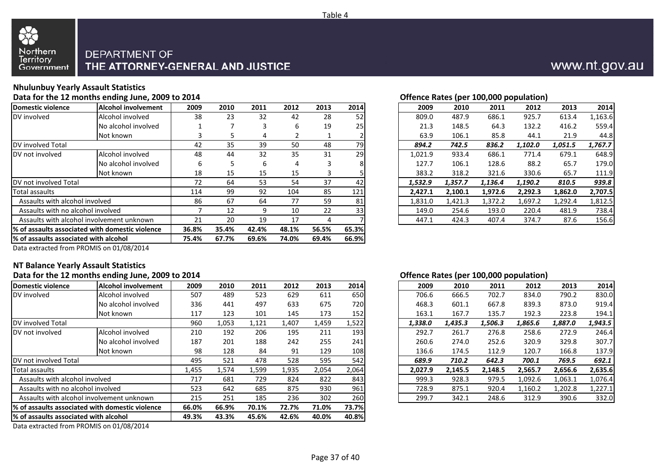

### **Nhulunbuy Yearly Assault Statistics**

**Data for the 12 months ending June, 2009 to 2014**

| Domestic violence                     | Alcohol involvement                              | 2009  | 2010  | 2011  | 2012  | 2013  | 2014  | 2009    | 2010    | 2011    | 2012    | 2013    | 2014    |
|---------------------------------------|--------------------------------------------------|-------|-------|-------|-------|-------|-------|---------|---------|---------|---------|---------|---------|
| DV involved                           | Alcohol involved                                 | 38    | 23    | 32    | 42    | 28    | 52    | 809.0   | 487.9   | 686.1   | 925.7   | 613.4   | 1,163.6 |
|                                       | No alcohol involved                              |       |       | 3     | 6     | 19    | 251   | 21.3    | 148.5   | 64.3    | 132.2   | 416.2   | 559.4   |
|                                       | Not known                                        |       |       | 4     |       |       |       | 63.9    | 106.1   | 85.8    | 44.1    | 21.9    | 44.8    |
| DV involved Total                     |                                                  | 42    | 35    | 39    | 50    | 48    | 79    | 894.2   | 742.5   | 836.2   | 1,102.0 | 1,051.5 | 1,767.7 |
| DV not involved                       | Alcohol involved                                 | 48    | 44    | 32    | 35    | 31    | 29    | 1,021.9 | 933.4   | 686.1   | 771.4   | 679.1   | 648.9   |
|                                       | No alcohol involved                              | 6     | 5     | 6     | 4     |       | 8     | 127.7   | 106.1   | 128.6   | 88.2    | 65.7    | 179.0   |
|                                       | Not known                                        | 18    | 15    | 15    | 15    |       |       | 383.2   | 318.2   | 321.6   | 330.6   | 65.7    | 111.9   |
| DV not involved Total                 |                                                  | 72    | 64    | 53    | 54    | 37    | 42    | 1,532.9 | 1,357.7 | 1,136.4 | 1,190.2 | 810.5   | 939.8   |
| Total assaults                        |                                                  | 114   | 99    | 92    | 104   | 85    | 121   | 2,427.1 | 2,100.1 | 1,972.6 | 2,292.3 | 1,862.0 | 2,707.5 |
| Assaults with alcohol involved        |                                                  | 86    | 67    | 64    | 77    | 59    | 81    | 1,831.0 | 1,421.3 | 1,372.2 | 1,697.2 | 1,292.4 | 1,812.5 |
| Assaults with no alcohol involved     |                                                  |       | 12    | 9     | 10    | 22    | 33    | 149.0   | 254.6   | 193.0   | 220.4   | 481.9   | 738.4   |
|                                       | Assaults with alcohol involvement unknown        | 21    | 20    | 19    | 17    |       |       | 447.1   | 424.3   | 407.4   | 374.7   | 87.6    | 156.6   |
|                                       | 1% of assaults associated with domestic violence | 36.8% | 35.4% | 42.4% | 48.1% | 56.5% | 65.3% |         |         |         |         |         |         |
| % of assaults associated with alcohol |                                                  | 75.4% | 67.7% | 69.6% | 74.0% | 69.4% | 66.9% |         |         |         |         |         |         |
|                                       |                                                  |       |       |       |       |       |       |         |         |         |         |         |         |

#### **Offence Rates (per 100,000 population)**

|    |      |      |      |      |      |      |         |         | . .     |         |         |         |
|----|------|------|------|------|------|------|---------|---------|---------|---------|---------|---------|
| nt | 2009 | 2010 | 2011 | 2012 | 2013 | 2014 | 2009    | 2010    | 2011    | 2012    | 2013    | 2014    |
|    | 38   | 23   | 32   | 42   | 28   | 52   | 809.0   | 487.9   | 686.1   | 925.7   | 613.4   | 1,163.6 |
| d  |      |      | 3    | 6    | 19   | 25   | 21.3    | 148.5   | 64.3    | 132.2   | 416.2   | 559.4   |
|    | 3    | 5    | 4    |      |      |      | 63.9    | 106.1   | 85.8    | 44.1    | 21.9    | 44.8    |
|    | 42   | 35   | 39   | 50   | 48   | 79   | 894.2   | 742.5   | 836.2   | 1,102.0 | 1,051.5 | 1,767.7 |
|    | 48   | 44   | 32   | 35   | 31   | 29   | 1,021.9 | 933.4   | 686.1   | 771.4   | 679.1   | 648.9   |
| d  | 6    | 5    | 6    | 4    | 3    |      | 127.7   | 106.1   | 128.6   | 88.2    | 65.7    | 179.0   |
|    | 18   | 15   | 15   | 15   | 3    |      | 383.2   | 318.2   | 321.6   | 330.6   | 65.7    | 111.9   |
|    | 72   | 64   | 53   | 54   | 37   | 42   | 1,532.9 | 1,357.7 | 1,136.4 | 1,190.2 | 810.5   | 939.8   |
|    | 114  | 99   | 92   | 104  | 85   | 121  | 2,427.1 | 2,100.1 | 1,972.6 | 2,292.3 | 1,862.0 | 2,707.5 |
|    | 86   | 67   | 64   | 77   | 59   | 81   | 1,831.0 | 1,421.3 | 1,372.2 | 1,697.2 | 1,292.4 | 1,812.5 |
|    |      | 12   | 9    | 10   | 22   | 33   | 149.0   | 254.6   | 193.0   | 220.4   | 481.9   | 738.4   |
|    | 21   | 20   | 19   | 17   | 4    |      | 447.1   | 424.3   | 407.4   | 374.7   | 87.6    | 156.6   |
|    |      |      |      |      |      |      |         |         |         |         |         |         |

Data extracted from PROMIS on 01/08/2014

#### **NT Balance Yearly Assault Statistics**

#### **Data for the 12 months ending June, 2009 to 2014**

| Domestic violence                      | <b>Alcohol involvement</b>                       | 2009  | 2010  | 2011  | 2012  | 2013  | 2014  | 2009    | 2010    | 2011    | 2012    | 2013    | 2014    |
|----------------------------------------|--------------------------------------------------|-------|-------|-------|-------|-------|-------|---------|---------|---------|---------|---------|---------|
| DV involved                            | Alcohol involved                                 | 507   | 489   | 523   | 629   | 611   | 650   | 706.6   | 666.5   | 702.7   | 834.0   | 790.2   | 830.0   |
|                                        | No alcohol involved                              | 336   | 441   | 497   | 633   | 675   | 720   | 468.3   | 601.1   | 667.8   | 839.3   | 873.0   | 919.4   |
|                                        | Not known                                        | 117   | 123   | 101   | 145   | 173   | 152   | 163.1   | 167.7   | 135.7   | 192.3   | 223.8   | 194.1   |
| DV involved Total                      |                                                  | 960   | 1,053 | 1,121 | 1,407 | 1,459 | 1,522 | 1,338.0 | 1,435.3 | 1,506.3 | 1,865.6 | 1,887.0 | 1,943.5 |
| DV not involved                        | Alcohol involved                                 | 210   | 192   | 206   | 195   | 211   | 193   | 292.7   | 261.7   | 276.8   | 258.6   | 272.9   | 246.4   |
|                                        | No alcohol involved                              | 187   | 201   | 188   | 242   | 255   | 241   | 260.6   | 274.0   | 252.6   | 320.9   | 329.8   | 307.7   |
|                                        | Not known                                        | 98    | 128   | 84    | 91    | 129   | 108   | 136.6   | 174.5   | 112.9   | 120.7   | 166.8   | 137.9   |
| DV not involved Total                  |                                                  | 495   | 521   | 478   | 528   | 595   | 542   | 689.9   | 710.2   | 642.3   | 700.1   | 769.5   | 692.1   |
| Total assaults                         |                                                  | 1,455 | 1,574 | 1,599 | 1,935 | 2,054 | 2,064 | 2,027.9 | 2,145.5 | 2,148.5 | 2,565.7 | 2,656.6 | 2,635.6 |
| Assaults with alcohol involved         |                                                  | 717   | 681   | 729   | 824   | 822   | 843   | 999.3   | 928.3   | 979.5   | 1,092.6 | 1,063.1 | 1,076.4 |
| Assaults with no alcohol involved      |                                                  | 523   | 642   | 685   | 875   | 930   | 961   | 728.9   | 875.1   | 920.4   | 1,160.2 | 1,202.8 | 1,227.1 |
|                                        | Assaults with alcohol involvement unknown        | 215   | 251   | 185   | 236   | 302   | 260   | 299.7   | 342.1   | 248.6   | 312.9   | 390.6   | 332.0   |
|                                        | l% of assaults associated with domestic violence | 66.0% | 66.9% | 70.1% | 72.7% | 71.0% | 73.7% |         |         |         |         |         |         |
| 1% of assaults associated with alcohol |                                                  | 49.3% | 43.3% | 45.6% | 42.6% | 40.0% | 40.8% |         |         |         |         |         |         |
|                                        | $\cdots$                                         |       |       |       |       |       |       |         |         |         |         |         |         |

Data extracted from PROMIS on 01/08/2014

#### **Offence Rates (per 100,000 population)**

| 'nt | 2009  | 2010  | 2011  | 2012  | 2013  | 2014             | 2009    | 2010    | 2011    | 2012    | 2013    | 2014    |
|-----|-------|-------|-------|-------|-------|------------------|---------|---------|---------|---------|---------|---------|
|     | 507   | 489   | 523   | 629   | 611   | 650              | 706.6   | 666.5   | 702.7   | 834.0   | 790.2   | 830.0   |
| d   | 336   | 441   | 497   | 633   | 675   | 720              | 468.3   | 601.1   | 667.8   | 839.3   | 873.0   | 919.4   |
|     | 117   | 123   | 101   | 145   | 173   | 152              | 163.1   | 167.7   | 135.7   | 192.3   | 223.8   | 194.1   |
|     | 960   | 1,053 | 1,121 | 1.407 | 1,459 | 1,522            | 1.338.0 | 1.435.3 | 1,506.3 | 1,865.6 | 1,887.0 | 1,943.5 |
|     | 210   | 192   | 206   | 195   | 211   | 193 <sup>1</sup> | 292.7   | 261.7   | 276.8   | 258.6   | 272.9   | 246.4   |
| d   | 187   | 201   | 188   | 242   | 255   | 241              | 260.6   | 274.0   | 252.6   | 320.9   | 329.8   | 307.7   |
|     | 98    | 128   | 84    | 91    | 129   | 108              | 136.6   | 174.5   | 112.9   | 120.7   | 166.8   | 137.9   |
|     | 495   | 521   | 478   | 528   | 595   | 542              | 689.9   | 710.2   | 642.3   | 700.1   | 769.5   | 692.1   |
|     | 1,455 | 1,574 | 1,599 | 1,935 | 2,054 | 2,064            | 2.027.9 | 2.145.5 | 2.148.5 | 2,565.7 | 2,656.6 | 2,635.6 |
|     | 717   | 681   | 729   | 824   | 822   | 843              | 999.3   | 928.3   | 979.5   | 1,092.6 | 1,063.1 | 1,076.4 |
|     | 523   | 642   | 685   | 875   | 930   | 961              | 728.9   | 875.1   | 920.4   | 1,160.2 | 1,202.8 | 1,227.1 |
|     | 215   | 251   | 185   | 236   | 302   | 260              | 299.7   | 342.1   | 248.6   | 312.9   | 390.6   | 332.0   |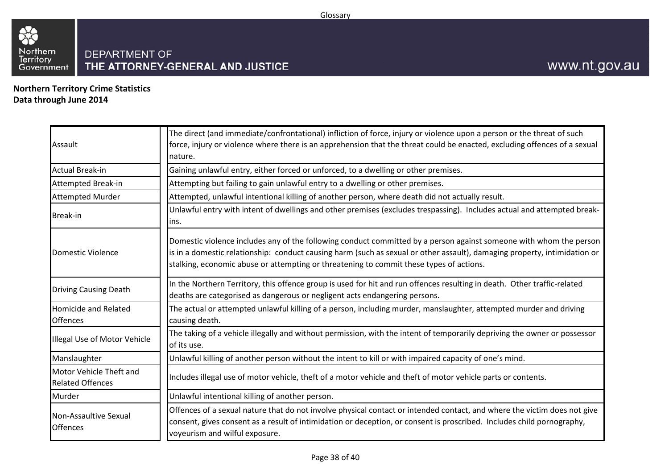

**Northern Territory Crime StatisticsData through June 2014**

| Assault                                            | The direct (and immediate/confrontational) infliction of force, injury or violence upon a person or the threat of such<br>force, injury or violence where there is an apprehension that the threat could be enacted, excluding offences of a sexual<br>nature.                                                                             |
|----------------------------------------------------|--------------------------------------------------------------------------------------------------------------------------------------------------------------------------------------------------------------------------------------------------------------------------------------------------------------------------------------------|
| <b>Actual Break-in</b>                             | Gaining unlawful entry, either forced or unforced, to a dwelling or other premises.                                                                                                                                                                                                                                                        |
| <b>Attempted Break-in</b>                          | Attempting but failing to gain unlawful entry to a dwelling or other premises.                                                                                                                                                                                                                                                             |
| <b>Attempted Murder</b>                            | Attempted, unlawful intentional killing of another person, where death did not actually result.                                                                                                                                                                                                                                            |
| <b>Break-in</b>                                    | Unlawful entry with intent of dwellings and other premises (excludes trespassing). Includes actual and attempted break-<br>lins.                                                                                                                                                                                                           |
| Domestic Violence                                  | Domestic violence includes any of the following conduct committed by a person against someone with whom the person<br>is in a domestic relationship: conduct causing harm (such as sexual or other assault), damaging property, intimidation or<br>stalking, economic abuse or attempting or threatening to commit these types of actions. |
| <b>Driving Causing Death</b>                       | In the Northern Territory, this offence group is used for hit and run offences resulting in death. Other traffic-related<br>deaths are categorised as dangerous or negligent acts endangering persons.                                                                                                                                     |
| <b>Homicide and Related</b><br><b>Offences</b>     | The actual or attempted unlawful killing of a person, including murder, manslaughter, attempted murder and driving<br>causing death.                                                                                                                                                                                                       |
| Illegal Use of Motor Vehicle                       | The taking of a vehicle illegally and without permission, with the intent of temporarily depriving the owner or possessor<br>of its use.                                                                                                                                                                                                   |
| Manslaughter                                       | Unlawful killing of another person without the intent to kill or with impaired capacity of one's mind.                                                                                                                                                                                                                                     |
| Motor Vehicle Theft and<br><b>Related Offences</b> | Includes illegal use of motor vehicle, theft of a motor vehicle and theft of motor vehicle parts or contents.                                                                                                                                                                                                                              |
| Murder                                             | Unlawful intentional killing of another person.                                                                                                                                                                                                                                                                                            |
| Non-Assaultive Sexual<br><b>Offences</b>           | Offences of a sexual nature that do not involve physical contact or intended contact, and where the victim does not give<br>consent, gives consent as a result of intimidation or deception, or consent is proscribed. Includes child pornography,<br>voyeurism and wilful exposure.                                                       |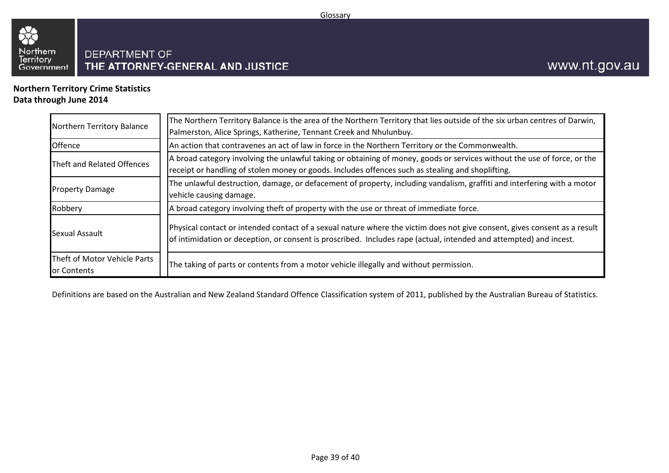

**Northern Territory Crime StatisticsData through June 2014**

| Northern Territory Balance                  | The Northern Territory Balance is the area of the Northern Territory that lies outside of the six urban centres of Darwin,<br>Palmerston, Alice Springs, Katherine, Tennant Creek and Nhulunbuy.                                                |
|---------------------------------------------|-------------------------------------------------------------------------------------------------------------------------------------------------------------------------------------------------------------------------------------------------|
| <b>Offence</b>                              | An action that contravenes an act of law in force in the Northern Territory or the Commonwealth.                                                                                                                                                |
| Theft and Related Offences                  | A broad category involving the unlawful taking or obtaining of money, goods or services without the use of force, or the<br>receipt or handling of stolen money or goods. Includes offences such as stealing and shoplifting.                   |
| <b>Property Damage</b>                      | The unlawful destruction, damage, or defacement of property, including vandalism, graffiti and interfering with a motor<br>vehicle causing damage.                                                                                              |
| Robbery                                     | A broad category involving theft of property with the use or threat of immediate force.                                                                                                                                                         |
| Sexual Assault                              | Physical contact or intended contact of a sexual nature where the victim does not give consent, gives consent as a result<br>of intimidation or deception, or consent is proscribed. Includes rape (actual, intended and attempted) and incest. |
| Theft of Motor Vehicle Parts<br>or Contents | The taking of parts or contents from a motor vehicle illegally and without permission.                                                                                                                                                          |

Definitions are based on the Australian and New Zealand Standard Offence Classification system of 2011, published by the Australian Bureau of Statistics.